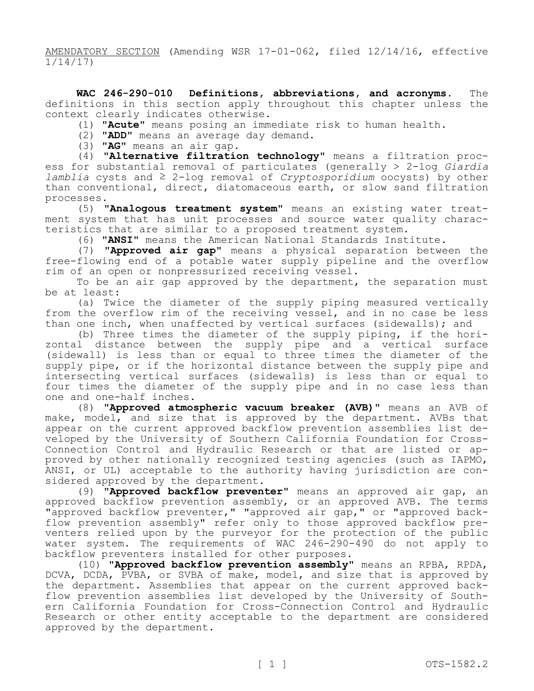AMENDATORY SECTION (Amending WSR 17-01-062, filed 12/14/16, effective 1/14/17)

**WAC 246-290-010 Definitions, abbreviations, and acronyms.** The definitions in this section apply throughout this chapter unless the context clearly indicates otherwise.

(1) **"Acute"** means posing an immediate risk to human health.

(2) **"ADD"** means an average day demand.

(3) **"AG"** means an air gap.

(4) **"Alternative filtration technology"** means a filtration process for substantial removal of particulates (generally ˃ 2-log *Giardia lamblia* cysts and ≥ 2-log removal of *Cryptosporidium* oocysts) by other than conventional, direct, diatomaceous earth, or slow sand filtration processes.

(5) **"Analogous treatment system"** means an existing water treatment system that has unit processes and source water quality characteristics that are similar to a proposed treatment system.

(6) **"ANSI"** means the American National Standards Institute.

(7) **"Approved air gap"** means a physical separation between the free-flowing end of a potable water supply pipeline and the overflow rim of an open or nonpressurized receiving vessel.

To be an air gap approved by the department, the separation must be at least:

(a) Twice the diameter of the supply piping measured vertically from the overflow rim of the receiving vessel, and in no case be less than one inch, when unaffected by vertical surfaces (sidewalls); and

(b) Three times the diameter of the supply piping, if the horizontal distance between the supply pipe and a vertical surface (sidewall) is less than or equal to three times the diameter of the supply pipe, or if the horizontal distance between the supply pipe and intersecting vertical surfaces (sidewalls) is less than or equal to four times the diameter of the supply pipe and in no case less than one and one-half inches.

(8) **"Approved atmospheric vacuum breaker (AVB)"** means an AVB of make, model, and size that is approved by the department. AVBs that appear on the current approved backflow prevention assemblies list developed by the University of Southern California Foundation for Cross-Connection Control and Hydraulic Research or that are listed or approved by other nationally recognized testing agencies (such as IAPMO, ANSI, or UL) acceptable to the authority having jurisdiction are considered approved by the department.

(9) **"Approved backflow preventer"** means an approved air gap, an approved backflow prevention assembly, or an approved AVB. The terms "approved backflow preventer," "approved air gap," or "approved backflow prevention assembly" refer only to those approved backflow preventers relied upon by the purveyor for the protection of the public water system. The requirements of WAC 246-290-490 do not apply to backflow preventers installed for other purposes.

(10) **"Approved backflow prevention assembly"** means an RPBA, RPDA, DCVA, DCDA, PVBA, or SVBA of make, model, and size that is approved by the department. Assemblies that appear on the current approved backflow prevention assemblies list developed by the University of Southern California Foundation for Cross-Connection Control and Hydraulic Research or other entity acceptable to the department are considered approved by the department.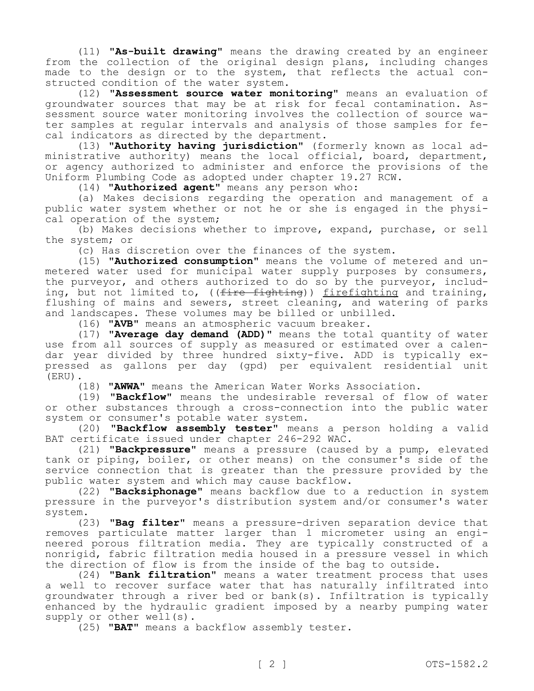(11) **"As-built drawing"** means the drawing created by an engineer from the collection of the original design plans, including changes made to the design or to the system, that reflects the actual constructed condition of the water system.

(12) **"Assessment source water monitoring"** means an evaluation of groundwater sources that may be at risk for fecal contamination. Assessment source water monitoring involves the collection of source water samples at regular intervals and analysis of those samples for fecal indicators as directed by the department.

(13) **"Authority having jurisdiction"** (formerly known as local administrative authority) means the local official, board, department, or agency authorized to administer and enforce the provisions of the Uniform Plumbing Code as adopted under chapter 19.27 RCW.

(14) **"Authorized agent"** means any person who:

(a) Makes decisions regarding the operation and management of a public water system whether or not he or she is engaged in the physical operation of the system;

(b) Makes decisions whether to improve, expand, purchase, or sell the system; or

(c) Has discretion over the finances of the system.

(15) **"Authorized consumption"** means the volume of metered and unmetered water used for municipal water supply purposes by consumers, the purveyor, and others authorized to do so by the purveyor, including, but not limited to, ((<del>fire fighting</del>)) firefighting and training, flushing of mains and sewers, street cleaning, and watering of parks and landscapes. These volumes may be billed or unbilled.

(16) **"AVB"** means an atmospheric vacuum breaker.

(17) **"Average day demand (ADD)"** means the total quantity of water use from all sources of supply as measured or estimated over a calendar year divided by three hundred sixty-five. ADD is typically expressed as gallons per day (gpd) per equivalent residential unit (ERU).

(18) **"AWWA"** means the American Water Works Association.

(19) **"Backflow"** means the undesirable reversal of flow of water or other substances through a cross-connection into the public water system or consumer's potable water system.

(20) **"Backflow assembly tester"** means a person holding a valid BAT certificate issued under chapter 246-292 WAC.

(21) **"Backpressure"** means a pressure (caused by a pump, elevated tank or piping, boiler, or other means) on the consumer's side of the service connection that is greater than the pressure provided by the public water system and which may cause backflow.

(22) **"Backsiphonage"** means backflow due to a reduction in system pressure in the purveyor's distribution system and/or consumer's water system.

(23) **"Bag filter"** means a pressure-driven separation device that removes particulate matter larger than 1 micrometer using an engineered porous filtration media. They are typically constructed of a nonrigid, fabric filtration media housed in a pressure vessel in which the direction of flow is from the inside of the bag to outside.

(24) **"Bank filtration"** means a water treatment process that uses a well to recover surface water that has naturally infiltrated into groundwater through a river bed or bank(s). Infiltration is typically enhanced by the hydraulic gradient imposed by a nearby pumping water supply or other well(s).

(25) **"BAT"** means a backflow assembly tester.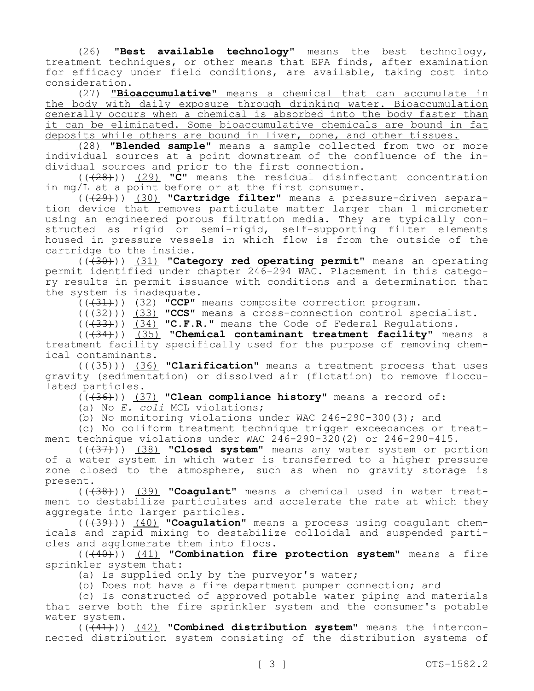(26) **"Best available technology"** means the best technology, treatment techniques, or other means that EPA finds, after examination for efficacy under field conditions, are available, taking cost into consideration.

(27) **"Bioaccumulative"** means a chemical that can accumulate in the body with daily exposure through drinking water. Bioaccumulation generally occurs when a chemical is absorbed into the body faster than it can be eliminated. Some bioaccumulative chemicals are bound in fat deposits while others are bound in liver, bone, and other tissues.

(28) **"Blended sample"** means a sample collected from two or more individual sources at a point downstream of the confluence of the individual sources and prior to the first connection.

(((28))) (29) **"C"** means the residual disinfectant concentration in mg/L at a point before or at the first consumer.

(((29))) (30) **"Cartridge filter"** means a pressure-driven separation device that removes particulate matter larger than 1 micrometer using an engineered porous filtration media. They are typically constructed as rigid or semi-rigid, self-supporting filter elements housed in pressure vessels in which flow is from the outside of the cartridge to the inside.

(((30))) (31) **"Category red operating permit"** means an operating permit identified under chapter 246-294 WAC. Placement in this category results in permit issuance with conditions and a determination that the system is inadequate.

(((31))) (32) **"CCP"** means composite correction program.

(((32))) (33) **"CCS"** means a cross-connection control specialist.

(((33))) (34) **"C.F.R."** means the Code of Federal Regulations.

(((34))) (35) **"Chemical contaminant treatment facility"** means a treatment facility specifically used for the purpose of removing chemical contaminants.

(((35))) (36) **"Clarification"** means a treatment process that uses gravity (sedimentation) or dissolved air (flotation) to remove flocculated particles.

(((36))) (37) **"Clean compliance history"** means a record of:

(a) No *E. coli* MCL violations;

(b) No monitoring violations under WAC 246-290-300(3); and

(c) No coliform treatment technique trigger exceedances or treatment technique violations under WAC 246-290-320(2) or 246-290-415.

(((37))) (38) **"Closed system"** means any water system or portion of a water system in which water is transferred to a higher pressure zone closed to the atmosphere, such as when no gravity storage is present.

(((38))) (39) **"Coagulant"** means a chemical used in water treatment to destabilize particulates and accelerate the rate at which they aggregate into larger particles.

(((39))) (40) **"Coagulation"** means a process using coagulant chemicals and rapid mixing to destabilize colloidal and suspended particles and agglomerate them into flocs.

(((40))) (41) **"Combination fire protection system"** means a fire sprinkler system that:

(a) Is supplied only by the purveyor's water;

(b) Does not have a fire department pumper connection; and

(c) Is constructed of approved potable water piping and materials that serve both the fire sprinkler system and the consumer's potable water system.

(((41))) (42) **"Combined distribution system"** means the interconnected distribution system consisting of the distribution systems of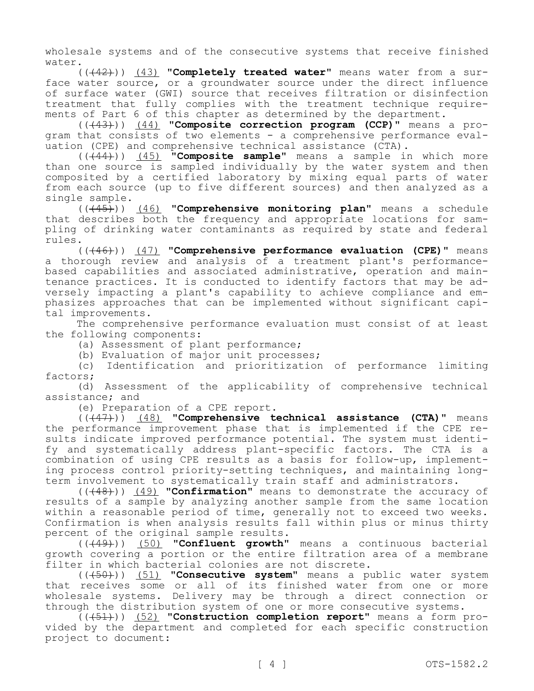wholesale systems and of the consecutive systems that receive finished water.

(((42))) (43) **"Completely treated water"** means water from a surface water source, or a groundwater source under the direct influence of surface water (GWI) source that receives filtration or disinfection treatment that fully complies with the treatment technique requirements of Part 6 of this chapter as determined by the department.

(((43))) (44) **"Composite correction program (CCP)"** means a program that consists of two elements - a comprehensive performance evaluation (CPE) and comprehensive technical assistance (CTA).

(((44))) (45) **"Composite sample"** means a sample in which more than one source is sampled individually by the water system and then composited by a certified laboratory by mixing equal parts of water from each source (up to five different sources) and then analyzed as a single sample.

(((45))) (46) **"Comprehensive monitoring plan"** means a schedule that describes both the frequency and appropriate locations for sampling of drinking water contaminants as required by state and federal rules.

(((46))) (47) **"Comprehensive performance evaluation (CPE)"** means a thorough review and analysis of a treatment plant's performancebased capabilities and associated administrative, operation and maintenance practices. It is conducted to identify factors that may be adversely impacting a plant's capability to achieve compliance and emphasizes approaches that can be implemented without significant capital improvements.

The comprehensive performance evaluation must consist of at least the following components:

(a) Assessment of plant performance;

(b) Evaluation of major unit processes;

(c) Identification and prioritization of performance limiting factors;

(d) Assessment of the applicability of comprehensive technical assistance; and

(e) Preparation of a CPE report.

(((47))) (48) **"Comprehensive technical assistance (CTA)"** means the performance improvement phase that is implemented if the CPE results indicate improved performance potential. The system must identify and systematically address plant-specific factors. The CTA is a combination of using CPE results as a basis for follow-up, implementing process control priority-setting techniques, and maintaining longterm involvement to systematically train staff and administrators.

(((48))) (49) **"Confirmation"** means to demonstrate the accuracy of results of a sample by analyzing another sample from the same location within a reasonable period of time, generally not to exceed two weeks. Confirmation is when analysis results fall within plus or minus thirty percent of the original sample results.

(((49))) (50) **"Confluent growth"** means a continuous bacterial growth covering a portion or the entire filtration area of a membrane filter in which bacterial colonies are not discrete.

(((50))) (51) **"Consecutive system"** means a public water system that receives some or all of its finished water from one or more wholesale systems. Delivery may be through a direct connection or through the distribution system of one or more consecutive systems.

(((51))) (52) **"Construction completion report"** means a form provided by the department and completed for each specific construction project to document: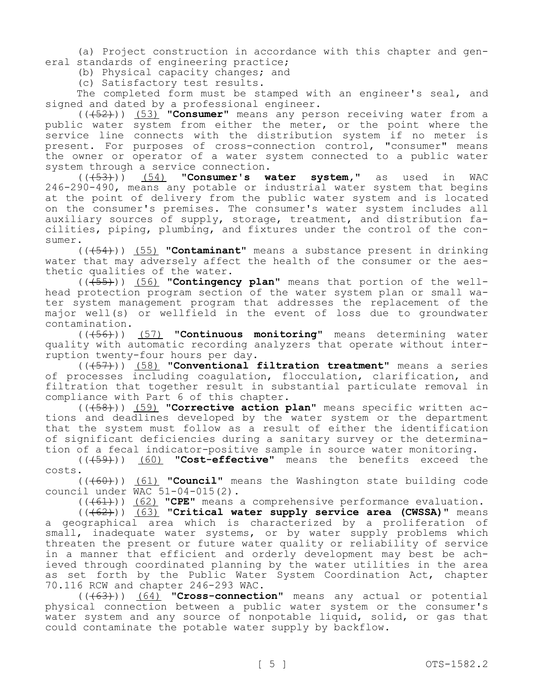(a) Project construction in accordance with this chapter and general standards of engineering practice;

(b) Physical capacity changes; and

(c) Satisfactory test results.

The completed form must be stamped with an engineer's seal, and signed and dated by a professional engineer.

(((52))) (53) **"Consumer"** means any person receiving water from a public water system from either the meter, or the point where the service line connects with the distribution system if no meter is present. For purposes of cross-connection control, "consumer" means the owner or operator of a water system connected to a public water system through a service connection.

(((53))) (54) **"Consumer's water system,"** as used in WAC 246-290-490, means any potable or industrial water system that begins at the point of delivery from the public water system and is located on the consumer's premises. The consumer's water system includes all auxiliary sources of supply, storage, treatment, and distribution facilities, piping, plumbing, and fixtures under the control of the consumer.

(((54))) (55) **"Contaminant"** means a substance present in drinking water that may adversely affect the health of the consumer or the aesthetic qualities of the water.

(((55))) (56) **"Contingency plan"** means that portion of the wellhead protection program section of the water system plan or small water system management program that addresses the replacement of the major well(s) or wellfield in the event of loss due to groundwater contamination.

(((56))) (57) **"Continuous monitoring"** means determining water quality with automatic recording analyzers that operate without interruption twenty-four hours per day.

(((57))) (58) **"Conventional filtration treatment"** means a series of processes including coagulation, flocculation, clarification, and filtration that together result in substantial particulate removal in compliance with Part 6 of this chapter.

(((58))) (59) **"Corrective action plan"** means specific written actions and deadlines developed by the water system or the department that the system must follow as a result of either the identification of significant deficiencies during a sanitary survey or the determination of a fecal indicator-positive sample in source water monitoring.

(((59))) (60) **"Cost-effective"** means the benefits exceed the costs.

(((60))) (61) **"Council"** means the Washington state building code council under WAC 51-04-015(2).

(((61))) (62) **"CPE"** means a comprehensive performance evaluation.

(((62))) (63) **"Critical water supply service area (CWSSA)"** means a geographical area which is characterized by a proliferation of small, inadequate water systems, or by water supply problems which threaten the present or future water quality or reliability of service in a manner that efficient and orderly development may best be achieved through coordinated planning by the water utilities in the area as set forth by the Public Water System Coordination Act, chapter 70.116 RCW and chapter 246-293 WAC.

(((63))) (64) **"Cross-connection"** means any actual or potential physical connection between a public water system or the consumer's water system and any source of nonpotable liquid, solid, or gas that could contaminate the potable water supply by backflow.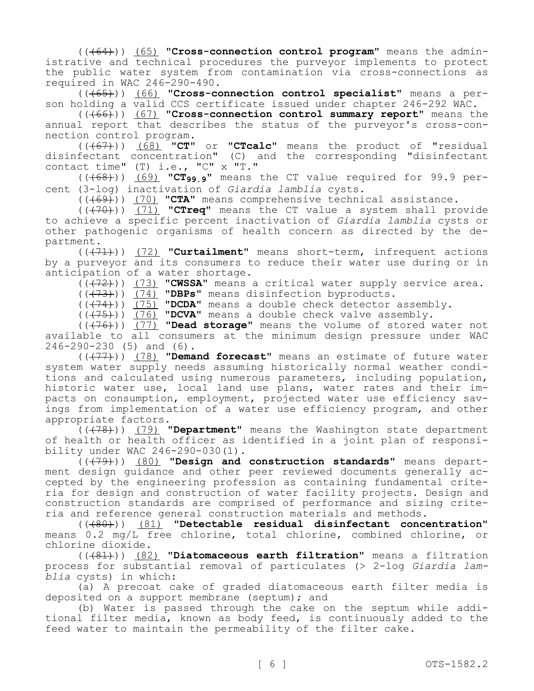(((64))) (65) **"Cross-connection control program"** means the administrative and technical procedures the purveyor implements to protect the public water system from contamination via cross-connections as required in WAC 246-290-490.

(((65))) (66) **"Cross-connection control specialist"** means a person holding a valid CCS certificate issued under chapter 246-292 WAC.

(((66))) (67) **"Cross-connection control summary report"** means the annual report that describes the status of the purveyor's cross-connection control program.

(((67))) (68) **"CT"** or **"CTcalc"** means the product of "residual disinfectant concentration" (C) and the corresponding "disinfectant contact time" (T) i.e., "C" x "T."

(((68))) (69) **"CT99.9"** means the CT value required for 99.9 percent (3-log) inactivation of *Giardia lamblia* cysts.

(((69))) (70) **"CTA"** means comprehensive technical assistance.

(((70))) (71) **"CTreq"** means the CT value a system shall provide to achieve a specific percent inactivation of *Giardia lamblia* cysts or other pathogenic organisms of health concern as directed by the department.

(((71))) (72) **"Curtailment"** means short-term, infrequent actions by a purveyor and its consumers to reduce their water use during or in anticipation of a water shortage.

(((72))) (73) **"CWSSA"** means a critical water supply service area.

(((73))) (74) **"DBPs"** means disinfection byproducts.

(((74))) (75) **"DCDA"** means a double check detector assembly.

(((75))) (76) **"DCVA"** means a double check valve assembly.

(((76))) (77) **"Dead storage"** means the volume of stored water not available to all consumers at the minimum design pressure under WAC 246-290-230 (5) and (6).

(((77))) (78) **"Demand forecast"** means an estimate of future water system water supply needs assuming historically normal weather conditions and calculated using numerous parameters, including population, historic water use, local land use plans, water rates and their impacts on consumption, employment, projected water use efficiency savings from implementation of a water use efficiency program, and other appropriate factors.

(((78))) (79) **"Department"** means the Washington state department of health or health officer as identified in a joint plan of responsibility under WAC 246-290-030(1).

(((79))) (80) **"Design and construction standards"** means department design guidance and other peer reviewed documents generally accepted by the engineering profession as containing fundamental criteria for design and construction of water facility projects. Design and construction standards are comprised of performance and sizing criteria and reference general construction materials and methods.

(((80))) (81) **"Detectable residual disinfectant concentration"**  means 0.2 mg/L free chlorine, total chlorine, combined chlorine, or chlorine dioxide.

(((81))) (82) **"Diatomaceous earth filtration"** means a filtration process for substantial removal of particulates (˃ 2-log *Giardia lamblia* cysts) in which:

(a) A precoat cake of graded diatomaceous earth filter media is deposited on a support membrane (septum); and

(b) Water is passed through the cake on the septum while additional filter media, known as body feed, is continuously added to the feed water to maintain the permeability of the filter cake.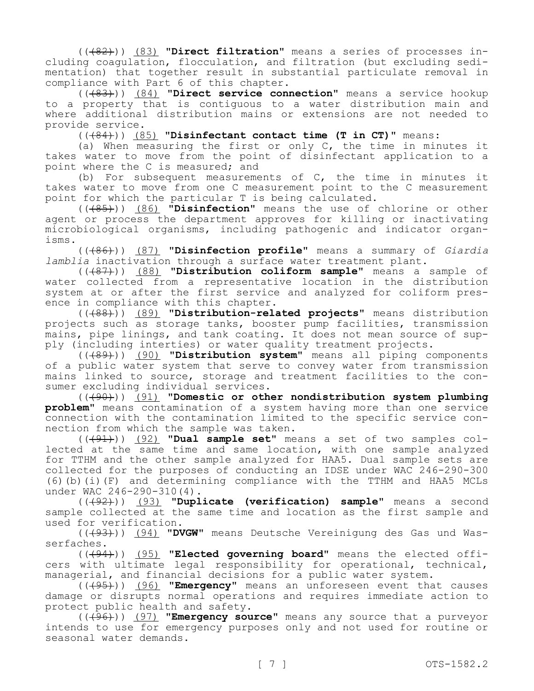(((82))) (83) **"Direct filtration"** means a series of processes including coagulation, flocculation, and filtration (but excluding sedimentation) that together result in substantial particulate removal in compliance with Part 6 of this chapter.

(((83))) (84) **"Direct service connection"** means a service hookup to a property that is contiguous to a water distribution main and where additional distribution mains or extensions are not needed to provide service.

(((84))) (85) **"Disinfectant contact time (T in CT)"** means:

(a) When measuring the first or only C, the time in minutes it takes water to move from the point of disinfectant application to a point where the C is measured; and

(b) For subsequent measurements of C, the time in minutes it takes water to move from one C measurement point to the C measurement point for which the particular T is being calculated.

(((85))) (86) **"Disinfection"** means the use of chlorine or other agent or process the department approves for killing or inactivating microbiological organisms, including pathogenic and indicator organisms.

(((86))) (87) **"Disinfection profile"** means a summary of *Giardia lamblia* inactivation through a surface water treatment plant.

(((87))) (88) **"Distribution coliform sample"** means a sample of water collected from a representative location in the distribution system at or after the first service and analyzed for coliform presence in compliance with this chapter.

(((88))) (89) **"Distribution-related projects"** means distribution projects such as storage tanks, booster pump facilities, transmission mains, pipe linings, and tank coating. It does not mean source of supply (including interties) or water quality treatment projects.

(((89))) (90) **"Distribution system"** means all piping components of a public water system that serve to convey water from transmission mains linked to source, storage and treatment facilities to the consumer excluding individual services.

(((90))) (91) **"Domestic or other nondistribution system plumbing problem"** means contamination of a system having more than one service connection with the contamination limited to the specific service connection from which the sample was taken.

(((91))) (92) **"Dual sample set"** means a set of two samples collected at the same time and same location, with one sample analyzed for TTHM and the other sample analyzed for HAA5. Dual sample sets are collected for the purposes of conducting an IDSE under WAC 246-290-300 (6)(b)(i)(F) and determining compliance with the TTHM and HAA5 MCLs under WAC 246-290-310(4).

(((92))) (93) **"Duplicate (verification) sample"** means a second sample collected at the same time and location as the first sample and used for verification.

(((93))) (94) **"DVGW"** means Deutsche Vereinigung des Gas und Wasserfaches.

(((94))) (95) **"Elected governing board"** means the elected officers with ultimate legal responsibility for operational, technical, managerial, and financial decisions for a public water system.

(((95))) (96) **"Emergency"** means an unforeseen event that causes damage or disrupts normal operations and requires immediate action to protect public health and safety.

(((96))) (97) **"Emergency source"** means any source that a purveyor intends to use for emergency purposes only and not used for routine or seasonal water demands.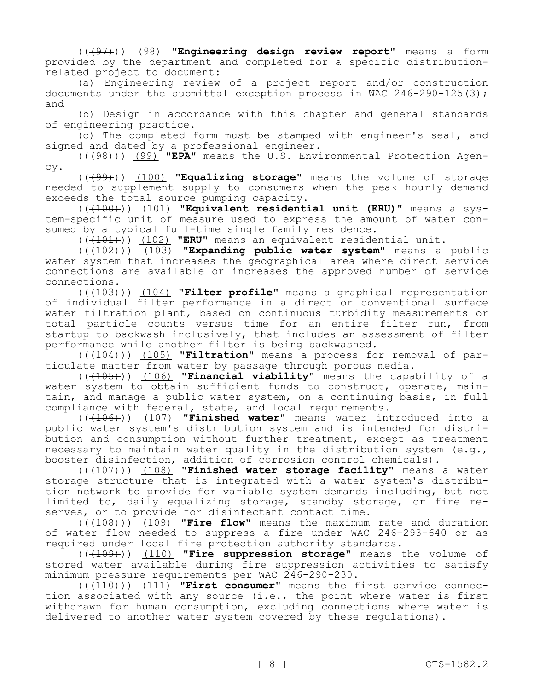(((97))) (98) **"Engineering design review report"** means a form provided by the department and completed for a specific distributionrelated project to document:

(a) Engineering review of a project report and/or construction documents under the submittal exception process in WAC  $246-290-125(3)$ ; and

(b) Design in accordance with this chapter and general standards of engineering practice.

(c) The completed form must be stamped with engineer's seal, and signed and dated by a professional engineer.

(((98))) (99) **"EPA"** means the U.S. Environmental Protection Agency.

(((99))) (100) **"Equalizing storage"** means the volume of storage needed to supplement supply to consumers when the peak hourly demand exceeds the total source pumping capacity.

(((100))) (101) **"Equivalent residential unit (ERU)"** means a system-specific unit of measure used to express the amount of water consumed by a typical full-time single family residence.

(((101))) (102) **"ERU"** means an equivalent residential unit.

(((102))) (103) **"Expanding public water system"** means a public water system that increases the geographical area where direct service connections are available or increases the approved number of service connections.

(((103))) (104) **"Filter profile"** means a graphical representation of individual filter performance in a direct or conventional surface water filtration plant, based on continuous turbidity measurements or total particle counts versus time for an entire filter run, from startup to backwash inclusively, that includes an assessment of filter performance while another filter is being backwashed.

(((104))) (105) **"Filtration"** means a process for removal of particulate matter from water by passage through porous media.

(((105))) (106) **"Financial viability"** means the capability of a water system to obtain sufficient funds to construct, operate, maintain, and manage a public water system, on a continuing basis, in full compliance with federal, state, and local requirements.

(((106))) (107) **"Finished water"** means water introduced into a public water system's distribution system and is intended for distribution and consumption without further treatment, except as treatment necessary to maintain water quality in the distribution system (e.g., booster disinfection, addition of corrosion control chemicals).

(((107))) (108) **"Finished water storage facility"** means a water storage structure that is integrated with a water system's distribution network to provide for variable system demands including, but not limited to, daily equalizing storage, standby storage, or fire reserves, or to provide for disinfectant contact time.

(((108))) (109) **"Fire flow"** means the maximum rate and duration of water flow needed to suppress a fire under WAC 246-293-640 or as required under local fire protection authority standards.

(((109))) (110) **"Fire suppression storage"** means the volume of stored water available during fire suppression activities to satisfy minimum pressure requirements per WAC 246-290-230.

(((110))) (111) **"First consumer"** means the first service connection associated with any source (i.e., the point where water is first withdrawn for human consumption, excluding connections where water is delivered to another water system covered by these regulations).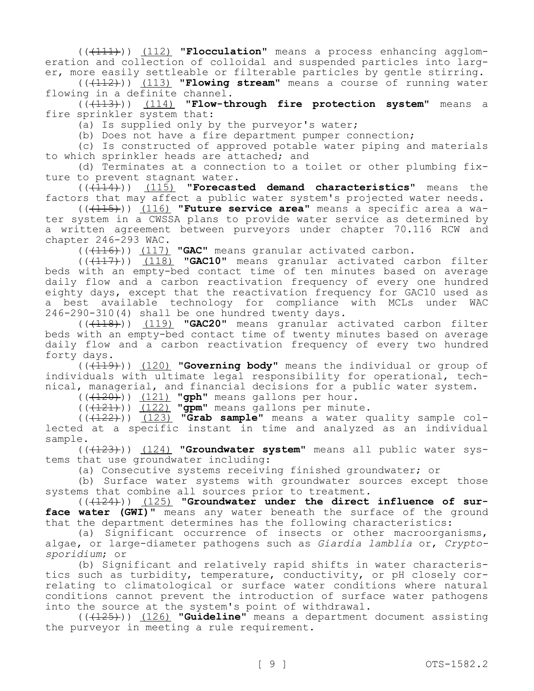(((111))) (112) **"Flocculation"** means a process enhancing agglomeration and collection of colloidal and suspended particles into larger, more easily settleable or filterable particles by gentle stirring.

(((112))) (113) **"Flowing stream"** means a course of running water flowing in a definite channel.

(((113))) (114) **"Flow-through fire protection system"** means a fire sprinkler system that:

(a) Is supplied only by the purveyor's water;

(b) Does not have a fire department pumper connection;

(c) Is constructed of approved potable water piping and materials to which sprinkler heads are attached; and

(d) Terminates at a connection to a toilet or other plumbing fixture to prevent stagnant water.

(((114))) (115) **"Forecasted demand characteristics"** means the factors that may affect a public water system's projected water needs.

(((115))) (116) **"Future service area"** means a specific area a water system in a CWSSA plans to provide water service as determined by a written agreement between purveyors under chapter 70.116 RCW and chapter 246-293 WAC.

(((116)) (117) **"GAC"** means granular activated carbon.

(((117))) (118) **"GAC10"** means granular activated carbon filter beds with an empty-bed contact time of ten minutes based on average daily flow and a carbon reactivation frequency of every one hundred eighty days, except that the reactivation frequency for GAC10 used as a best available technology for compliance with MCLs under WAC 246-290-310(4) shall be one hundred twenty days.

(((118))) (119) **"GAC20"** means granular activated carbon filter beds with an empty-bed contact time of twenty minutes based on average daily flow and a carbon reactivation frequency of every two hundred forty days.

(((119))) (120) **"Governing body"** means the individual or group of individuals with ultimate legal responsibility for operational, technical, managerial, and financial decisions for a public water system.

(((120))) (121) **"gph"** means gallons per hour.

 $((+121))$   $(122)$  **"gpm"** means gallons per minute.

 $((\text{(+122+)}))$   $(123)$  **"Grab sample"** means a water quality sample collected at a specific instant in time and analyzed as an individual sample.

(((123))) (124) **"Groundwater system"** means all public water systems that use groundwater including:

(a) Consecutive systems receiving finished groundwater; or

(b) Surface water systems with groundwater sources except those systems that combine all sources prior to treatment.

(((124))) (125) **"Groundwater under the direct influence of sur**face water (GWI)" means any water beneath the surface of the ground that the department determines has the following characteristics:

(a) Significant occurrence of insects or other macroorganisms, algae, or large-diameter pathogens such as *Giardia lamblia* or, *Cryptosporidium*; or

(b) Significant and relatively rapid shifts in water characteristics such as turbidity, temperature, conductivity, or pH closely correlating to climatological or surface water conditions where natural conditions cannot prevent the introduction of surface water pathogens into the source at the system's point of withdrawal.

(((125))) (126) **"Guideline"** means a department document assisting the purveyor in meeting a rule requirement.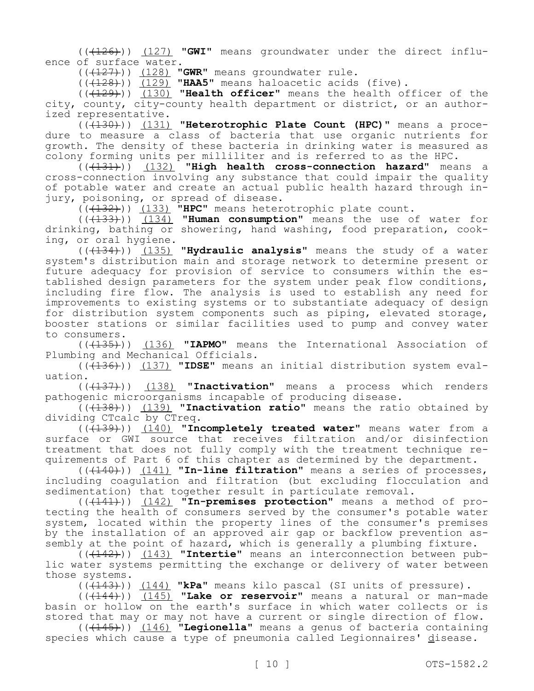(((126))) (127) **"GWI"** means groundwater under the direct influence of surface water.

(((127))) (128) **"GWR"** means groundwater rule.

(((128))) (129) **"HAA5"** means haloacetic acids (five).

(((129))) (130) **"Health officer"** means the health officer of the city, county, city-county health department or district, or an authorized representative.

(((130))) (131) **"Heterotrophic Plate Count (HPC)"** means a procedure to measure a class of bacteria that use organic nutrients for growth. The density of these bacteria in drinking water is measured as colony forming units per milliliter and is referred to as the HPC.

(((131))) (132) **"High health cross-connection hazard"** means a cross-connection involving any substance that could impair the quality of potable water and create an actual public health hazard through injury, poisoning, or spread of disease.

(((132))) (133) **"HPC"** means heterotrophic plate count.

(((133))) (134) **"Human consumption"** means the use of water for drinking, bathing or showering, hand washing, food preparation, cooking, or oral hygiene.

(((134))) (135) **"Hydraulic analysis"** means the study of a water system's distribution main and storage network to determine present or future adequacy for provision of service to consumers within the established design parameters for the system under peak flow conditions, including fire flow. The analysis is used to establish any need for improvements to existing systems or to substantiate adequacy of design for distribution system components such as piping, elevated storage, booster stations or similar facilities used to pump and convey water to consumers.

(((135))) (136) **"IAPMO"** means the International Association of Plumbing and Mechanical Officials.

(((136))) (137) **"IDSE"** means an initial distribution system evaluation.

(((137))) (138) **"Inactivation"** means a process which renders pathogenic microorganisms incapable of producing disease.

(((138))) (139) **"Inactivation ratio"** means the ratio obtained by dividing CTcalc by CTreq.

(((139))) (140) **"Incompletely treated water"** means water from a surface or GWI source that receives filtration and/or disinfection treatment that does not fully comply with the treatment technique requirements of Part 6 of this chapter as determined by the department.

(((140))) (141) **"In-line filtration"** means a series of processes, including coagulation and filtration (but excluding flocculation and sedimentation) that together result in particulate removal.

(((141))) (142) **"In-premises protection"** means a method of protecting the health of consumers served by the consumer's potable water system, located within the property lines of the consumer's premises by the installation of an approved air gap or backflow prevention assembly at the point of hazard, which is generally a plumbing fixture.

(((142))) (143) **"Intertie"** means an interconnection between public water systems permitting the exchange or delivery of water between those systems.

(((143))) (144) **"kPa"** means kilo pascal (SI units of pressure).

(((144))) (145) **"Lake or reservoir"** means a natural or man-made basin or hollow on the earth's surface in which water collects or is stored that may or may not have a current or single direction of flow.

(((145))) (146) **"Legionella"** means a genus of bacteria containing species which cause a type of pneumonia called Legionnaires' disease.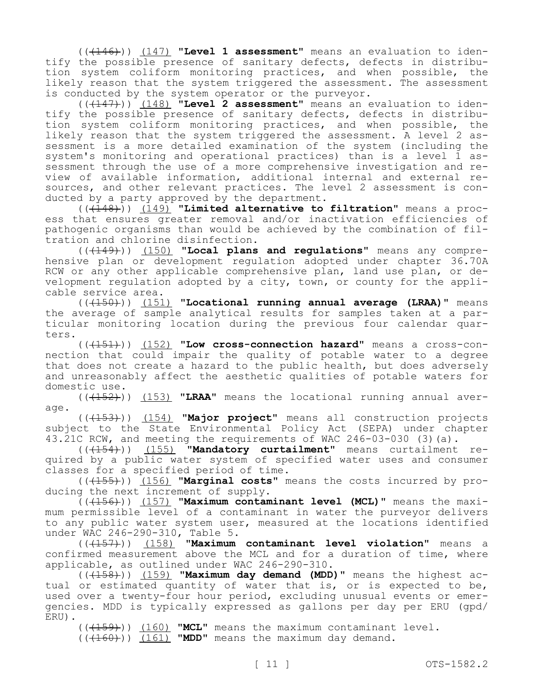(((146))) (147) **"Level 1 assessment"** means an evaluation to identify the possible presence of sanitary defects, defects in distribution system coliform monitoring practices, and when possible, the likely reason that the system triggered the assessment. The assessment is conducted by the system operator or the purveyor.

(((147))) (148) **"Level 2 assessment"** means an evaluation to identify the possible presence of sanitary defects, defects in distribution system coliform monitoring practices, and when possible, the likely reason that the system triggered the assessment. A level 2 assessment is a more detailed examination of the system (including the system's monitoring and operational practices) than is a level 1 assessment through the use of a more comprehensive investigation and review of available information, additional internal and external resources, and other relevant practices. The level 2 assessment is conducted by a party approved by the department.

(((148))) (149) **"Limited alternative to filtration"** means a process that ensures greater removal and/or inactivation efficiencies of pathogenic organisms than would be achieved by the combination of filtration and chlorine disinfection.

(((149))) (150) **"Local plans and regulations"** means any comprehensive plan or development regulation adopted under chapter 36.70A RCW or any other applicable comprehensive plan, land use plan, or development regulation adopted by a city, town, or county for the applicable service area.

(((150))) (151) **"Locational running annual average (LRAA)"** means the average of sample analytical results for samples taken at a particular monitoring location during the previous four calendar quarters.

(((151))) (152) **"Low cross-connection hazard"** means a cross-connection that could impair the quality of potable water to a degree that does not create a hazard to the public health, but does adversely and unreasonably affect the aesthetic qualities of potable waters for domestic use.

(((152))) (153) **"LRAA"** means the locational running annual average.

(((153))) (154) **"Major project"** means all construction projects subject to the State Environmental Policy Act (SEPA) under chapter 43.21C RCW, and meeting the requirements of WAC 246-03-030 (3)(a).

(((154))) (155) **"Mandatory curtailment"** means curtailment required by a public water system of specified water uses and consumer classes for a specified period of time.

(((155))) (156) **"Marginal costs"** means the costs incurred by producing the next increment of supply.

(((156))) (157) **"Maximum contaminant level (MCL)"** means the maximum permissible level of a contaminant in water the purveyor delivers to any public water system user, measured at the locations identified under WAC 246-290-310, Table 5.

(((157))) (158) **"Maximum contaminant level violation"** means a confirmed measurement above the MCL and for a duration of time, where applicable, as outlined under WAC 246-290-310.

(((158))) (159) **"Maximum day demand (MDD)"** means the highest actual or estimated quantity of water that is, or is expected to be, used over a twenty-four hour period, excluding unusual events or emergencies. MDD is typically expressed as gallons per day per ERU (gpd/ ERU).

(((159))) (160) **"MCL"** means the maximum contaminant level.

 $((+160))$   $(161)$  **"MDD"** means the maximum day demand.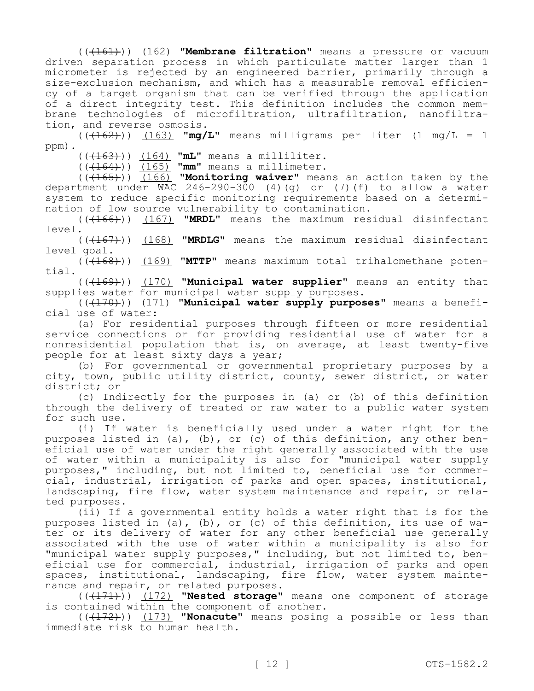(((161))) (162) **"Membrane filtration"** means a pressure or vacuum driven separation process in which particulate matter larger than 1 micrometer is rejected by an engineered barrier, primarily through a size-exclusion mechanism, and which has a measurable removal efficiency of a target organism that can be verified through the application of a direct integrity test. This definition includes the common membrane technologies of microfiltration, ultrafiltration, nanofiltration, and reverse osmosis.

 $((+162))$   $(163)$  **"mg/L"** means milligrams per liter  $(1 \text{ mg/L} = 1$ ppm).

(((163))) (164) **"mL"** means a milliliter.

(((164))) (165) **"mm"** means a millimeter.

(((165))) (166) **"Monitoring waiver"** means an action taken by the department under WAC 246-290-300 (4)(g) or (7)(f) to allow a water system to reduce specific monitoring requirements based on a determination of low source vulnerability to contamination.

(((166))) (167) **"MRDL"** means the maximum residual disinfectant level.

(((167))) (168) **"MRDLG"** means the maximum residual disinfectant level goal.

(((168))) (169) **"MTTP"** means maximum total trihalomethane potential.

(((169))) (170) **"Municipal water supplier"** means an entity that supplies water for municipal water supply purposes.

(((170))) (171) **"Municipal water supply purposes"** means a beneficial use of water:

(a) For residential purposes through fifteen or more residential service connections or for providing residential use of water for a nonresidential population that is, on average, at least twenty-five people for at least sixty days a year;

(b) For governmental or governmental proprietary purposes by a city, town, public utility district, county, sewer district, or water district; or

(c) Indirectly for the purposes in (a) or (b) of this definition through the delivery of treated or raw water to a public water system for such use.

(i) If water is beneficially used under a water right for the purposes listed in (a), (b), or (c) of this definition, any other beneficial use of water under the right generally associated with the use of water within a municipality is also for "municipal water supply purposes," including, but not limited to, beneficial use for commercial, industrial, irrigation of parks and open spaces, institutional, landscaping, fire flow, water system maintenance and repair, or related purposes.

(ii) If a governmental entity holds a water right that is for the purposes listed in (a), (b), or (c) of this definition, its use of water or its delivery of water for any other beneficial use generally associated with the use of water within a municipality is also for "municipal water supply purposes," including, but not limited to, beneficial use for commercial, industrial, irrigation of parks and open spaces, institutional, landscaping, fire flow, water system maintenance and repair, or related purposes.

(((171))) (172) **"Nested storage"** means one component of storage is contained within the component of another.

(((172))) (173) **"Nonacute"** means posing a possible or less than immediate risk to human health.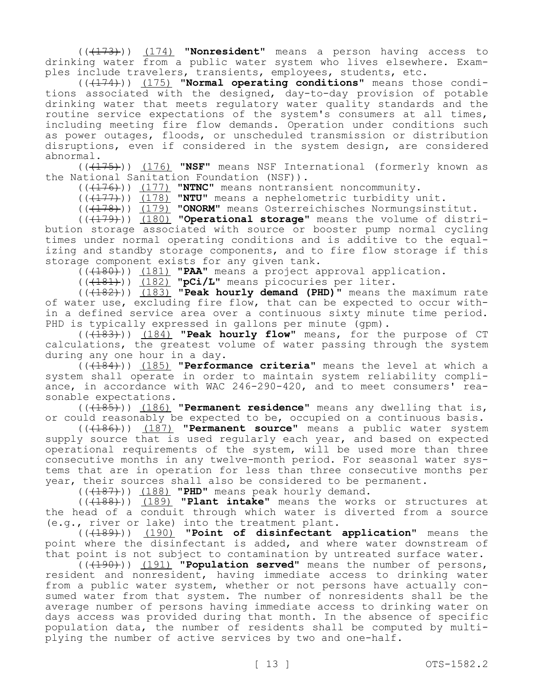(((173))) (174) **"Nonresident"** means a person having access to drinking water from a public water system who lives elsewhere. Examples include travelers, transients, employees, students, etc.

(((174))) (175) **"Normal operating conditions"** means those conditions associated with the designed, day-to-day provision of potable drinking water that meets regulatory water quality standards and the routine service expectations of the system's consumers at all times, including meeting fire flow demands. Operation under conditions such as power outages, floods, or unscheduled transmission or distribution disruptions, even if considered in the system design, are considered abnormal.

(((175))) (176) **"NSF"** means NSF International (formerly known as the National Sanitation Foundation (NSF)).

(((176))) (177) **"NTNC"** means nontransient noncommunity.

(((177))) (178) **"NTU"** means a nephelometric turbidity unit.

(((178))) (179) **"ONORM"** means Osterreichisches Normungsinstitut.

(((179))) (180) **"Operational storage"** means the volume of distribution storage associated with source or booster pump normal cycling times under normal operating conditions and is additive to the equalizing and standby storage components, and to fire flow storage if this storage component exists for any given tank.

(((180))) (181) **"PAA"** means a project approval application.

(((181))) (182) **"pCi/L"** means picocuries per liter.

(((182))) (183) **"Peak hourly demand (PHD)"** means the maximum rate of water use, excluding fire flow, that can be expected to occur within a defined service area over a continuous sixty minute time period. PHD is typically expressed in gallons per minute (qpm).

(((183))) (184) **"Peak hourly flow"** means, for the purpose of CT calculations, the greatest volume of water passing through the system during any one hour in a day.

(((184))) (185) **"Performance criteria"** means the level at which a system shall operate in order to maintain system reliability compliance, in accordance with WAC 246-290-420, and to meet consumers' reasonable expectations.

(((185))) (186) **"Permanent residence"** means any dwelling that is, or could reasonably be expected to be, occupied on a continuous basis.

(((186))) (187) **"Permanent source"** means a public water system supply source that is used regularly each year, and based on expected operational requirements of the system, will be used more than three consecutive months in any twelve-month period. For seasonal water systems that are in operation for less than three consecutive months per year, their sources shall also be considered to be permanent.

(((187))) (188) **"PHD"** means peak hourly demand.

(((188))) (189) **"Plant intake"** means the works or structures at the head of a conduit through which water is diverted from a source (e.g., river or lake) into the treatment plant.

(((189))) (190) **"Point of disinfectant application"** means the point where the disinfectant is added, and where water downstream of that point is not subject to contamination by untreated surface water.

(((190))) (191) **"Population served"** means the number of persons, resident and nonresident, having immediate access to drinking water from a public water system, whether or not persons have actually consumed water from that system. The number of nonresidents shall be the average number of persons having immediate access to drinking water on days access was provided during that month. In the absence of specific population data, the number of residents shall be computed by multiplying the number of active services by two and one-half.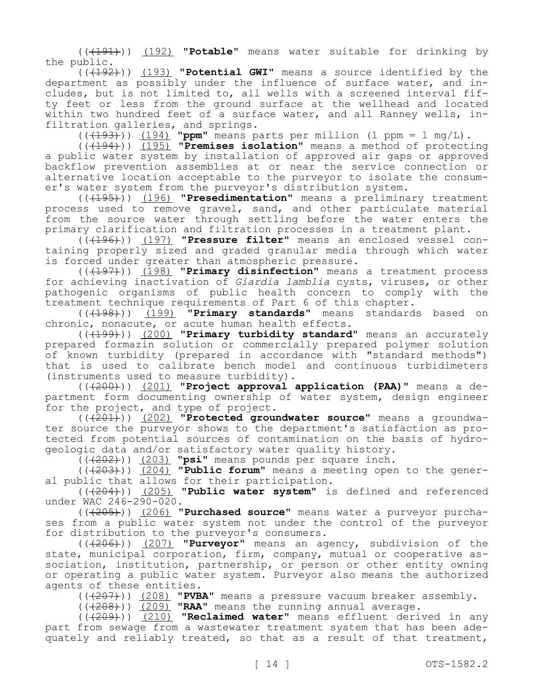(((191))) (192) **"Potable"** means water suitable for drinking by the public.

(((192))) (193) **"Potential GWI"** means a source identified by the department as possibly under the influence of surface water, and includes, but is not limited to, all wells with a screened interval fifty feet or less from the ground surface at the wellhead and located within two hundred feet of a surface water, and all Ranney wells, infiltration galleries, and springs.

 $((+193))$   $(194)$  **"ppm"** means parts per million (1 ppm = 1 mq/L).

(((194))) (195) **"Premises isolation"** means a method of protecting a public water system by installation of approved air gaps or approved backflow prevention assemblies at or near the service connection or alternative location acceptable to the purveyor to isolate the consumer's water system from the purveyor's distribution system.

(((195))) (196) **"Presedimentation"** means a preliminary treatment process used to remove gravel, sand, and other particulate material from the source water through settling before the water enters the primary clarification and filtration processes in a treatment plant.

(((196))) (197) **"Pressure filter"** means an enclosed vessel containing properly sized and graded granular media through which water is forced under greater than atmospheric pressure.

(((197))) (198) **"Primary disinfection"** means a treatment process for achieving inactivation of *Giardia lamblia* cysts, viruses, or other pathogenic organisms of public health concern to comply with the treatment technique requirements of Part 6 of this chapter.

(((198))) (199) **"Primary standards"** means standards based on chronic, nonacute, or acute human health effects.

(((199))) (200) **"Primary turbidity standard"** means an accurately prepared formazin solution or commercially prepared polymer solution of known turbidity (prepared in accordance with "standard methods") that is used to calibrate bench model and continuous turbidimeters (instruments used to measure turbidity).

(((200))) (201) **"Project approval application (PAA)"** means a department form documenting ownership of water system, design engineer for the project, and type of project.

(((201))) (202) **"Protected groundwater source"** means a groundwater source the purveyor shows to the department's satisfaction as protected from potential sources of contamination on the basis of hydrogeologic data and/or satisfactory water quality history.

(((202))) (203) **"psi"** means pounds per square inch.

(((203))) (204) **"Public forum"** means a meeting open to the general public that allows for their participation.

(((204))) (205) **"Public water system"** is defined and referenced under WAC 246-290-020.

(((205))) (206) **"Purchased source"** means water a purveyor purchases from a public water system not under the control of the purveyor for distribution to the purveyor's consumers.

(((206))) (207) **"Purveyor"** means an agency, subdivision of the state, municipal corporation, firm, company, mutual or cooperative association, institution, partnership, or person or other entity owning or operating a public water system. Purveyor also means the authorized agents of these entities.

(((207))) (208) **"PVBA"** means a pressure vacuum breaker assembly.

(((208))) (209) **"RAA"** means the running annual average.

(((209))) (210) **"Reclaimed water"** means effluent derived in any part from sewage from a wastewater treatment system that has been adequately and reliably treated, so that as a result of that treatment,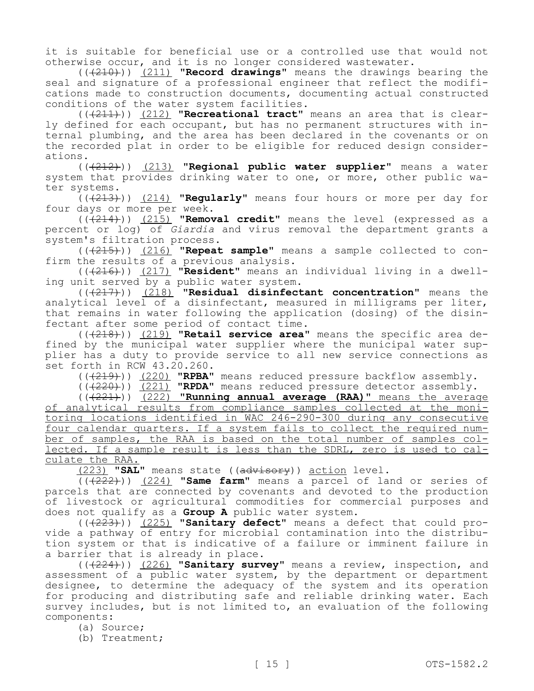it is suitable for beneficial use or a controlled use that would not otherwise occur, and it is no longer considered wastewater.

(((210))) (211) **"Record drawings"** means the drawings bearing the seal and signature of a professional engineer that reflect the modifications made to construction documents, documenting actual constructed conditions of the water system facilities.

(((211))) (212) **"Recreational tract"** means an area that is clearly defined for each occupant, but has no permanent structures with internal plumbing, and the area has been declared in the covenants or on the recorded plat in order to be eligible for reduced design considerations.

(((212))) (213) **"Regional public water supplier"** means a water system that provides drinking water to one, or more, other public water systems.

(((213))) (214) **"Regularly"** means four hours or more per day for four days or more per week.

(((214))) (215) **"Removal credit"** means the level (expressed as a percent or log) of *Giardia* and virus removal the department grants a system's filtration process.

(((215))) (216) **"Repeat sample"** means a sample collected to confirm the results of a previous analysis.

(((216))) (217) **"Resident"** means an individual living in a dwelling unit served by a public water system.

(((217))) (218) **"Residual disinfectant concentration"** means the analytical level of a disinfectant, measured in milligrams per liter, that remains in water following the application (dosing) of the disinfectant after some period of contact time.

(((218))) (219) **"Retail service area"** means the specific area defined by the municipal water supplier where the municipal water supplier has a duty to provide service to all new service connections as set forth in RCW 43.20.260.

(((219))) (220) **"RPBA"** means reduced pressure backflow assembly.

(((220))) (221) **"RPDA"** means reduced pressure detector assembly.

(((221))) (222) **"Running annual average (RAA)"** means the average of analytical results from compliance samples collected at the monitoring locations identified in WAC 246-290-300 during any consecutive four calendar quarters. If a system fails to collect the required number of samples, the RAA is based on the total number of samples collected. If a sample result is less than the SDRL, zero is used to calculate the RAA.

(223) **"SAL"** means state ((advisory)) action level.

(((222))) (224) **"Same farm"** means a parcel of land or series of parcels that are connected by covenants and devoted to the production of livestock or agricultural commodities for commercial purposes and does not qualify as a **Group A** public water system.

(((223))) (225) **"Sanitary defect"** means a defect that could provide a pathway of entry for microbial contamination into the distribution system or that is indicative of a failure or imminent failure in a barrier that is already in place.

(((224))) (226) **"Sanitary survey"** means a review, inspection, and assessment of a public water system, by the department or department designee, to determine the adequacy of the system and its operation for producing and distributing safe and reliable drinking water. Each survey includes, but is not limited to, an evaluation of the following components:

(a) Source;

(b) Treatment;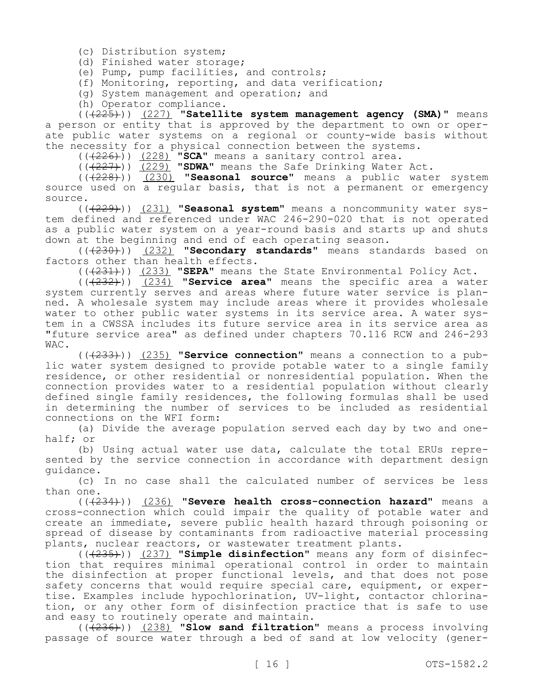(c) Distribution system;

(d) Finished water storage;

(e) Pump, pump facilities, and controls;

(f) Monitoring, reporting, and data verification;

(g) System management and operation; and

(h) Operator compliance.

(((225))) (227) **"Satellite system management agency (SMA)"** means a person or entity that is approved by the department to own or operate public water systems on a regional or county-wide basis without the necessity for a physical connection between the systems.

(((226))) (228) **"SCA"** means a sanitary control area.

(((227))) (229) **"SDWA"** means the Safe Drinking Water Act.

(((228))) (230) **"Seasonal source"** means a public water system source used on a regular basis, that is not a permanent or emergency source.

(((229))) (231) **"Seasonal system"** means a noncommunity water system defined and referenced under WAC 246-290-020 that is not operated as a public water system on a year-round basis and starts up and shuts down at the beginning and end of each operating season.

(((230))) (232) **"Secondary standards"** means standards based on factors other than health effects.

(((231))) (233) **"SEPA"** means the State Environmental Policy Act.

(((232))) (234) **"Service area"** means the specific area a water system currently serves and areas where future water service is planned. A wholesale system may include areas where it provides wholesale water to other public water systems in its service area. A water system in a CWSSA includes its future service area in its service area as "future service area" as defined under chapters 70.116 RCW and 246-293 WAC.

(((233))) (235) **"Service connection"** means a connection to a public water system designed to provide potable water to a single family residence, or other residential or nonresidential population. When the connection provides water to a residential population without clearly defined single family residences, the following formulas shall be used in determining the number of services to be included as residential connections on the WFI form:

(a) Divide the average population served each day by two and onehalf; or

(b) Using actual water use data, calculate the total ERUs represented by the service connection in accordance with department design guidance.

(c) In no case shall the calculated number of services be less than one.

(((234))) (236) **"Severe health cross-connection hazard"** means a cross-connection which could impair the quality of potable water and create an immediate, severe public health hazard through poisoning or spread of disease by contaminants from radioactive material processing plants, nuclear reactors, or wastewater treatment plants.

(((235))) (237) **"Simple disinfection"** means any form of disinfection that requires minimal operational control in order to maintain the disinfection at proper functional levels, and that does not pose safety concerns that would require special care, equipment, or expertise. Examples include hypochlorination, UV-light, contactor chlorination, or any other form of disinfection practice that is safe to use and easy to routinely operate and maintain.

(((236))) (238) **"Slow sand filtration"** means a process involving passage of source water through a bed of sand at low velocity (gener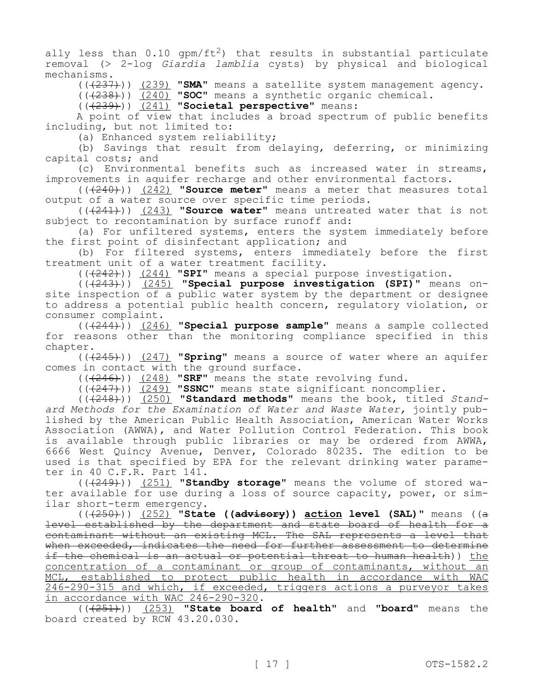ally less than  $0.10$  gpm/ft<sup>2</sup>) that results in substantial particulate removal (˃ 2-log *Giardia lamblia* cysts) by physical and biological mechanisms.

(((237))) (239) **"SMA"** means a satellite system management agency.

(((238))) (240) **"SOC"** means a synthetic organic chemical.

(((239))) (241) **"Societal perspective"** means:

A point of view that includes a broad spectrum of public benefits including, but not limited to:

(a) Enhanced system reliability;

(b) Savings that result from delaying, deferring, or minimizing capital costs; and

(c) Environmental benefits such as increased water in streams, improvements in aquifer recharge and other environmental factors.

(((240))) (242) **"Source meter"** means a meter that measures total output of a water source over specific time periods.

(((241))) (243) **"Source water"** means untreated water that is not subject to recontamination by surface runoff and:

(a) For unfiltered systems, enters the system immediately before the first point of disinfectant application; and

(b) For filtered systems, enters immediately before the first treatment unit of a water treatment facility.

(((242))) (244) **"SPI"** means a special purpose investigation.

(((243))) (245) **"Special purpose investigation (SPI)"** means onsite inspection of a public water system by the department or designee to address a potential public health concern, regulatory violation, or consumer complaint.

(((244))) (246) **"Special purpose sample"** means a sample collected for reasons other than the monitoring compliance specified in this chapter.

(((245))) (247) **"Spring"** means a source of water where an aquifer comes in contact with the ground surface.

(((246))) (248) **"SRF"** means the state revolving fund.

(((247))) (249) **"SSNC"** means state significant noncomplier.

(((248))) (250) **"Standard methods"** means the book, titled *Standard Methods for the Examination of Water and Waste Water,* jointly published by the American Public Health Association, American Water Works Association (AWWA), and Water Pollution Control Federation. This book is available through public libraries or may be ordered from AWWA, 6666 West Quincy Avenue, Denver, Colorado 80235. The edition to be used is that specified by EPA for the relevant drinking water parameter in 40 C.F.R. Part 141.

(((249))) (251) **"Standby storage"** means the volume of stored water available for use during a loss of source capacity, power, or similar short-term emergency.

(((250))) (252) **"State ((advisory)) action level (SAL)"** means ((a level established by the department and state board of health for a contaminant without an existing MCL. The SAL represents a level that when exceeded, indicates the need for further assessment to determine if the chemical is an actual or potential threat to human health)) the concentration of a contaminant or group of contaminants, without an MCL, established to protect public health in accordance with WAC 246-290-315 and which, if exceeded, triggers actions a purveyor takes in accordance with WAC 246-290-320.

(((251))) (253) **"State board of health"** and **"board"** means the board created by RCW 43.20.030.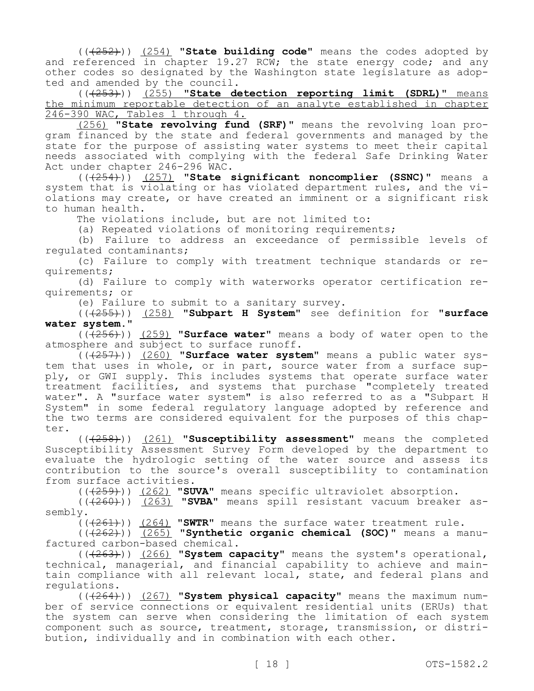(((252))) (254) **"State building code"** means the codes adopted by and referenced in chapter 19.27 RCW; the state energy code; and any other codes so designated by the Washington state legislature as adopted and amended by the council.

(((253))) (255) **"State detection reporting limit (SDRL)"** means the minimum reportable detection of an analyte established in chapter 246-390 WAC, Tables 1 through 4.

(256) **"State revolving fund (SRF)"** means the revolving loan program financed by the state and federal governments and managed by the state for the purpose of assisting water systems to meet their capital needs associated with complying with the federal Safe Drinking Water Act under chapter 246-296 WAC.

(((254))) (257) **"State significant noncomplier (SSNC)"** means a system that is violating or has violated department rules, and the violations may create, or have created an imminent or a significant risk to human health.

The violations include, but are not limited to:

(a) Repeated violations of monitoring requirements;

(b) Failure to address an exceedance of permissible levels of regulated contaminants;

(c) Failure to comply with treatment technique standards or requirements;

(d) Failure to comply with waterworks operator certification requirements; or

(e) Failure to submit to a sanitary survey.

(((255))) (258) **"Subpart H System"** see definition for **"surface water system."**

(((256))) (259) **"Surface water"** means a body of water open to the atmosphere and subject to surface runoff.

(((257))) (260) **"Surface water system"** means a public water system that uses in whole, or in part, source water from a surface supply, or GWI supply. This includes systems that operate surface water treatment facilities, and systems that purchase "completely treated water". A "surface water system" is also referred to as a "Subpart H System" in some federal regulatory language adopted by reference and the two terms are considered equivalent for the purposes of this chapter.

(((258))) (261) **"Susceptibility assessment"** means the completed Susceptibility Assessment Survey Form developed by the department to evaluate the hydrologic setting of the water source and assess its contribution to the source's overall susceptibility to contamination from surface activities.

(((259))) (262) **"SUVA"** means specific ultraviolet absorption.

(((260))) (263) **"SVBA"** means spill resistant vacuum breaker assembly.

(((261))) (264) **"SWTR"** means the surface water treatment rule.

(((262))) (265) **"Synthetic organic chemical (SOC)"** means a manufactured carbon-based chemical.

(((263))) (266) **"System capacity"** means the system's operational, technical, managerial, and financial capability to achieve and maintain compliance with all relevant local, state, and federal plans and regulations.

(((264))) (267) **"System physical capacity"** means the maximum number of service connections or equivalent residential units (ERUs) that the system can serve when considering the limitation of each system component such as source, treatment, storage, transmission, or distribution, individually and in combination with each other.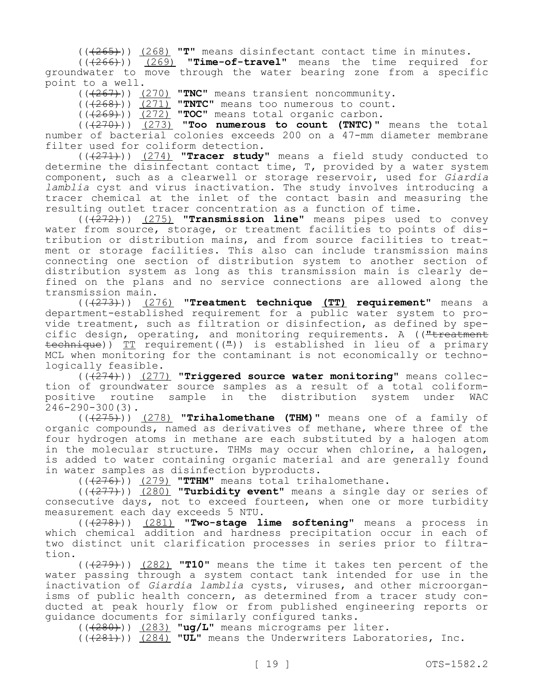(((265))) (268) **"T"** means disinfectant contact time in minutes.

(((266))) (269) **"Time-of-travel"** means the time required for groundwater to move through the water bearing zone from a specific point to a well.

(((267))) (270) **"TNC"** means transient noncommunity.

(((268))) (271) **"TNTC"** means too numerous to count.

(((269))) (272) **"TOC"** means total organic carbon.

 $((270))$   $(273)$  **"Too numerous to count (TNTC)"** means the total number of bacterial colonies exceeds 200 on a 47-mm diameter membrane filter used for coliform detection.

(((271))) (274) **"Tracer study"** means a field study conducted to determine the disinfectant contact time, T, provided by a water system component, such as a clearwell or storage reservoir, used for *Giardia lamblia* cyst and virus inactivation. The study involves introducing a tracer chemical at the inlet of the contact basin and measuring the resulting outlet tracer concentration as a function of time.

(((272))) (275) **"Transmission line"** means pipes used to convey water from source, storage, or treatment facilities to points of distribution or distribution mains, and from source facilities to treatment or storage facilities. This also can include transmission mains connecting one section of distribution system to another section of distribution system as long as this transmission main is clearly defined on the plans and no service connections are allowed along the transmission main.

(((273))) (276) **"Treatment technique (TT) requirement"** means a department-established requirement for a public water system to provide treatment, such as filtration or disinfection, as defined by specific design, operating, and monitoring requirements. A (("treatment technique)) TT requirement((")) is established in lieu of a primary MCL when monitoring for the contaminant is not economically or technologically feasible.

(((274))) (277) **"Triggered source water monitoring"** means collection of groundwater source samples as a result of a total coliformpositive routine sample in the distribution system under WAC 246-290-300(3).

(((275))) (278) **"Trihalomethane (THM)"** means one of a family of organic compounds, named as derivatives of methane, where three of the four hydrogen atoms in methane are each substituted by a halogen atom in the molecular structure. THMs may occur when chlorine, a halogen, is added to water containing organic material and are generally found in water samples as disinfection byproducts.

(((276))) (279) **"TTHM"** means total trihalomethane.

(((277))) (280) **"Turbidity event"** means a single day or series of consecutive days, not to exceed fourteen, when one or more turbidity measurement each day exceeds 5 NTU.

(((278))) (281) **"Two-stage lime softening"** means a process in which chemical addition and hardness precipitation occur in each of two distinct unit clarification processes in series prior to filtration.

(((279))) (282) **"T10"** means the time it takes ten percent of the water passing through a system contact tank intended for use in the inactivation of *Giardia lamblia* cysts, viruses, and other microorganisms of public health concern, as determined from a tracer study conducted at peak hourly flow or from published engineering reports or guidance documents for similarly configured tanks.

(((280))) (283) **"ug/L"** means micrograms per liter.

(((281))) (284) **"UL"** means the Underwriters Laboratories, Inc.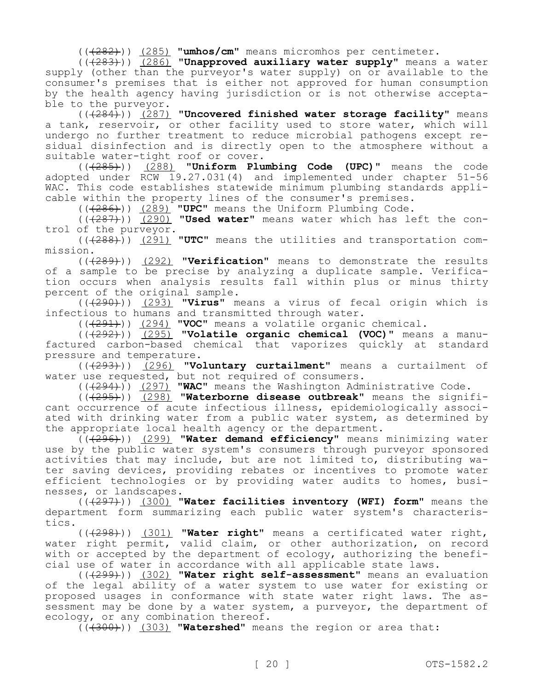(((282))) (285) **"umhos/cm"** means micromhos per centimeter.

(((283))) (286) **"Unapproved auxiliary water supply"** means a water supply (other than the purveyor's water supply) on or available to the consumer's premises that is either not approved for human consumption by the health agency having jurisdiction or is not otherwise acceptable to the purveyor.

(((284))) (287) **"Uncovered finished water storage facility"** means a tank, reservoir, or other facility used to store water, which will undergo no further treatment to reduce microbial pathogens except residual disinfection and is directly open to the atmosphere without a suitable water-tight roof or cover.

(((285))) (288) **"Uniform Plumbing Code (UPC)"** means the code adopted under RCW 19.27.031(4) and implemented under chapter 51-56 WAC. This code establishes statewide minimum plumbing standards applicable within the property lines of the consumer's premises.

(((286))) (289) **"UPC"** means the Uniform Plumbing Code.

(((287))) (290) **"Used water"** means water which has left the control of the purveyor.

(((288))) (291) **"UTC"** means the utilities and transportation commission.

(((289))) (292) **"Verification"** means to demonstrate the results of a sample to be precise by analyzing a duplicate sample. Verification occurs when analysis results fall within plus or minus thirty percent of the original sample.

(((290))) (293) **"Virus"** means a virus of fecal origin which is infectious to humans and transmitted through water.

(((291))) (294) **"VOC"** means a volatile organic chemical.

(((292))) (295) **"Volatile organic chemical (VOC)"** means a manufactured carbon-based chemical that vaporizes quickly at standard pressure and temperature.

(((293))) (296) **"Voluntary curtailment"** means a curtailment of water use requested, but not required of consumers.

(((294))) (297) **"WAC"** means the Washington Administrative Code.

(((295))) (298) **"Waterborne disease outbreak"** means the significant occurrence of acute infectious illness, epidemiologically associated with drinking water from a public water system, as determined by the appropriate local health agency or the department.

(((296))) (299) **"Water demand efficiency"** means minimizing water use by the public water system's consumers through purveyor sponsored activities that may include, but are not limited to, distributing water saving devices, providing rebates or incentives to promote water efficient technologies or by providing water audits to homes, businesses, or landscapes.

(((297))) (300) **"Water facilities inventory (WFI) form"** means the department form summarizing each public water system's characteristics.

(((298))) (301) **"Water right"** means a certificated water right, water right permit, valid claim, or other authorization, on record with or accepted by the department of ecology, authorizing the beneficial use of water in accordance with all applicable state laws.

(((299))) (302) **"Water right self-assessment"** means an evaluation of the legal ability of a water system to use water for existing or proposed usages in conformance with state water right laws. The assessment may be done by a water system, a purveyor, the department of ecology, or any combination thereof.

(((300))) (303) **"Watershed"** means the region or area that: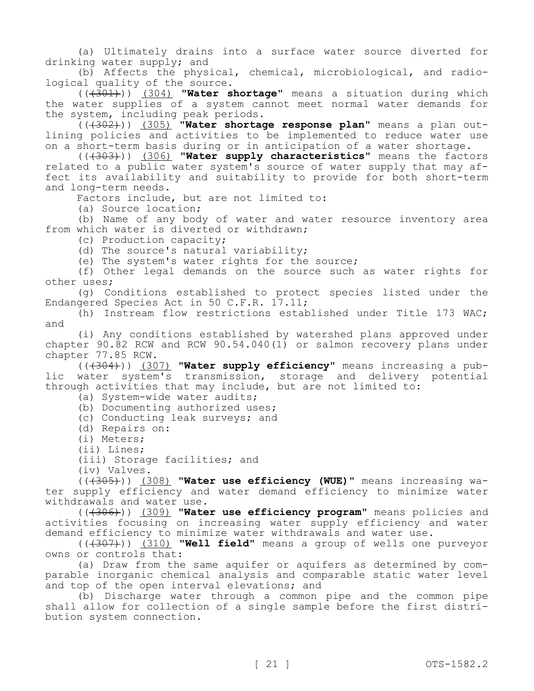(a) Ultimately drains into a surface water source diverted for drinking water supply; and

(b) Affects the physical, chemical, microbiological, and radiological quality of the source.

(((301))) (304) **"Water shortage"** means a situation during which the water supplies of a system cannot meet normal water demands for the system, including peak periods.

(((302))) (305) **"Water shortage response plan"** means a plan outlining policies and activities to be implemented to reduce water use on a short-term basis during or in anticipation of a water shortage.

(((303))) (306) **"Water supply characteristics"** means the factors related to a public water system's source of water supply that may affect its availability and suitability to provide for both short-term and long-term needs.

Factors include, but are not limited to:

(a) Source location;

(b) Name of any body of water and water resource inventory area from which water is diverted or withdrawn;

(c) Production capacity;

(d) The source's natural variability;

(e) The system's water rights for the source;

(f) Other legal demands on the source such as water rights for other uses;

(g) Conditions established to protect species listed under the Endangered Species Act in 50 C.F.R. 17.11;

(h) Instream flow restrictions established under Title 173 WAC; and

(i) Any conditions established by watershed plans approved under chapter  $90.82$  RCW and RCW  $90.54.040(1)$  or salmon recovery plans under chapter 77.85 RCW.

(((304))) (307) **"Water supply efficiency"** means increasing a public water system's transmission, storage and delivery potential through activities that may include, but are not limited to:

(a) System-wide water audits;

(b) Documenting authorized uses;

(c) Conducting leak surveys; and

- (d) Repairs on:
- (i) Meters;
- (ii) Lines;
- (iii) Storage facilities; and

(iv) Valves.

(((305))) (308) **"Water use efficiency (WUE)"** means increasing water supply efficiency and water demand efficiency to minimize water withdrawals and water use.

(((306))) (309) **"Water use efficiency program"** means policies and activities focusing on increasing water supply efficiency and water demand efficiency to minimize water withdrawals and water use.

(((307))) (310) **"Well field"** means a group of wells one purveyor owns or controls that:

(a) Draw from the same aquifer or aquifers as determined by comparable inorganic chemical analysis and comparable static water level and top of the open interval elevations; and

(b) Discharge water through a common pipe and the common pipe shall allow for collection of a single sample before the first distribution system connection.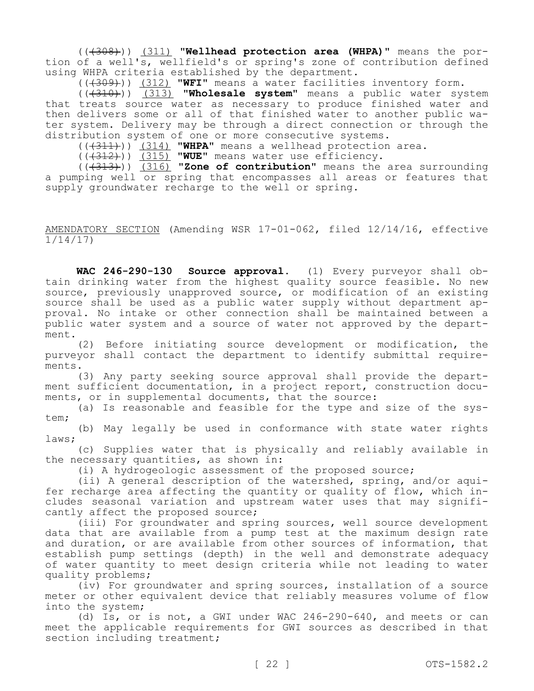(((308))) (311) **"Wellhead protection area (WHPA)"** means the portion of a well's, wellfield's or spring's zone of contribution defined using WHPA criteria established by the department.

(((309))) (312) **"WFI"** means a water facilities inventory form.

(((310))) (313) **"Wholesale system"** means a public water system that treats source water as necessary to produce finished water and then delivers some or all of that finished water to another public water system. Delivery may be through a direct connection or through the distribution system of one or more consecutive systems.

(((311))) (314) **"WHPA"** means a wellhead protection area.

(((312))) (315) **"WUE"** means water use efficiency.

(((313))) (316) **"Zone of contribution"** means the area surrounding a pumping well or spring that encompasses all areas or features that supply groundwater recharge to the well or spring.

## AMENDATORY SECTION (Amending WSR 17-01-062, filed 12/14/16, effective 1/14/17)

**WAC 246-290-130 Source approval.** (1) Every purveyor shall obtain drinking water from the highest quality source feasible. No new source, previously unapproved source, or modification of an existing source shall be used as a public water supply without department approval. No intake or other connection shall be maintained between a public water system and a source of water not approved by the department.

(2) Before initiating source development or modification, the purveyor shall contact the department to identify submittal requirements.

(3) Any party seeking source approval shall provide the department sufficient documentation, in a project report, construction documents, or in supplemental documents, that the source:

(a) Is reasonable and feasible for the type and size of the system;

(b) May legally be used in conformance with state water rights laws;

(c) Supplies water that is physically and reliably available in the necessary quantities, as shown in:

(i) A hydrogeologic assessment of the proposed source;

(ii) A general description of the watershed, spring, and/or aquifer recharge area affecting the quantity or quality of flow, which includes seasonal variation and upstream water uses that may significantly affect the proposed source;

(iii) For groundwater and spring sources, well source development data that are available from a pump test at the maximum design rate and duration, or are available from other sources of information, that establish pump settings (depth) in the well and demonstrate adequacy of water quantity to meet design criteria while not leading to water quality problems;

(iv) For groundwater and spring sources, installation of a source meter or other equivalent device that reliably measures volume of flow into the system;

(d) Is, or is not, a GWI under WAC 246-290-640, and meets or can meet the applicable requirements for GWI sources as described in that section including treatment;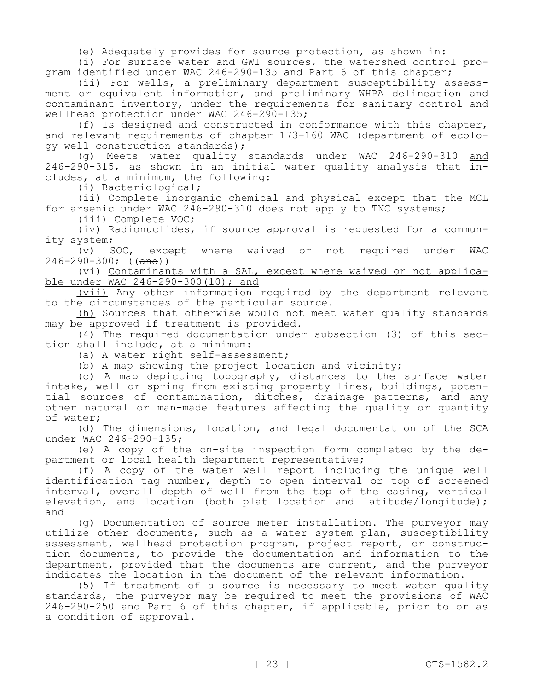(e) Adequately provides for source protection, as shown in:

(i) For surface water and GWI sources, the watershed control program identified under WAC 246-290-135 and Part 6 of this chapter;

(ii) For wells, a preliminary department susceptibility assessment or equivalent information, and preliminary WHPA delineation and contaminant inventory, under the requirements for sanitary control and wellhead protection under WAC 246-290-135;

(f) Is designed and constructed in conformance with this chapter, and relevant requirements of chapter 173-160 WAC (department of ecology well construction standards);

(g) Meets water quality standards under WAC 246-290-310 and 246-290-315, as shown in an initial water quality analysis that includes, at a minimum, the following:

(i) Bacteriological;

(ii) Complete inorganic chemical and physical except that the MCL for arsenic under WAC 246-290-310 does not apply to TNC systems;

(iii) Complete VOC;

(iv) Radionuclides, if source approval is requested for a community system;

(v) SOC, except where waived or not required under WAC  $246 - 290 - 300$ ; ((and))

(vi) Contaminants with a SAL, except where waived or not applicable under WAC 246-290-300(10); and

(vii) Any other information required by the department relevant to the circumstances of the particular source.

(h) Sources that otherwise would not meet water quality standards may be approved if treatment is provided.

(4) The required documentation under subsection (3) of this section shall include, at a minimum:

(a) A water right self-assessment;

(b) A map showing the project location and vicinity;

(c) A map depicting topography, distances to the surface water intake, well or spring from existing property lines, buildings, potential sources of contamination, ditches, drainage patterns, and any other natural or man-made features affecting the quality or quantity of water;

(d) The dimensions, location, and legal documentation of the SCA under WAC 246-290-135;

(e) A copy of the on-site inspection form completed by the department or local health department representative;

(f) A copy of the water well report including the unique well identification tag number, depth to open interval or top of screened interval, overall depth of well from the top of the casing, vertical elevation, and location (both plat location and latitude/longitude); and

(g) Documentation of source meter installation. The purveyor may utilize other documents, such as a water system plan, susceptibility assessment, wellhead protection program, project report, or construction documents, to provide the documentation and information to the department, provided that the documents are current, and the purveyor indicates the location in the document of the relevant information.

(5) If treatment of a source is necessary to meet water quality standards, the purveyor may be required to meet the provisions of WAC 246-290-250 and Part 6 of this chapter, if applicable, prior to or as a condition of approval.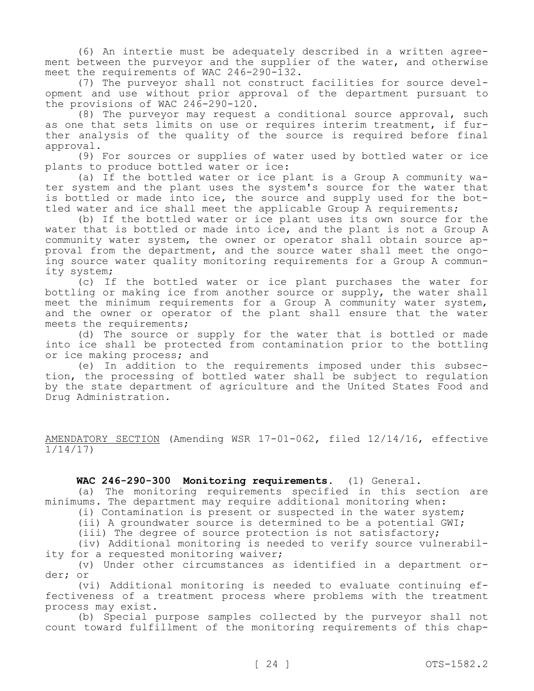(6) An intertie must be adequately described in a written agreement between the purveyor and the supplier of the water, and otherwise meet the requirements of WAC 246-290-132.

(7) The purveyor shall not construct facilities for source development and use without prior approval of the department pursuant to the provisions of WAC 246-290-120.

(8) The purveyor may request a conditional source approval, such as one that sets limits on use or requires interim treatment, if further analysis of the quality of the source is required before final approval.

(9) For sources or supplies of water used by bottled water or ice plants to produce bottled water or ice:

(a) If the bottled water or ice plant is a Group A community water system and the plant uses the system's source for the water that is bottled or made into ice, the source and supply used for the bottled water and ice shall meet the applicable Group A requirements;

(b) If the bottled water or ice plant uses its own source for the water that is bottled or made into ice, and the plant is not a Group A community water system, the owner or operator shall obtain source approval from the department, and the source water shall meet the ongoing source water quality monitoring requirements for a Group A community system;

(c) If the bottled water or ice plant purchases the water for bottling or making ice from another source or supply, the water shall meet the minimum requirements for a Group A community water system, and the owner or operator of the plant shall ensure that the water meets the requirements;

(d) The source or supply for the water that is bottled or made into ice shall be protected from contamination prior to the bottling or ice making process; and

(e) In addition to the requirements imposed under this subsection, the processing of bottled water shall be subject to regulation by the state department of agriculture and the United States Food and Drug Administration.

AMENDATORY SECTION (Amending WSR 17-01-062, filed 12/14/16, effective 1/14/17)

**WAC 246-290-300 Monitoring requirements.** (1) General.

(a) The monitoring requirements specified in this section are minimums. The department may require additional monitoring when:

(i) Contamination is present or suspected in the water system;

(ii) A groundwater source is determined to be a potential GWI;

(iii) The degree of source protection is not satisfactory;

(iv) Additional monitoring is needed to verify source vulnerability for a requested monitoring waiver;

(v) Under other circumstances as identified in a department order; or

(vi) Additional monitoring is needed to evaluate continuing effectiveness of a treatment process where problems with the treatment process may exist.

(b) Special purpose samples collected by the purveyor shall not count toward fulfillment of the monitoring requirements of this chap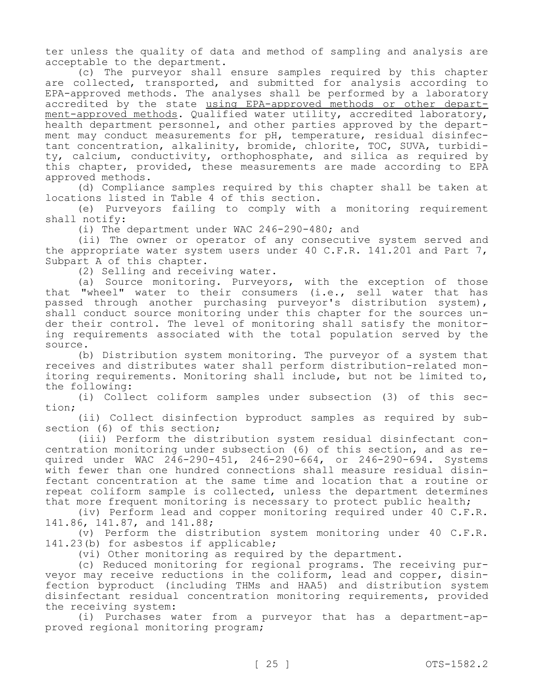ter unless the quality of data and method of sampling and analysis are acceptable to the department.

(c) The purveyor shall ensure samples required by this chapter are collected, transported, and submitted for analysis according to EPA-approved methods. The analyses shall be performed by a laboratory accredited by the state using EPA-approved methods or other department-approved methods. Qualified water utility, accredited laboratory, health department personnel, and other parties approved by the department may conduct measurements for pH, temperature, residual disinfectant concentration, alkalinity, bromide, chlorite, TOC, SUVA, turbidity, calcium, conductivity, orthophosphate, and silica as required by this chapter, provided, these measurements are made according to EPA approved methods.

(d) Compliance samples required by this chapter shall be taken at locations listed in Table 4 of this section.

(e) Purveyors failing to comply with a monitoring requirement shall notify:

(i) The department under WAC 246-290-480; and

(ii) The owner or operator of any consecutive system served and the appropriate water system users under  $40 \, \text{C.F.R.}$  141.201 and Part 7, Subpart A of this chapter.

(2) Selling and receiving water.

(a) Source monitoring. Purveyors, with the exception of those that "wheel" water to their consumers (i.e., sell water that has passed through another purchasing purveyor's distribution system), shall conduct source monitoring under this chapter for the sources under their control. The level of monitoring shall satisfy the monitoring requirements associated with the total population served by the source.

(b) Distribution system monitoring. The purveyor of a system that receives and distributes water shall perform distribution-related monitoring requirements. Monitoring shall include, but not be limited to, the following:

(i) Collect coliform samples under subsection (3) of this section;

(ii) Collect disinfection byproduct samples as required by subsection (6) of this section;

(iii) Perform the distribution system residual disinfectant concentration monitoring under subsection (6) of this section, and as required under WAC 246-290-451, 246-290-664, or 246-290-694. Systems with fewer than one hundred connections shall measure residual disinfectant concentration at the same time and location that a routine or repeat coliform sample is collected, unless the department determines that more frequent monitoring is necessary to protect public health;

(iv) Perform lead and copper monitoring required under 40 C.F.R. 141.86, 141.87, and 141.88;

(v) Perform the distribution system monitoring under 40 C.F.R. 141.23(b) for asbestos if applicable;

(vi) Other monitoring as required by the department.

(c) Reduced monitoring for regional programs. The receiving purveyor may receive reductions in the coliform, lead and copper, disinfection byproduct (including THMs and HAA5) and distribution system disinfectant residual concentration monitoring requirements, provided the receiving system:

(i) Purchases water from a purveyor that has a department-approved regional monitoring program;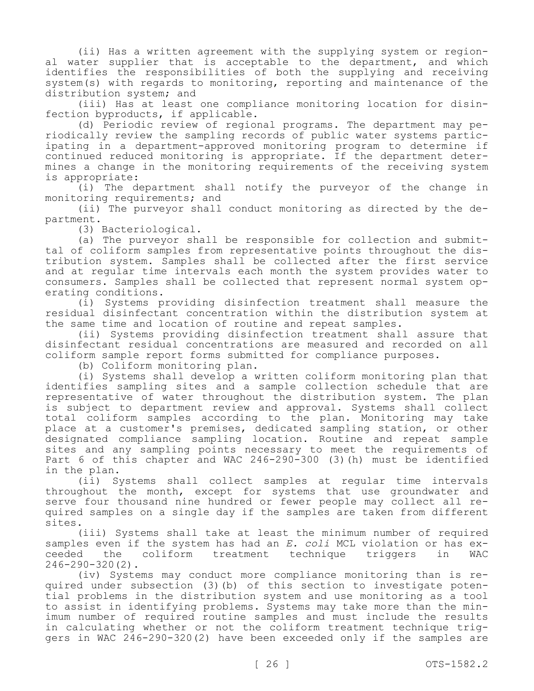(ii) Has a written agreement with the supplying system or regional water supplier that is acceptable to the department, and which identifies the responsibilities of both the supplying and receiving system(s) with regards to monitoring, reporting and maintenance of the distribution system; and

(iii) Has at least one compliance monitoring location for disinfection byproducts, if applicable.

(d) Periodic review of regional programs. The department may periodically review the sampling records of public water systems participating in a department-approved monitoring program to determine if continued reduced monitoring is appropriate. If the department determines a change in the monitoring requirements of the receiving system is appropriate:

(i) The department shall notify the purveyor of the change in monitoring requirements; and

(ii) The purveyor shall conduct monitoring as directed by the department.

(3) Bacteriological.

(a) The purveyor shall be responsible for collection and submittal of coliform samples from representative points throughout the distribution system. Samples shall be collected after the first service and at regular time intervals each month the system provides water to consumers. Samples shall be collected that represent normal system operating conditions.

(i) Systems providing disinfection treatment shall measure the residual disinfectant concentration within the distribution system at the same time and location of routine and repeat samples.

(ii) Systems providing disinfection treatment shall assure that disinfectant residual concentrations are measured and recorded on all coliform sample report forms submitted for compliance purposes.

(b) Coliform monitoring plan.

(i) Systems shall develop a written coliform monitoring plan that identifies sampling sites and a sample collection schedule that are representative of water throughout the distribution system. The plan is subject to department review and approval. Systems shall collect total coliform samples according to the plan. Monitoring may take place at a customer's premises, dedicated sampling station, or other designated compliance sampling location. Routine and repeat sample sites and any sampling points necessary to meet the requirements of Part 6 of this chapter and WAC 246-290-300 (3)(h) must be identified in the plan.

(ii) Systems shall collect samples at regular time intervals throughout the month, except for systems that use groundwater and serve four thousand nine hundred or fewer people may collect all required samples on a single day if the samples are taken from different sites.

(iii) Systems shall take at least the minimum number of required samples even if the system has had an *E. coli* MCL violation or has ex-<br>ceeded the coliform treatment technique triggers in WAC ceeded the coliform treatment technique triggers in WAC 246-290-320(2).

(iv) Systems may conduct more compliance monitoring than is required under subsection (3)(b) of this section to investigate potential problems in the distribution system and use monitoring as a tool to assist in identifying problems. Systems may take more than the minimum number of required routine samples and must include the results in calculating whether or not the coliform treatment technique triggers in WAC 246-290-320(2) have been exceeded only if the samples are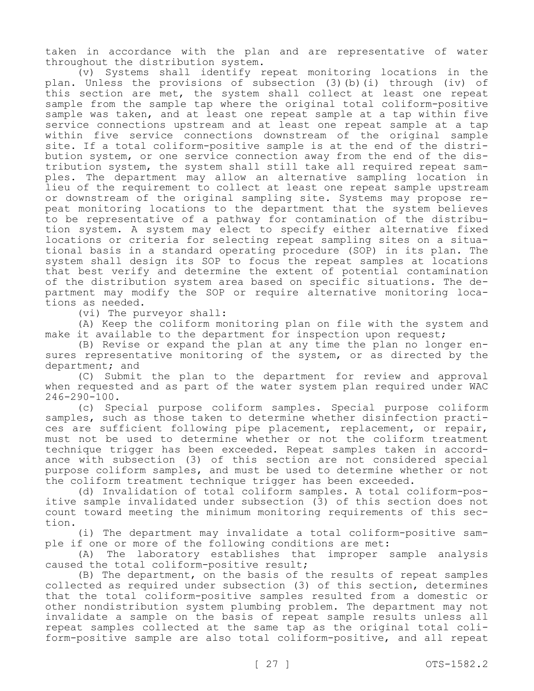taken in accordance with the plan and are representative of water throughout the distribution system.

(v) Systems shall identify repeat monitoring locations in the plan. Unless the provisions of subsection (3)(b)(i) through (iv) of this section are met, the system shall collect at least one repeat sample from the sample tap where the original total coliform-positive sample was taken, and at least one repeat sample at a tap within five service connections upstream and at least one repeat sample at a tap within five service connections downstream of the original sample site. If a total coliform-positive sample is at the end of the distribution system, or one service connection away from the end of the distribution system, the system shall still take all required repeat samples. The department may allow an alternative sampling location in lieu of the requirement to collect at least one repeat sample upstream or downstream of the original sampling site. Systems may propose repeat monitoring locations to the department that the system believes to be representative of a pathway for contamination of the distribution system. A system may elect to specify either alternative fixed locations or criteria for selecting repeat sampling sites on a situational basis in a standard operating procedure (SOP) in its plan. The system shall design its SOP to focus the repeat samples at locations that best verify and determine the extent of potential contamination of the distribution system area based on specific situations. The department may modify the SOP or require alternative monitoring locations as needed.

(vi) The purveyor shall:

(A) Keep the coliform monitoring plan on file with the system and make it available to the department for inspection upon request;

(B) Revise or expand the plan at any time the plan no longer ensures representative monitoring of the system, or as directed by the department; and

(C) Submit the plan to the department for review and approval when requested and as part of the water system plan required under WAC 246-290-100.

(c) Special purpose coliform samples. Special purpose coliform samples, such as those taken to determine whether disinfection practices are sufficient following pipe placement, replacement, or repair, must not be used to determine whether or not the coliform treatment technique trigger has been exceeded. Repeat samples taken in accordance with subsection (3) of this section are not considered special purpose coliform samples, and must be used to determine whether or not the coliform treatment technique trigger has been exceeded.

(d) Invalidation of total coliform samples. A total coliform-positive sample invalidated under subsection (3) of this section does not count toward meeting the minimum monitoring requirements of this section.

(i) The department may invalidate a total coliform-positive sample if one or more of the following conditions are met:

(A) The laboratory establishes that improper sample analysis caused the total coliform-positive result;

(B) The department, on the basis of the results of repeat samples collected as required under subsection (3) of this section, determines that the total coliform-positive samples resulted from a domestic or other nondistribution system plumbing problem. The department may not invalidate a sample on the basis of repeat sample results unless all repeat samples collected at the same tap as the original total coliform-positive sample are also total coliform-positive, and all repeat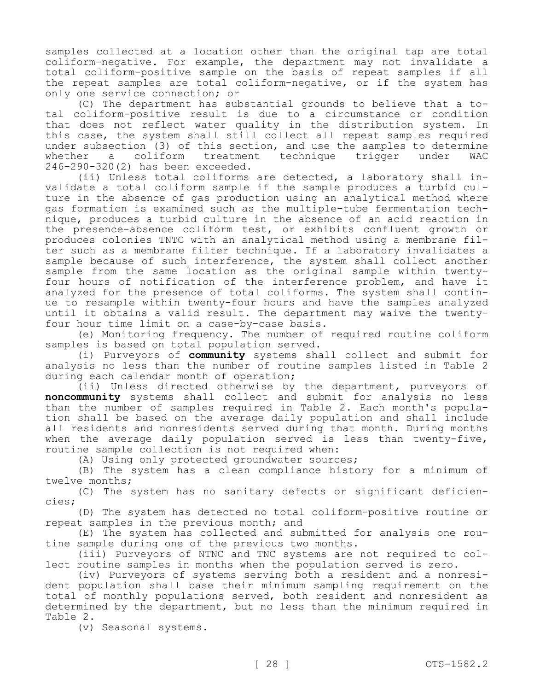samples collected at a location other than the original tap are total coliform-negative. For example, the department may not invalidate a total coliform-positive sample on the basis of repeat samples if all the repeat samples are total coliform-negative, or if the system has only one service connection; or

(C) The department has substantial grounds to believe that a total coliform-positive result is due to a circumstance or condition that does not reflect water quality in the distribution system. In this case, the system shall still collect all repeat samples required under subsection (3) of this section, and use the samples to determine<br>whether a coliform treatment technique trigger under WAC whether a coliform treatment technique trigger under WAC 246-290-320(2) has been exceeded.

(ii) Unless total coliforms are detected, a laboratory shall invalidate a total coliform sample if the sample produces a turbid culture in the absence of gas production using an analytical method where gas formation is examined such as the multiple-tube fermentation technique, produces a turbid culture in the absence of an acid reaction in the presence-absence coliform test, or exhibits confluent growth or produces colonies TNTC with an analytical method using a membrane filter such as a membrane filter technique. If a laboratory invalidates a sample because of such interference, the system shall collect another sample from the same location as the original sample within twentyfour hours of notification of the interference problem, and have it analyzed for the presence of total coliforms. The system shall continue to resample within twenty-four hours and have the samples analyzed until it obtains a valid result. The department may waive the twentyfour hour time limit on a case-by-case basis.

(e) Monitoring frequency. The number of required routine coliform samples is based on total population served.

(i) Purveyors of **community** systems shall collect and submit for analysis no less than the number of routine samples listed in Table 2 during each calendar month of operation;

(ii) Unless directed otherwise by the department, purveyors of **noncommunity** systems shall collect and submit for analysis no less than the number of samples required in Table 2. Each month's population shall be based on the average daily population and shall include all residents and nonresidents served during that month. During months when the average daily population served is less than twenty-five, routine sample collection is not required when:

(A) Using only protected groundwater sources;

(B) The system has a clean compliance history for a minimum of twelve months;

(C) The system has no sanitary defects or significant deficiencies;

(D) The system has detected no total coliform-positive routine or repeat samples in the previous month; and

(E) The system has collected and submitted for analysis one routine sample during one of the previous two months.

(iii) Purveyors of NTNC and TNC systems are not required to collect routine samples in months when the population served is zero.

(iv) Purveyors of systems serving both a resident and a nonresident population shall base their minimum sampling requirement on the total of monthly populations served, both resident and nonresident as determined by the department, but no less than the minimum required in Table 2.

(v) Seasonal systems.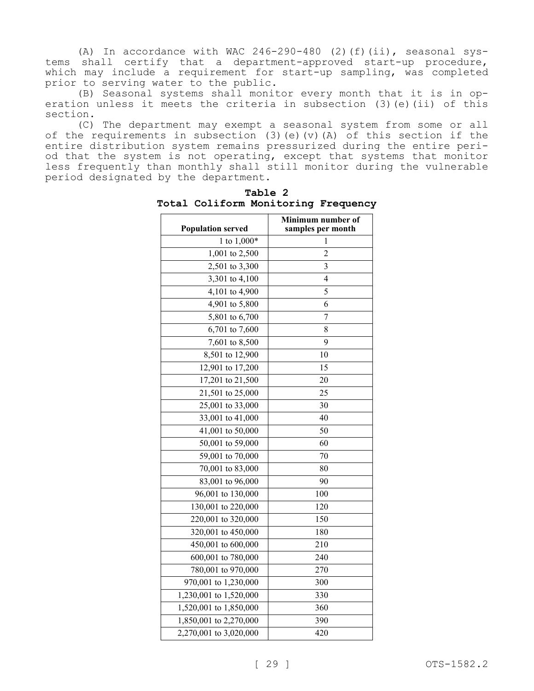(A) In accordance with WAC  $246-290-480$  (2)(f)(ii), seasonal systems shall certify that a department-approved start-up procedure, which may include a requirement for start-up sampling, was completed prior to serving water to the public.

(B) Seasonal systems shall monitor every month that it is in operation unless it meets the criteria in subsection (3)(e)(ii) of this section.

(C) The department may exempt a seasonal system from some or all of the requirements in subsection (3)(e)(v)(A) of this section if the entire distribution system remains pressurized during the entire period that the system is not operating, except that systems that monitor less frequently than monthly shall still monitor during the vulnerable period designated by the department.

| <b>Population served</b> | Minimum number of<br>samples per month |
|--------------------------|----------------------------------------|
| 1 to 1,000*              | 1                                      |
| 1,001 to 2,500           | 2                                      |
| 2,501 to 3,300           | 3                                      |
| 3,301 to 4,100           | 4                                      |
| 4,101 to 4,900           | 5                                      |
| 4,901 to 5,800           | 6                                      |
| 5,801 to 6,700           | $\overline{7}$                         |
| 6,701 to 7,600           | 8                                      |
| 7,601 to 8,500           | 9                                      |
| 8,501 to 12,900          | 10                                     |
| 12,901 to 17,200         | 15                                     |
| 17,201 to 21,500         | 20                                     |
| 21,501 to 25,000         | 25                                     |
| 25,001 to 33,000         | 30                                     |
| 33,001 to 41,000         | 40                                     |
| 41,001 to 50,000         | 50                                     |
| 50,001 to 59,000         | 60                                     |
| 59,001 to 70,000         | 70                                     |
| 70,001 to 83,000         | 80                                     |
| 83,001 to 96,000         | 90                                     |
| 96,001 to 130,000        | 100                                    |
| 130,001 to 220,000       | 120                                    |
| 220,001 to 320,000       | 150                                    |
| 320,001 to 450,000       | 180                                    |
| 450,001 to 600,000       | 210                                    |
| 600,001 to 780,000       | 240                                    |
| 780,001 to 970,000       | 270                                    |
| 970,001 to 1,230,000     | 300                                    |
| 1,230,001 to 1,520,000   | 330                                    |
| 1,520,001 to 1,850,000   | 360                                    |
| 1,850,001 to 2,270,000   | 390                                    |
| 2,270,001 to 3,020,000   | 420                                    |

**Table 2 Total Coliform Monitoring Frequency**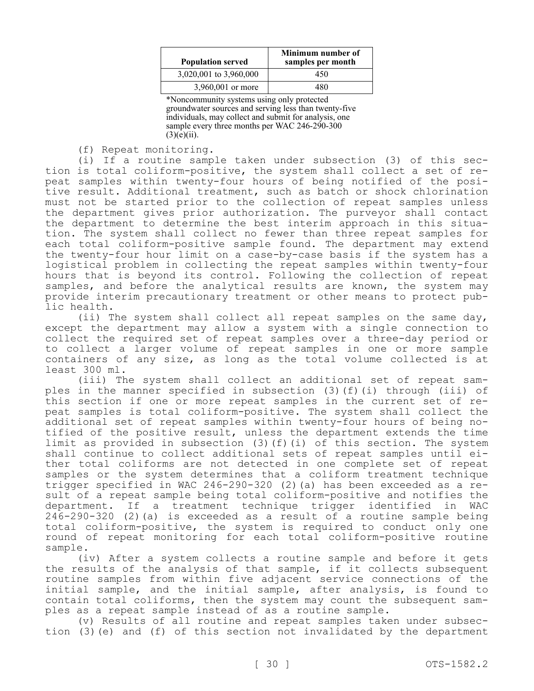| <b>Population served</b> | Minimum number of<br>samples per month |
|--------------------------|----------------------------------------|
| 3,020,001 to 3,960,000   | 450                                    |
| 3,960,001 or more        | 180                                    |

\*Noncommunity systems using only protected groundwater sources and serving less than twenty-five individuals, may collect and submit for analysis, one sample every three months per WAC 246-290-300  $(3)(e)(ii)$ .

(f) Repeat monitoring.

(i) If a routine sample taken under subsection (3) of this section is total coliform-positive, the system shall collect a set of repeat samples within twenty-four hours of being notified of the positive result. Additional treatment, such as batch or shock chlorination must not be started prior to the collection of repeat samples unless the department gives prior authorization. The purveyor shall contact the department to determine the best interim approach in this situation. The system shall collect no fewer than three repeat samples for each total coliform-positive sample found. The department may extend the twenty-four hour limit on a case-by-case basis if the system has a logistical problem in collecting the repeat samples within twenty-four hours that is beyond its control. Following the collection of repeat samples, and before the analytical results are known, the system may provide interim precautionary treatment or other means to protect public health.

(ii) The system shall collect all repeat samples on the same day, except the department may allow a system with a single connection to collect the required set of repeat samples over a three-day period or to collect a larger volume of repeat samples in one or more sample containers of any size, as long as the total volume collected is at least 300 ml.

(iii) The system shall collect an additional set of repeat samples in the manner specified in subsection (3)(f)(i) through (iii) of this section if one or more repeat samples in the current set of repeat samples is total coliform-positive. The system shall collect the additional set of repeat samples within twenty-four hours of being notified of the positive result, unless the department extends the time limit as provided in subsection (3)(f)(i) of this section. The system shall continue to collect additional sets of repeat samples until either total coliforms are not detected in one complete set of repeat samples or the system determines that a coliform treatment technique trigger specified in WAC 246-290-320 (2)(a) has been exceeded as a result of a repeat sample being total coliform-positive and notifies the department. If a treatment technique trigger identified in WAC 246-290-320 (2)(a) is exceeded as a result of a routine sample being total coliform-positive, the system is required to conduct only one round of repeat monitoring for each total coliform-positive routine sample.

(iv) After a system collects a routine sample and before it gets the results of the analysis of that sample, if it collects subsequent routine samples from within five adjacent service connections of the initial sample, and the initial sample, after analysis, is found to contain total coliforms, then the system may count the subsequent samples as a repeat sample instead of as a routine sample.

(v) Results of all routine and repeat samples taken under subsection (3)(e) and (f) of this section not invalidated by the department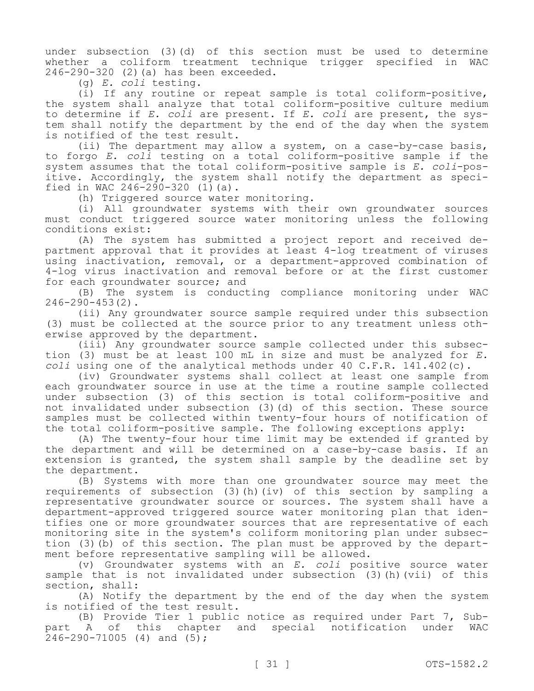under subsection (3)(d) of this section must be used to determine whether a coliform treatment technique trigger specified in WAC 246-290-320 (2)(a) has been exceeded.

(g) *E. coli* testing.

(i) If any routine or repeat sample is total coliform-positive, the system shall analyze that total coliform-positive culture medium to determine if *E. coli* are present. If *E. coli* are present, the system shall notify the department by the end of the day when the system is notified of the test result.

(ii) The department may allow a system, on a case-by-case basis, to forgo *E. coli* testing on a total coliform-positive sample if the system assumes that the total coliform-positive sample is *E. coli*-positive. Accordingly, the system shall notify the department as specified in WAC 246-290-320  $(1)$   $(a)$ .

(h) Triggered source water monitoring.

(i) All groundwater systems with their own groundwater sources must conduct triggered source water monitoring unless the following conditions exist:

(A) The system has submitted a project report and received department approval that it provides at least 4-log treatment of viruses using inactivation, removal, or a department-approved combination of 4-log virus inactivation and removal before or at the first customer for each groundwater source; and

(B) The system is conducting compliance monitoring under WAC 246-290-453(2).

(ii) Any groundwater source sample required under this subsection (3) must be collected at the source prior to any treatment unless otherwise approved by the department.

(iii) Any groundwater source sample collected under this subsection (3) must be at least 100 mL in size and must be analyzed for *E. coli* using one of the analytical methods under 40 C.F.R. 141.402(c).

(iv) Groundwater systems shall collect at least one sample from each groundwater source in use at the time a routine sample collected under subsection (3) of this section is total coliform-positive and not invalidated under subsection (3)(d) of this section. These source samples must be collected within twenty-four hours of notification of the total coliform-positive sample. The following exceptions apply:

(A) The twenty-four hour time limit may be extended if granted by the department and will be determined on a case-by-case basis. If an extension is granted, the system shall sample by the deadline set by the department.

(B) Systems with more than one groundwater source may meet the requirements of subsection (3)(h)(iv) of this section by sampling a representative groundwater source or sources. The system shall have a department-approved triggered source water monitoring plan that identifies one or more groundwater sources that are representative of each monitoring site in the system's coliform monitoring plan under subsection (3)(b) of this section. The plan must be approved by the department before representative sampling will be allowed.

(v) Groundwater systems with an *E. coli* positive source water sample that is not invalidated under subsection (3)(h)(vii) of this section, shall:

(A) Notify the department by the end of the day when the system is notified of the test result.

(B) Provide Tier 1 public notice as required under Part 7, Subpart A of this chapter and special notification under WAC 246-290-71005 (4) and (5);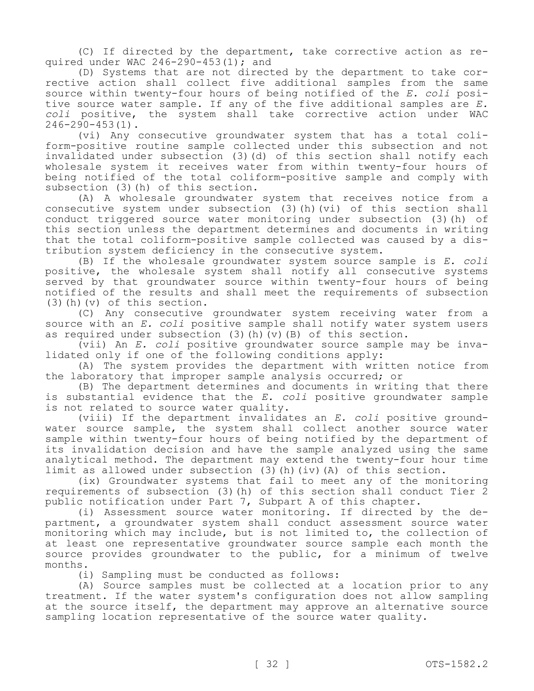(C) If directed by the department, take corrective action as required under WAC 246-290-453(1); and

(D) Systems that are not directed by the department to take corrective action shall collect five additional samples from the same source within twenty-four hours of being notified of the *E. coli* positive source water sample. If any of the five additional samples are *E. coli* positive, the system shall take corrective action under WAC 246-290-453(1).

(vi) Any consecutive groundwater system that has a total coliform-positive routine sample collected under this subsection and not invalidated under subsection (3)(d) of this section shall notify each wholesale system it receives water from within twenty-four hours of being notified of the total coliform-positive sample and comply with subsection (3) (h) of this section.

(A) A wholesale groundwater system that receives notice from a consecutive system under subsection (3)(h)(vi) of this section shall conduct triggered source water monitoring under subsection (3)(h) of this section unless the department determines and documents in writing that the total coliform-positive sample collected was caused by a distribution system deficiency in the consecutive system.

(B) If the wholesale groundwater system source sample is *E. coli*  positive, the wholesale system shall notify all consecutive systems served by that groundwater source within twenty-four hours of being notified of the results and shall meet the requirements of subsection (3)(h)(v) of this section.

(C) Any consecutive groundwater system receiving water from a source with an *E. coli* positive sample shall notify water system users as required under subsection  $(3)$  (h)(v)(B) of this section.

(vii) An *E. coli* positive groundwater source sample may be invalidated only if one of the following conditions apply:

(A) The system provides the department with written notice from the laboratory that improper sample analysis occurred; or

(B) The department determines and documents in writing that there is substantial evidence that the *E. coli* positive groundwater sample is not related to source water quality.

(viii) If the department invalidates an *E. coli* positive groundwater source sample, the system shall collect another source water sample within twenty-four hours of being notified by the department of its invalidation decision and have the sample analyzed using the same analytical method. The department may extend the twenty-four hour time limit as allowed under subsection (3)(h)(iv)(A) of this section.

(ix) Groundwater systems that fail to meet any of the monitoring requirements of subsection (3)(h) of this section shall conduct Tier 2 public notification under Part 7, Subpart A of this chapter.

(i) Assessment source water monitoring. If directed by the department, a groundwater system shall conduct assessment source water monitoring which may include, but is not limited to, the collection of at least one representative groundwater source sample each month the source provides groundwater to the public, for a minimum of twelve months.

(i) Sampling must be conducted as follows:

(A) Source samples must be collected at a location prior to any treatment. If the water system's configuration does not allow sampling at the source itself, the department may approve an alternative source sampling location representative of the source water quality.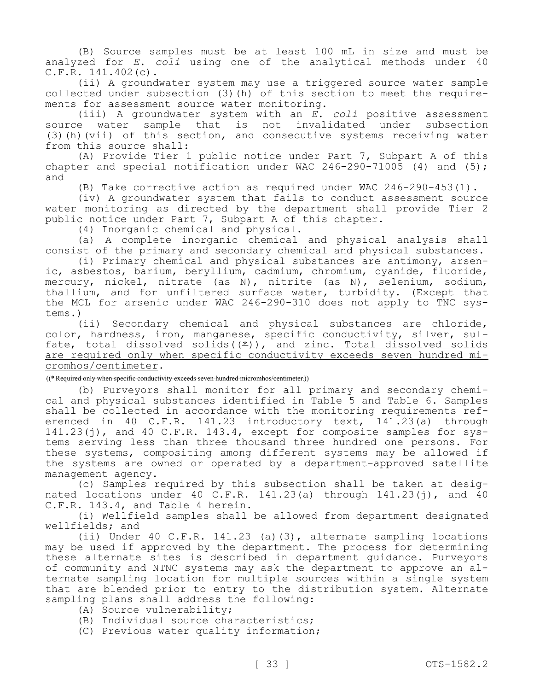(B) Source samples must be at least 100 mL in size and must be analyzed for *E. coli* using one of the analytical methods under 40 C.F.R. 141.402(c).

(ii) A groundwater system may use a triggered source water sample collected under subsection (3)(h) of this section to meet the requirements for assessment source water monitoring.

(iii) A groundwater system with an *E. coli* positive assessment source water sample that is not invalidated under subsection (3)(h)(vii) of this section, and consecutive systems receiving water from this source shall:

(A) Provide Tier 1 public notice under Part 7, Subpart A of this chapter and special notification under WAC  $246-290-71005$  (4) and (5); and

(B) Take corrective action as required under WAC 246-290-453(1).

(iv) A groundwater system that fails to conduct assessment source water monitoring as directed by the department shall provide Tier 2 public notice under Part 7, Subpart A of this chapter.

(4) Inorganic chemical and physical.

(a) A complete inorganic chemical and physical analysis shall consist of the primary and secondary chemical and physical substances.

(i) Primary chemical and physical substances are antimony, arsenic, asbestos, barium, beryllium, cadmium, chromium, cyanide, fluoride, mercury, nickel, nitrate (as N), nitrite (as N), selenium, sodium, thallium, and for unfiltered surface water, turbidity. (Except that the MCL for arsenic under WAC 246-290-310 does not apply to TNC systems.)

(ii) Secondary chemical and physical substances are chloride, color, hardness, iron, manganese, specific conductivity, silver, sulfate, total dissolved solids( $(*)$ ), and zinc. Total dissolved solids are required only when specific conductivity exceeds seven hundred micromhos/centimeter.

## ((\* Required only when specific conductivity exceeds seven hundred micromhos/centimeter.))

(b) Purveyors shall monitor for all primary and secondary chemical and physical substances identified in Table 5 and Table 6. Samples shall be collected in accordance with the monitoring requirements referenced in 40 C.F.R. 141.23 introductory text, 141.23(a) through 141.23(j), and 40 C.F.R. 143.4, except for composite samples for systems serving less than three thousand three hundred one persons. For these systems, compositing among different systems may be allowed if the systems are owned or operated by a department-approved satellite management agency.

(c) Samples required by this subsection shall be taken at designated locations under 40 C.F.R.  $141.23(a)$  through  $141.23(i)$ , and  $40$ C.F.R. 143.4, and Table 4 herein.

(i) Wellfield samples shall be allowed from department designated wellfields; and

(ii) Under 40 C.F.R. 141.23 (a)(3), alternate sampling locations may be used if approved by the department. The process for determining these alternate sites is described in department guidance. Purveyors of community and NTNC systems may ask the department to approve an alternate sampling location for multiple sources within a single system that are blended prior to entry to the distribution system. Alternate sampling plans shall address the following:

- (A) Source vulnerability;
- (B) Individual source characteristics;
- (C) Previous water quality information;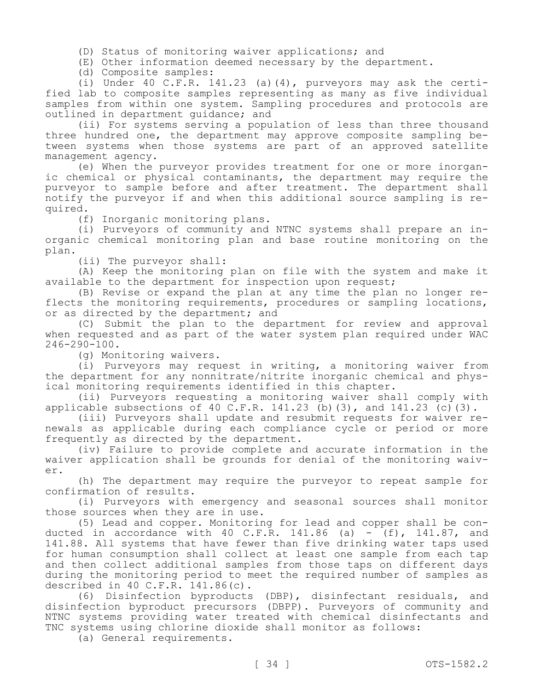(D) Status of monitoring waiver applications; and

(E) Other information deemed necessary by the department.

(d) Composite samples:

(i) Under 40 C.F.R. 141.23 (a)(4), purveyors may ask the certified lab to composite samples representing as many as five individual samples from within one system. Sampling procedures and protocols are outlined in department guidance; and

(ii) For systems serving a population of less than three thousand three hundred one, the department may approve composite sampling between systems when those systems are part of an approved satellite management agency.

(e) When the purveyor provides treatment for one or more inorganic chemical or physical contaminants, the department may require the purveyor to sample before and after treatment. The department shall notify the purveyor if and when this additional source sampling is required.

(f) Inorganic monitoring plans.

(i) Purveyors of community and NTNC systems shall prepare an inorganic chemical monitoring plan and base routine monitoring on the plan.

(ii) The purveyor shall:

(A) Keep the monitoring plan on file with the system and make it available to the department for inspection upon request;

(B) Revise or expand the plan at any time the plan no longer reflects the monitoring requirements, procedures or sampling locations, or as directed by the department; and

(C) Submit the plan to the department for review and approval when requested and as part of the water system plan required under WAC 246-290-100.

(g) Monitoring waivers.

(i) Purveyors may request in writing, a monitoring waiver from the department for any nonnitrate/nitrite inorganic chemical and physical monitoring requirements identified in this chapter.

(ii) Purveyors requesting a monitoring waiver shall comply with applicable subsections of 40 C.F.R. 141.23 (b)(3), and  $141.23$  (c)(3).

(iii) Purveyors shall update and resubmit requests for waiver renewals as applicable during each compliance cycle or period or more frequently as directed by the department.

(iv) Failure to provide complete and accurate information in the waiver application shall be grounds for denial of the monitoring waiver.

(h) The department may require the purveyor to repeat sample for confirmation of results.

(i) Purveyors with emergency and seasonal sources shall monitor those sources when they are in use.

(5) Lead and copper. Monitoring for lead and copper shall be conducted in accordance with 40 C.F.R. 141.86 (a)  $-$  (f), 141.87, and 141.88. All systems that have fewer than five drinking water taps used for human consumption shall collect at least one sample from each tap and then collect additional samples from those taps on different days during the monitoring period to meet the required number of samples as described in 40 C.F.R. 141.86(c).

(6) Disinfection byproducts (DBP), disinfectant residuals, and disinfection byproduct precursors (DBPP). Purveyors of community and NTNC systems providing water treated with chemical disinfectants and TNC systems using chlorine dioxide shall monitor as follows:

(a) General requirements.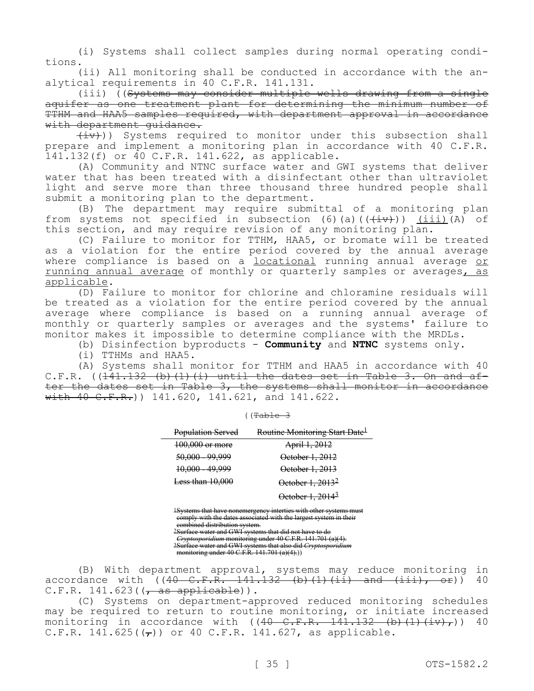(i) Systems shall collect samples during normal operating conditions.

(ii) All monitoring shall be conducted in accordance with the analytical requirements in 40 C.F.R. 141.131.

(iii) ((Systems may consider multiple wells drawing from a single aquifer as one treatment plant for determining the minimum number of TTHM and HAA5 samples required, with department approval in accordance with department quidance.

 $(\pm v)$ ) Systems required to monitor under this subsection shall prepare and implement a monitoring plan in accordance with 40 C.F.R. 141.132(f) or 40 C.F.R. 141.622, as applicable.

(A) Community and NTNC surface water and GWI systems that deliver water that has been treated with a disinfectant other than ultraviolet light and serve more than three thousand three hundred people shall submit a monitoring plan to the department.

(B) The department may require submittal of a monitoring plan from systems not specified in subsection (6)(a)( $(\frac{+iv}{+v})$ ) (iii)(A) of this section, and may require revision of any monitoring plan.

(C) Failure to monitor for TTHM, HAA5, or bromate will be treated as a violation for the entire period covered by the annual average where compliance is based on a locational running annual average or running annual average of monthly or quarterly samples or averages, as applicable.

(D) Failure to monitor for chlorine and chloramine residuals will be treated as a violation for the entire period covered by the annual average where compliance is based on a running annual average of monthly or quarterly samples or averages and the systems' failure to monitor makes it impossible to determine compliance with the MRDLs.

(b) Disinfection byproducts - **Community** and **NTNC** systems only.

(i) TTHMs and HAA5.

(A) Systems shall monitor for TTHM and HAA5 in accordance with 40 C.F.R.  $((141.132 (b) (1) (i)$  until the dates set in Table 3. On and after the dates set in Table 3, the systems shall monitor in accordance  $\overline{with 40 C.F.R.})$  141.620, 141.621, and 141.622.

| $1 + 2$  |  |
|----------|--|
| $\Gamma$ |  |

| Population Served  | Routine Monitoring Start Date <sup>1</sup> |
|--------------------|--------------------------------------------|
| 100,000 or more    | April 1, 2012                              |
| 50,000 - 99,999    | October 1, 2012                            |
| 10,000 - 49,999    | October 1, 2013                            |
| Less than $10.000$ | October 1, 2013 <sup>2</sup>               |
|                    | October 1, 2014 <sup>3</sup>               |

1Systems that have nonemergency interties with other systems must comply with the dates associated with the largest system in their combined distribution system.

2Surface water and GWI systems that did not have to do *Cryptosporidium* monitoring under 40 C.F.R. 141.701 (a)(4).

3Surface water and GWI systems that also did *Cryptosporidium* 

monitoring under 40 C.F.R. 141.701 (a)(4).))

(B) With department approval, systems may reduce monitoring in accordance with  $((40 \tC.F.R. 141.132 (b) (1) (ii) and (iii), or))$  40  $C.F.R. 141.623$  ( $\sqrt{as}$  applicable)).

(C) Systems on department-approved reduced monitoring schedules may be required to return to routine monitoring, or initiate increased monitoring in accordance with  $((40 \t C.F.R. 141.132 \t (b) (1) (iv),))$  40 C.F.R. 141.625( $(\tau)$ ) or 40 C.F.R. 141.627, as applicable.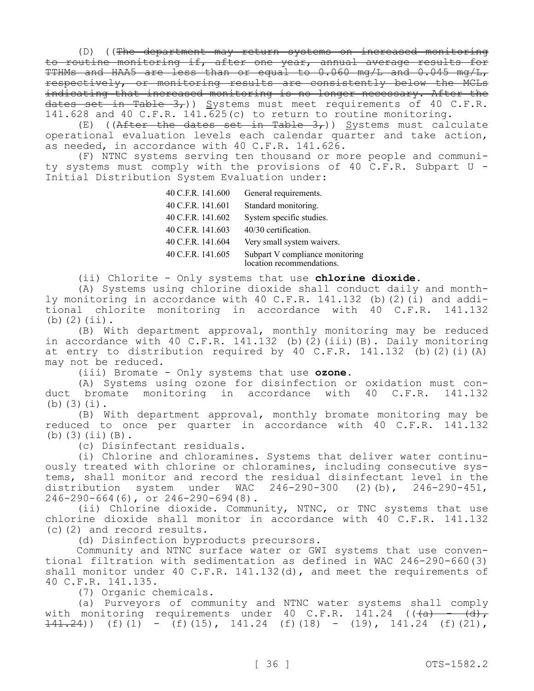(D) ((The department may return systems on increased monitoring to routine monitoring if, after one year, annual average results for TTHMs and HAA5 are less than or equal to 0.060 mg/L and 0.045 mg/L, respectively, or monitoring results are consistently below the MCLs indicating that increased monitoring is no longer necessary. After the dates set in Table  $3<sub>r</sub>$ )) Systems must meet requirements of 40 C.F.R. 141.628 and 40 C.F.R. 141.625(c) to return to routine monitoring.

(E) ((After the dates set in Table 3,)) Systems must calculate operational evaluation levels each calendar quarter and take action, as needed, in accordance with 40 C.F.R. 141.626.

(F) NTNC systems serving ten thousand or more people and community systems must comply with the provisions of 40 C.F.R. Subpart U - Initial Distribution System Evaluation under:

| 40 C.F.R. 141.600 | General requirements.                                        |
|-------------------|--------------------------------------------------------------|
| 40 C.F.R. 141.601 | Standard monitoring.                                         |
| 40 C.F.R. 141.602 | System specific studies.                                     |
| 40 C.F.R. 141.603 | 40/30 certification.                                         |
| 40 C.F.R. 141.604 | Very small system waivers.                                   |
| 40 C.F.R. 141.605 | Subpart V compliance monitoring<br>location recommendations. |

(ii) Chlorite - Only systems that use **chlorine dioxide.**

(A) Systems using chlorine dioxide shall conduct daily and monthly monitoring in accordance with 40 C.F.R. 141.132 (b)(2)(i) and additional chlorite monitoring in accordance with 40 C.F.R. 141.132 (b)(2)(ii).

(B) With department approval, monthly monitoring may be reduced in accordance with 40 C.F.R. 141.132 (b)(2)(iii)(B). Daily monitoring at entry to distribution required by 40 C.F.R.  $141.132$  (b)(2)(i)(A) may not be reduced.

(iii) Bromate - Only systems that use **ozone.**

(A) Systems using ozone for disinfection or oxidation must conduct bromate monitoring in accordance with 40 C.F.R. 141.132 (b)(3)(i).

(B) With department approval, monthly bromate monitoring may be reduced to once per quarter in accordance with 40 C.F.R. 141.132 (b)(3)(ii)(B).

(c) Disinfectant residuals.

(i) Chlorine and chloramines. Systems that deliver water continuously treated with chlorine or chloramines, including consecutive systems, shall monitor and record the residual disinfectant level in the distribution system under WAC 246-290-300 (2)(b), 246-290-451, distribution system under WAC  $246-290-300$  (2)(b), 246-290-664(6), or 246-290-694(8).

(ii) Chlorine dioxide. Community, NTNC, or TNC systems that use chlorine dioxide shall monitor in accordance with 40 C.F.R. 141.132 (c)(2) and record results.

(d) Disinfection byproducts precursors.

Community and NTNC surface water or GWI systems that use conventional filtration with sedimentation as defined in WAC 246-290-660(3) shall monitor under 40 C.F.R. 141.132(d), and meet the requirements of 40 C.F.R. 141.135.

(7) Organic chemicals.

(a) Purveyors of community and NTNC water systems shall comply with monitoring requirements under 40 C.F.R. 141.24 ( $(\overline{a})$  -  $(\overline{d})$ ,  $\overline{141.24}$ ) (f)(1) - (f)(15), 141.24 (f)(18) - (19), 141.24 (f)(21),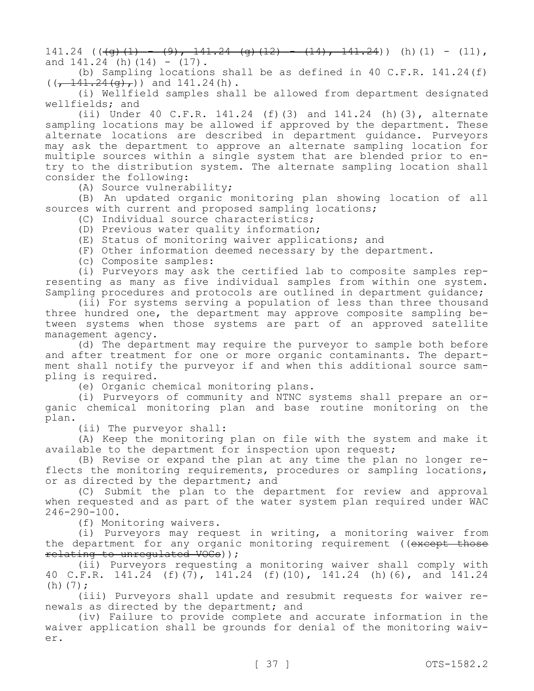$141.24$  ( $(\overline{q}(1) - (9), 141.24$   $\overline{q}(12) - (14), 141.24)$ ) (h)(1) - (11), and  $141.24$  (h)(14) - (17).

(b) Sampling locations shall be as defined in 40 C.F.R. 141.24(f)  $((\frac{141.24(q)}{g}))$  and 141.24(h).

(i) Wellfield samples shall be allowed from department designated wellfields; and

(ii) Under 40 C.F.R. 141.24 (f)(3) and 141.24 (h)(3), alternate sampling locations may be allowed if approved by the department. These alternate locations are described in department guidance. Purveyors may ask the department to approve an alternate sampling location for multiple sources within a single system that are blended prior to entry to the distribution system. The alternate sampling location shall consider the following:

(A) Source vulnerability;

(B) An updated organic monitoring plan showing location of all sources with current and proposed sampling locations;

(C) Individual source characteristics;

(D) Previous water quality information;

(E) Status of monitoring waiver applications; and

(F) Other information deemed necessary by the department.

(c) Composite samples:

(i) Purveyors may ask the certified lab to composite samples representing as many as five individual samples from within one system. Sampling procedures and protocols are outlined in department guidance;

(ii) For systems serving a population of less than three thousand three hundred one, the department may approve composite sampling between systems when those systems are part of an approved satellite management agency.

(d) The department may require the purveyor to sample both before and after treatment for one or more organic contaminants. The department shall notify the purveyor if and when this additional source sampling is required.

(e) Organic chemical monitoring plans.

(i) Purveyors of community and NTNC systems shall prepare an organic chemical monitoring plan and base routine monitoring on the plan.

(ii) The purveyor shall:

(A) Keep the monitoring plan on file with the system and make it available to the department for inspection upon request;

(B) Revise or expand the plan at any time the plan no longer reflects the monitoring requirements, procedures or sampling locations, or as directed by the department; and

(C) Submit the plan to the department for review and approval when requested and as part of the water system plan required under WAC 246-290-100.

(f) Monitoring waivers.

(i) Purveyors may request in writing, a monitoring waiver from the department for any organic monitoring requirement ((except those relating to unregulated VOCs) ) ;

(ii) Purveyors requesting a monitoring waiver shall comply with 40 C.F.R. 141.24 (f)(7), 141.24 (f)(10), 141.24 (h)(6), and 141.24 (h) $(7);$ 

(iii) Purveyors shall update and resubmit requests for waiver renewals as directed by the department; and

(iv) Failure to provide complete and accurate information in the waiver application shall be grounds for denial of the monitoring waiver.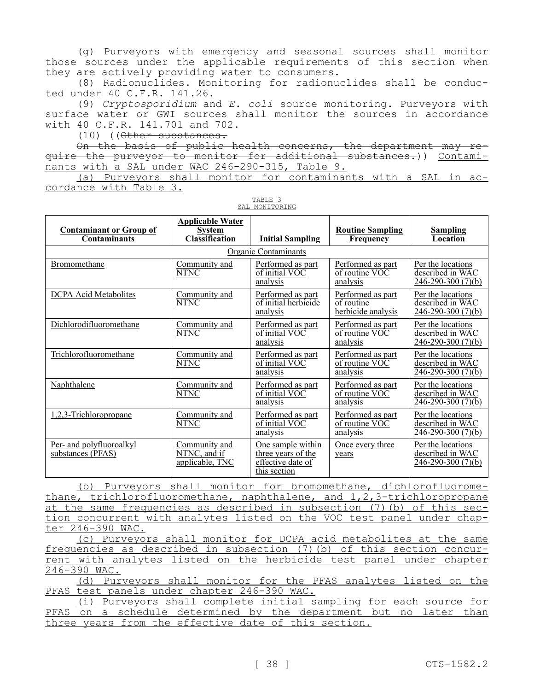(g) Purveyors with emergency and seasonal sources shall monitor those sources under the applicable requirements of this section when they are actively providing water to consumers.

(8) Radionuclides. Monitoring for radionuclides shall be conducted under 40 C.F.R. 141.26.

(9) *Cryptosporidium* and *E. coli* source monitoring. Purveyors with surface water or GWI sources shall monitor the sources in accordance with 40 C.F.R. 141.701 and 702.

(10) ((Other substances.

On the basis of public health concerns, the department may require the purveyor to monitor for additional substances.)) Contaminants with a SAL under WAC 246-290-315, Table 9.

(a) Purveyors shall monitor for contaminants with a SAL in accordance with Table 3.

| <b>Contaminant or Group of</b><br><b>Contaminants</b> | <b>Applicable Water</b><br><b>System</b><br><b>Classification</b> | <b>Initial Sampling</b>                                                      | <b>Routine Sampling</b><br><b>Frequency</b>           | <b>Sampling</b><br>Location                                        |
|-------------------------------------------------------|-------------------------------------------------------------------|------------------------------------------------------------------------------|-------------------------------------------------------|--------------------------------------------------------------------|
|                                                       |                                                                   | Organic Contaminants                                                         |                                                       |                                                                    |
| Bromomethane                                          | Community and<br>NTNC                                             | Performed as part<br>of initial VOC<br>analysis                              | Performed as part<br>of routine VOC<br>analysis       | Per the locations<br>described in WAC<br>$246 - 290 - 300(7)(b)$   |
| <b>DCPA</b> Acid Metabolites                          | Community and<br><b>NTNC</b>                                      | Performed as part<br>of initial herbicide<br>analysis                        | Performed as part<br>of routine<br>herbicide analysis | Per the locations<br>described in WAC<br>$246 - 290 - 300(7)(b)$   |
| Dichlorodifluoromethane                               | Community and<br>NTNC                                             | Performed as part<br>of initial VOC<br>analysis                              | Performed as part<br>of routine VOC<br>analysis       | Per the locations<br>described in WAC<br>246-290-300 (7)(b)        |
| Trichlorofluoromethane                                | Community and<br>NTNC                                             | Performed as part<br>of initial VOC<br>analysis                              | Performed as part<br>of routine VOC<br>analysis       | Per the locations<br>described in WAC<br>$246 - 290 - 300(7)(b)$   |
| Naphthalene                                           | Community and<br>NTNC                                             | Performed as part<br>of initial VOC<br>analysis                              | Performed as part<br>of routine VOC<br>analysis       | Per the locations<br>described in WAC<br>$246 - 290 - 300(7)(b)$   |
| 1,2,3-Trichloropropane                                | Community and<br><b>NTNC</b>                                      | Performed as part<br>of initial VOC<br>analysis                              | Performed as part<br>of routine VOC<br>analysis       | Per the locations<br>described in WAC<br><u>246-290-300 (7)(b)</u> |
| Per- and polyfluoroalkyl<br>substances (PFAS)         | Community and<br>NTNC, and if<br>applicable, TNC                  | One sample within<br>three years of the<br>effective date of<br>this section | Once every three<br>years                             | Per the locations<br>described in WAC<br>246-290-300 (7)(b)        |

TABLE 3 SAL MONITORING

(b) Purveyors shall monitor for bromomethane, dichlorofluoromethane, trichlorofluoromethane, naphthalene, and 1,2,3-trichloropropane at the same frequencies as described in subsection (7)(b) of this section concurrent with analytes listed on the VOC test panel under chapter 246-390 WAC.

(c) Purveyors shall monitor for DCPA acid metabolites at the same frequencies as described in subsection (7)(b) of this section concurrent with analytes listed on the herbicide test panel under chapter 246-390 WAC.

(d) Purveyors shall monitor for the PFAS analytes listed on the PFAS test panels under chapter 246-390 WAC.

(i) Purveyors shall complete initial sampling for each source for PFAS on a schedule determined by the department but no later than three years from the effective date of this section.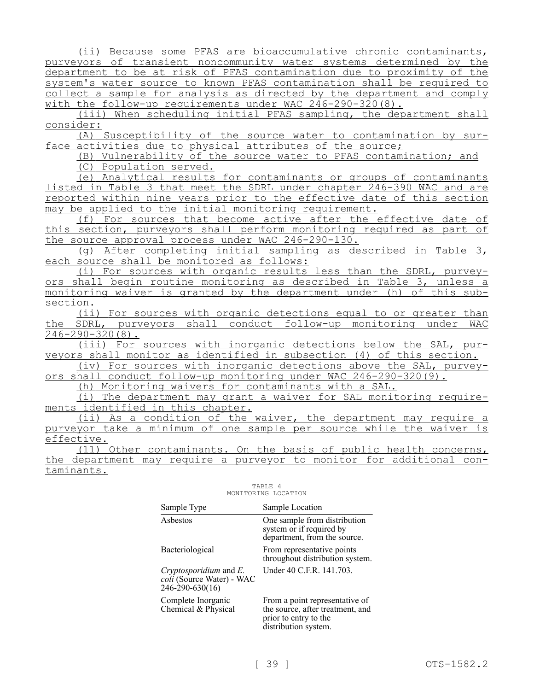(ii) Because some PFAS are bioaccumulative chronic contaminants, purveyors of transient noncommunity water systems determined by the department to be at risk of PFAS contamination due to proximity of the system's water source to known PFAS contamination shall be required to collect a sample for analysis as directed by the department and comply with the follow-up requirements under WAC 246-290-320(8).

(iii) When scheduling initial PFAS sampling, the department shall consider:

(A) Susceptibility of the source water to contamination by surface activities due to physical attributes of the source;

(B) Vulnerability of the source water to PFAS contamination; and (C) Population served.

(e) Analytical results for contaminants or groups of contaminants listed in Table 3 that meet the SDRL under chapter 246-390 WAC and are reported within nine years prior to the effective date of this section may be applied to the initial monitoring requirement.

(f) For sources that become active after the effective date of this section, purveyors shall perform monitoring required as part of the source approval process under WAC 246-290-130.

(g) After completing initial sampling as described in Table 3, each source shall be monitored as follows:

(i) For sources with organic results less than the SDRL, purveyors shall begin routine monitoring as described in Table 3, unless a monitoring waiver is granted by the department under (h) of this subsection.

(ii) For sources with organic detections equal to or greater than the SDRL, purveyors shall conduct follow-up monitoring under WAC 246-290-320(8).

(iii) For sources with inorganic detections below the SAL, purveyors shall monitor as identified in subsection (4) of this section.

(iv) For sources with inorganic detections above the SAL, purveyors shall conduct follow-up monitoring under WAC 246-290-320(9).

(h) Monitoring waivers for contaminants with a SAL.

(i) The department may grant a waiver for SAL monitoring requirements identified in this chapter.

(ii) As a condition of the waiver, the department may require a purveyor take a minimum of one sample per source while the waiver is effective.

(11) Other contaminants. On the basis of public health concerns, the department may require a purveyor to monitor for additional contaminants.

| Sample Type                                                               | Sample Location                                                                                                     |
|---------------------------------------------------------------------------|---------------------------------------------------------------------------------------------------------------------|
| Asbestos                                                                  | One sample from distribution<br>system or if required by<br>department, from the source.                            |
| Bacteriological                                                           | From representative points<br>throughout distribution system.                                                       |
| Cryptosporidium and $E$ .<br>coli (Source Water) - WAC<br>246-290-630(16) | Under 40 C.F.R. 141.703.                                                                                            |
| Complete Inorganic<br>Chemical & Physical                                 | From a point representative of<br>the source, after treatment, and<br>prior to entry to the<br>distribution system. |

#### TABLE 4 MONITORING LOCATION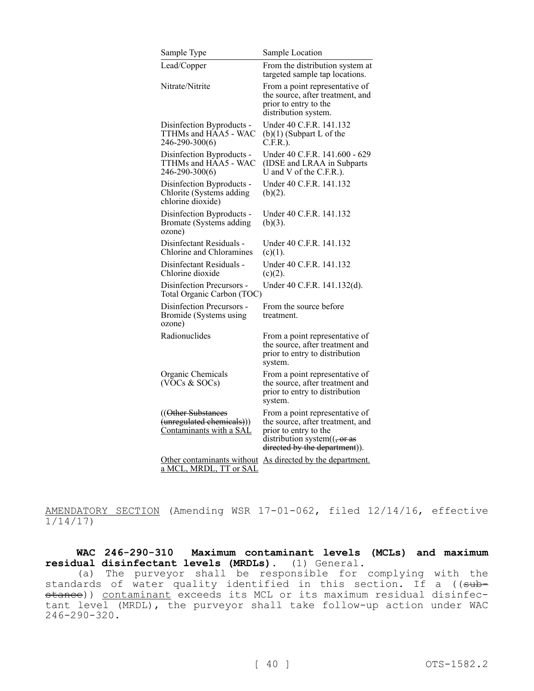| Sample Type                                                                | Sample Location                                                                                                                                                                                   |
|----------------------------------------------------------------------------|---------------------------------------------------------------------------------------------------------------------------------------------------------------------------------------------------|
| Lead/Copper                                                                | From the distribution system at<br>targeted sample tap locations.                                                                                                                                 |
| Nitrate/Nitrite                                                            | From a point representative of<br>the source, after treatment, and<br>prior to entry to the<br>distribution system.                                                                               |
| Disinfection Byproducts -<br>TTHMs and HAA5 - WAC<br>246-290-300(6)        | Under 40 C.F.R. 141.132<br>$(b)(1)$ (Subpart L of the<br>$C.F.R.$ ).                                                                                                                              |
| Disinfection Byproducts -<br>TTHMs and HAA5 - WAC<br>246-290-300(6)        | Under 40 C.F.R. 141.600 - 629<br>(IDSE and LRAA in Subparts<br>U and V of the C.F.R.).                                                                                                            |
| Disinfection Byproducts -<br>Chlorite (Systems adding<br>chlorine dioxide) | Under 40 C.F.R. 141.132<br>$(b)(2)$ .                                                                                                                                                             |
| Disinfection Byproducts -<br>Bromate (Systems adding<br>ozone)             | Under 40 C.F.R. 141.132<br>$(b)(3)$ .                                                                                                                                                             |
| Disinfectant Residuals -<br>Chlorine and Chloramines                       | Under 40 C.F.R. 141.132<br>(c)(1).                                                                                                                                                                |
| Disinfectant Residuals -<br>Chlorine dioxide                               | Under 40 C.F.R. 141.132<br>$(c)(2)$ .                                                                                                                                                             |
| Disinfection Precursors -<br>Total Organic Carbon (TOC)                    | Under 40 C.F.R. 141.132(d).                                                                                                                                                                       |
| Disinfection Precursors -<br>Bromide (Systems using<br>ozone)              | From the source before<br>treatment.                                                                                                                                                              |
| Radionuclides                                                              | From a point representative of<br>the source, after treatment and<br>prior to entry to distribution<br>system.                                                                                    |
| Organic Chemicals<br>(VOCs & SOCs)                                         | From a point representative of<br>the source, after treatment and<br>prior to entry to distribution<br>system.                                                                                    |
| (Other Substances)<br>(unregulated chemicals)))<br>Contaminants with a SAL | From a point representative of<br>the source, after treatment, and<br>prior to entry to the<br>distribution system $((\frac{1}{2} \sigma \sigma \sigma \sigma))$<br>directed by the department)). |
| Other contaminants without<br>a MCL, MRDL, TT or SAL                       | As directed by the department.                                                                                                                                                                    |

AMENDATORY SECTION (Amending WSR 17-01-062, filed 12/14/16, effective 1/14/17)

**WAC 246-290-310 Maximum contaminant levels (MCLs) and maximum residual disinfectant levels (MRDLs).** (1) General.

(a) The purveyor shall be responsible for complying with the standards of water quality identified in this section. If a ((<del>sub-</del> stance)) contaminant exceeds its MCL or its maximum residual disinfectant level (MRDL), the purveyor shall take follow-up action under WAC 246-290-320.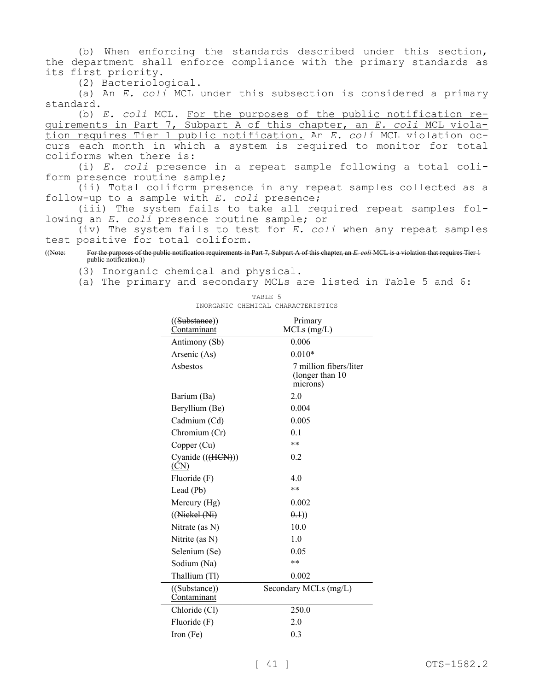(b) When enforcing the standards described under this section, the department shall enforce compliance with the primary standards as its first priority.

(2) Bacteriological.

(a) An *E. coli* MCL under this subsection is considered a primary standard.

(b) *E. coli* MCL. For the purposes of the public notification requirements in Part 7, Subpart A of this chapter, an *E. coli* MCL violation requires Tier 1 public notification. An *E. coli* MCL violation occurs each month in which a system is required to monitor for total coliforms when there is:

(i) *E. coli* presence in a repeat sample following a total coliform presence routine sample;

(ii) Total coliform presence in any repeat samples collected as a follow-up to a sample with *E. coli* presence;

(iii) The system fails to take all required repeat samples following an *E. coli* presence routine sample; or

(iv) The system fails to test for *E. coli* when any repeat samples test positive for total coliform.

((Note: For the purposes of the public notification requirements in Part 7, Subpart A of this chapter, an *E. coli* MCL is a violation that requires Tier 1 public notification.))

(3) Inorganic chemical and physical.

(a) The primary and secondary MCLs are listed in Table 5 and 6:

| ((Substance))                             | Primary                                               |  |
|-------------------------------------------|-------------------------------------------------------|--|
| Contaminant                               | MCLs (mg/L)                                           |  |
| Antimony (Sb)                             | 0.006                                                 |  |
| Arsenic (As)                              | $0.010*$                                              |  |
| Asbestos                                  | 7 million fibers/liter<br>(longer than 10<br>microns) |  |
| Barium (Ba)                               | 2.0                                                   |  |
| Beryllium (Be)                            | 0.004                                                 |  |
| Cadmium (Cd)                              | 0.005                                                 |  |
| Chromium (Cr)                             | 0.1                                                   |  |
| Copper (Cu)                               | **                                                    |  |
| Cyanide (((HCN)))<br>(CN)                 | 0.2                                                   |  |
| Fluoride (F)                              | 4.0                                                   |  |
| Lead (Pb)                                 | **                                                    |  |
| Mercury (Hg)                              | 0.002                                                 |  |
| $((\text{Niekel}(\text{Ni}))$             | $(+.1)$                                               |  |
| Nitrate (as $N$ )                         | 10.0                                                  |  |
| Nitrite (as N)                            | 1.0                                                   |  |
| Selenium (Se)                             | 0.05                                                  |  |
| Sodium (Na)                               | **                                                    |  |
| Thallium (Tl)                             | 0.002                                                 |  |
| (( <del>Substance</del> ))<br>Contaminant | Secondary MCLs (mg/L)                                 |  |
| Chloride (Cl)                             | 250.0                                                 |  |
| Fluoride (F)                              | 2.0                                                   |  |
| Iron (Fe)                                 | 0.3                                                   |  |

TABLE 5 INORGANIC CHEMICAL CHARACTERISTICS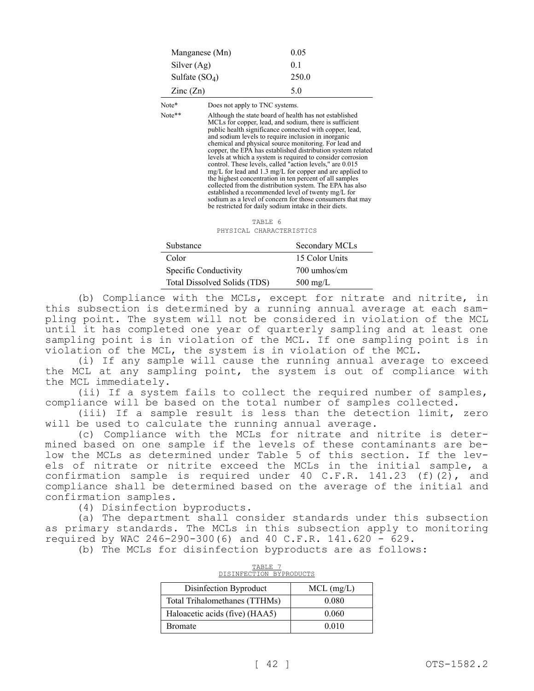| Manganese (Mn)           | 0.05  |
|--------------------------|-------|
| Silver $(Ag)$            | 0.1   |
| Sulfate $(SO_4)$         | 250.0 |
| $\text{Zinc}(\text{Zn})$ | 5.0   |

Note\* Does not apply to TNC systems.

Note\*\* Although the state board of health has not established MCLs for copper, lead, and sodium, there is sufficient public health significance connected with copper, lead, and sodium levels to require inclusion in inorganic chemical and physical source monitoring. For lead and copper, the EPA has established distribution system related levels at which a system is required to consider corrosion control. These levels, called "action levels," are 0.015 mg/L for lead and 1.3 mg/L for copper and are applied to the highest concentration in ten percent of all samples collected from the distribution system. The EPA has also established a recommended level of twenty mg/L for sodium as a level of concern for those consumers that may be restricted for daily sodium intake in their diets.

> TABLE 6 PHYSICAL CHARACTERISTICS

| Substance                    | Secondary MCLs     |
|------------------------------|--------------------|
| Color                        | 15 Color Units     |
| Specific Conductivity        | 700 umhos/cm       |
| Total Dissolved Solids (TDS) | $500 \text{ mg/L}$ |

(b) Compliance with the MCLs, except for nitrate and nitrite, in this subsection is determined by a running annual average at each sampling point. The system will not be considered in violation of the MCL until it has completed one year of quarterly sampling and at least one sampling point is in violation of the MCL. If one sampling point is in violation of the MCL, the system is in violation of the MCL.

(i) If any sample will cause the running annual average to exceed the MCL at any sampling point, the system is out of compliance with the MCL immediately.

(ii) If a system fails to collect the required number of samples, compliance will be based on the total number of samples collected.

(iii) If a sample result is less than the detection limit, zero will be used to calculate the running annual average.

(c) Compliance with the MCLs for nitrate and nitrite is determined based on one sample if the levels of these contaminants are below the MCLs as determined under Table 5 of this section. If the levels of nitrate or nitrite exceed the MCLs in the initial sample, a confirmation sample is required under 40 C.F.R.  $141.23$  (f)(2), and compliance shall be determined based on the average of the initial and confirmation samples.

(4) Disinfection byproducts.

(a) The department shall consider standards under this subsection as primary standards. The MCLs in this subsection apply to monitoring required by WAC 246-290-300(6) and 40 C.F.R. 141.620 - 629.

(b) The MCLs for disinfection byproducts are as follows:

| 5101811901108                  |              |  |
|--------------------------------|--------------|--|
| Disinfection Byproduct         | $MCL$ (mg/L) |  |
| Total Trihalomethanes (TTHMs)  | 0.080        |  |
| Haloacetic acids (five) (HAA5) | 0.060        |  |
| <b>Bromate</b>                 | 0.010        |  |

| DISINFECTION BYPRODUCTS |  |
|-------------------------|--|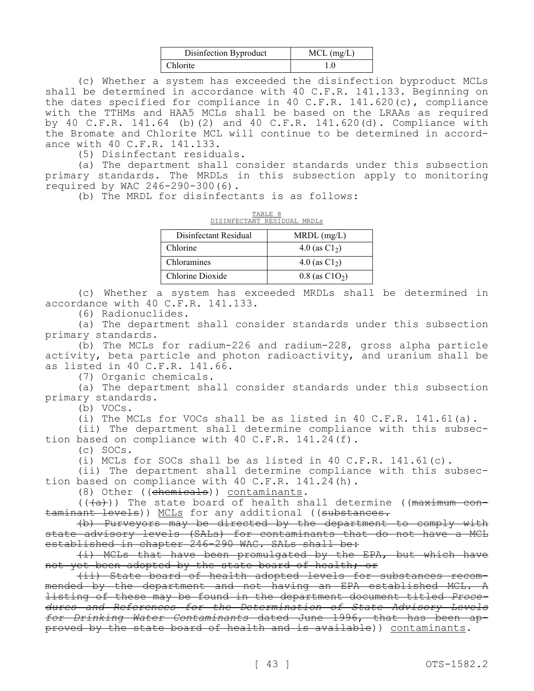| Disinfection Byproduct | $MCL$ (mg/L) |
|------------------------|--------------|
| <b>Chlorite</b>        | l.O          |

(c) Whether a system has exceeded the disinfection byproduct MCLs shall be determined in accordance with 40 C.F.R. 141.133. Beginning on the dates specified for compliance in 40 C.F.R. 141.620(c), compliance with the TTHMs and HAA5 MCLs shall be based on the LRAAs as required by 40 C.F.R. 141.64 (b)(2) and 40 C.F.R. 141.620(d). Compliance with the Bromate and Chlorite MCL will continue to be determined in accordance with 40 C.F.R. 141.133.

(5) Disinfectant residuals.

(a) The department shall consider standards under this subsection primary standards. The MRDLs in this subsection apply to monitoring required by WAC 246-290-300(6).

(b) The MRDL for disinfectants is as follows:

| TABLE 8<br>DISINFECTANT RESIDUAL MRDLS |                              |  |  |
|----------------------------------------|------------------------------|--|--|
| Disinfectant Residual                  | $MRDL$ (mg/L)                |  |  |
| Chlorine                               | 4.0 (as $C1_2$ )             |  |  |
| Chloramines                            | 4.0 (as $C1_2$ )             |  |  |
| Chlorine Dioxide                       | $0.8$ (as C1O <sub>2</sub> ) |  |  |

(c) Whether a system has exceeded MRDLs shall be determined in accordance with 40 C.F.R. 141.133.

(6) Radionuclides.

(a) The department shall consider standards under this subsection primary standards.

(b) The MCLs for radium-226 and radium-228, gross alpha particle activity, beta particle and photon radioactivity, and uranium shall be as listed in 40 C.F.R. 141.66.

(7) Organic chemicals.

(a) The department shall consider standards under this subsection primary standards.

(b) VOCs.

(i) The MCLs for VOCs shall be as listed in 40 C.F.R. 141.61(a).

(ii) The department shall determine compliance with this subsection based on compliance with 40 C.F.R. 141.24(f).

(c) SOCs.

(i) MCLs for SOCs shall be as listed in 40 C.F.R. 141.61(c).

(ii) The department shall determine compliance with this subsection based on compliance with 40 C.F.R. 141.24(h).

(8) Other ((chemicals)) contaminants.

 $((+a))$  The state board of health shall determine ((maximum contaminant levels)) MCLs for any additional ((substances.

(b) Purveyors may be directed by the department to comply with state advisory levels (SALs) for contaminants that do not have a MCL established in chapter 246-290 WAC. SALs shall be:

(i) MCLs that have been promulgated by the EPA, but which have not yet been adopted by the state board of health; or

(ii) State board of health adopted levels for substances recommended by the department and not having an EPA established MCL. A listing of these may be found in the department document titled *Procedures and References for the Determination of State Advisory Levels for Drinking Water Contaminants* dated June 1996, that has been approved by the state board of health and is available)) contaminants.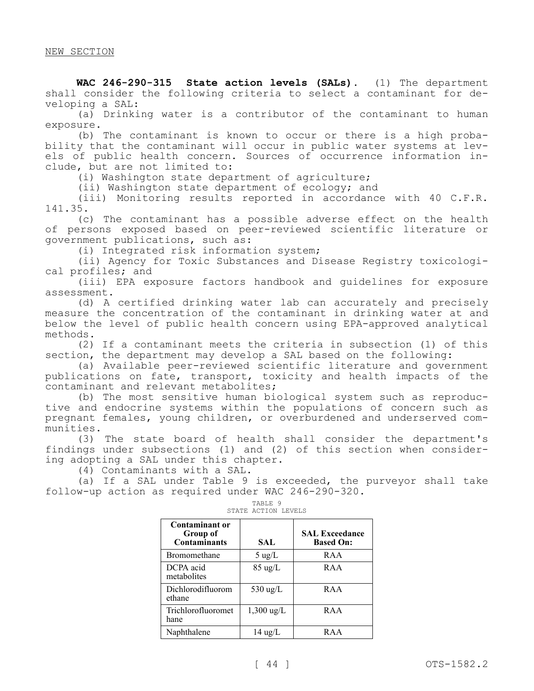**WAC 246-290-315 State action levels (SALs).** (1) The department shall consider the following criteria to select a contaminant for developing a SAL:

(a) Drinking water is a contributor of the contaminant to human exposure.

(b) The contaminant is known to occur or there is a high probability that the contaminant will occur in public water systems at levels of public health concern. Sources of occurrence information include, but are not limited to:

(i) Washington state department of agriculture;

(ii) Washington state department of ecology; and

(iii) Monitoring results reported in accordance with 40 C.F.R. 141.35.

(c) The contaminant has a possible adverse effect on the health of persons exposed based on peer-reviewed scientific literature or government publications, such as:

(i) Integrated risk information system;

(ii) Agency for Toxic Substances and Disease Registry toxicological profiles; and

(iii) EPA exposure factors handbook and guidelines for exposure assessment.

(d) A certified drinking water lab can accurately and precisely measure the concentration of the contaminant in drinking water at and below the level of public health concern using EPA-approved analytical methods.

(2) If a contaminant meets the criteria in subsection (1) of this section, the department may develop a SAL based on the following:

(a) Available peer-reviewed scientific literature and government publications on fate, transport, toxicity and health impacts of the contaminant and relevant metabolites;

(b) The most sensitive human biological system such as reproductive and endocrine systems within the populations of concern such as pregnant females, young children, or overburdened and underserved communities.

(3) The state board of health shall consider the department's findings under subsections (1) and (2) of this section when considering adopting a SAL under this chapter.

(4) Contaminants with a SAL.

(a) If a SAL under Table 9 is exceeded, the purveyor shall take follow-up action as required under WAC 246-290-320.

| Contaminant or<br>Group of<br><b>Contaminants</b> | SAL               | <b>SAL Exceedance</b><br><b>Based On:</b> |
|---------------------------------------------------|-------------------|-------------------------------------------|
| Bromomethane                                      | $5 \text{ ug/L}$  | RAA                                       |
| DCPA acid<br>metabolites                          | $85 \text{ ug/L}$ | RAA                                       |
| Dichlorodifluorom<br>ethane                       | 530 ug/L          | RAA                                       |
| Trichlorofluoromet<br>hane                        | $1,300$ ug/L      | RAA                                       |
| Naphthalene                                       | $14 \text{ ug/L}$ | R A A                                     |

# TABLE 9 STATE ACTION LEVELS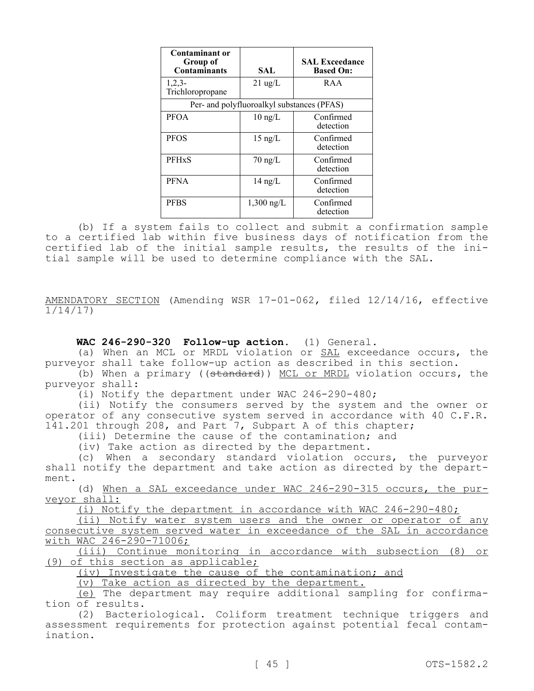| <b>Contaminant or</b><br>Group of<br><b>Contaminants</b> | SAL                                        | <b>SAL Exceedance</b><br><b>Based On:</b> |
|----------------------------------------------------------|--------------------------------------------|-------------------------------------------|
| $1,2,3-$<br>Trichloropropane                             | $21 \text{ ug/L}$                          | RAA                                       |
|                                                          | Per- and polyfluoroalkyl substances (PFAS) |                                           |
| <b>PFOA</b>                                              | $10 \text{ ng/L}$                          | Confirmed<br>detection                    |
| <b>PFOS</b>                                              | $15 \text{ ng/L}$                          | Confirmed<br>detection                    |
| <b>PFHxS</b>                                             | $70 \text{ ng/L}$                          | Confirmed<br>detection                    |
| <b>PFNA</b>                                              | $14 \text{ ng/L}$                          | Confirmed<br>detection                    |
| <b>PFBS</b>                                              | $1,300$ ng/L                               | Confirmed<br>detection                    |

(b) If a system fails to collect and submit a confirmation sample to a certified lab within five business days of notification from the certified lab of the initial sample results, the results of the initial sample will be used to determine compliance with the SAL.

AMENDATORY SECTION (Amending WSR 17-01-062, filed 12/14/16, effective 1/14/17)

# **WAC 246-290-320 Follow-up action.** (1) General.

(a) When an MCL or MRDL violation or SAL exceedance occurs, the purveyor shall take follow-up action as described in this section.

(b) When a primary ((standard)) MCL or MRDL violation occurs, the purveyor shall:

(i) Notify the department under WAC 246-290-480;

(ii) Notify the consumers served by the system and the owner or operator of any consecutive system served in accordance with 40 C.F.R. 141.201 through 208, and Part<sup>7</sup>, Subpart A of this chapter;

(iii) Determine the cause of the contamination; and

(iv) Take action as directed by the department.

(c) When a secondary standard violation occurs, the purveyor shall notify the department and take action as directed by the department.

(d) When a SAL exceedance under WAC 246-290-315 occurs, the purveyor shall:

(i) Notify the department in accordance with WAC 246-290-480;

(ii) Notify water system users and the owner or operator of any consecutive system served water in exceedance of the SAL in accordance with WAC 246-290-71006;

(iii) Continue monitoring in accordance with subsection (8) or (9) of this section as applicable;

(iv) Investigate the cause of the contamination; and

(v) Take action as directed by the department.

(e) The department may require additional sampling for confirmation of results.

(2) Bacteriological. Coliform treatment technique triggers and assessment requirements for protection against potential fecal contamination.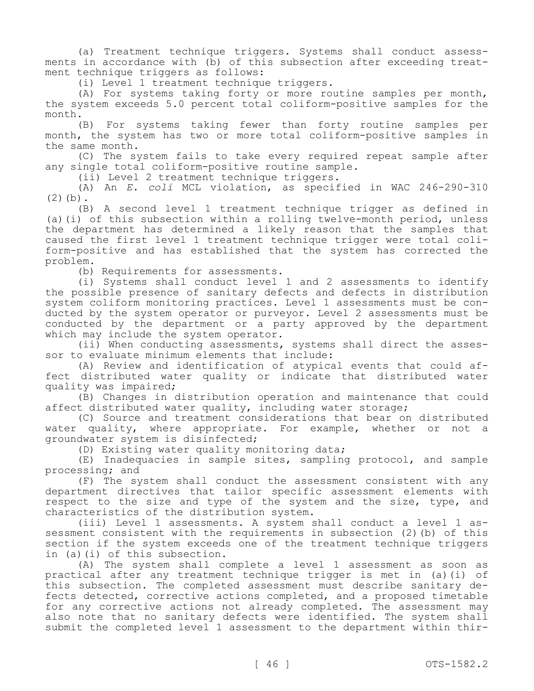(a) Treatment technique triggers. Systems shall conduct assessments in accordance with (b) of this subsection after exceeding treatment technique triggers as follows:

(i) Level 1 treatment technique triggers.

(A) For systems taking forty or more routine samples per month, the system exceeds 5.0 percent total coliform-positive samples for the month.

(B) For systems taking fewer than forty routine samples per month, the system has two or more total coliform-positive samples in the same month.

(C) The system fails to take every required repeat sample after any single total coliform-positive routine sample.

(ii) Level 2 treatment technique triggers.

(A) An *E. coli* MCL violation, as specified in WAC 246-290-310  $(2)(b)$ .

(B) A second level 1 treatment technique trigger as defined in (a)(i) of this subsection within a rolling twelve-month period, unless the department has determined a likely reason that the samples that caused the first level 1 treatment technique trigger were total coliform-positive and has established that the system has corrected the problem.

(b) Requirements for assessments.

(i) Systems shall conduct level 1 and 2 assessments to identify the possible presence of sanitary defects and defects in distribution system coliform monitoring practices. Level 1 assessments must be conducted by the system operator or purveyor. Level 2 assessments must be conducted by the department or a party approved by the department which may include the system operator.

(ii) When conducting assessments, systems shall direct the assessor to evaluate minimum elements that include:

(A) Review and identification of atypical events that could affect distributed water quality or indicate that distributed water quality was impaired;

(B) Changes in distribution operation and maintenance that could affect distributed water quality, including water storage;

(C) Source and treatment considerations that bear on distributed water quality, where appropriate. For example, whether or not a groundwater system is disinfected;

(D) Existing water quality monitoring data;

(E) Inadequacies in sample sites, sampling protocol, and sample processing; and

(F) The system shall conduct the assessment consistent with any department directives that tailor specific assessment elements with respect to the size and type of the system and the size, type, and characteristics of the distribution system.

(iii) Level 1 assessments. A system shall conduct a level 1 assessment consistent with the requirements in subsection (2)(b) of this section if the system exceeds one of the treatment technique triggers in (a)(i) of this subsection.

(A) The system shall complete a level 1 assessment as soon as practical after any treatment technique trigger is met in (a)(i) of this subsection. The completed assessment must describe sanitary defects detected, corrective actions completed, and a proposed timetable for any corrective actions not already completed. The assessment may also note that no sanitary defects were identified. The system shall submit the completed level 1 assessment to the department within thir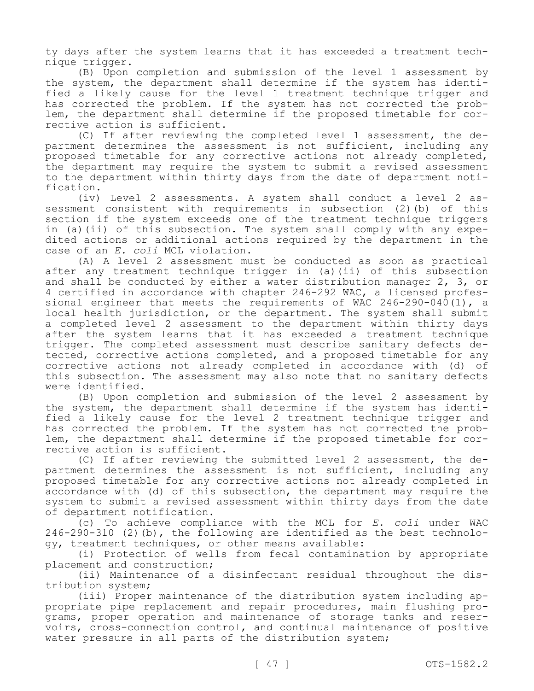ty days after the system learns that it has exceeded a treatment technique trigger.

(B) Upon completion and submission of the level 1 assessment by the system, the department shall determine if the system has identified a likely cause for the level 1 treatment technique trigger and has corrected the problem. If the system has not corrected the problem, the department shall determine if the proposed timetable for corrective action is sufficient.

(C) If after reviewing the completed level 1 assessment, the department determines the assessment is not sufficient, including any proposed timetable for any corrective actions not already completed, the department may require the system to submit a revised assessment to the department within thirty days from the date of department notification.

(iv) Level 2 assessments. A system shall conduct a level 2 assessment consistent with requirements in subsection (2)(b) of this section if the system exceeds one of the treatment technique triggers in (a)(ii) of this subsection. The system shall comply with any expedited actions or additional actions required by the department in the case of an *E. coli* MCL violation.

(A) A level 2 assessment must be conducted as soon as practical after any treatment technique trigger in (a)(ii) of this subsection and shall be conducted by either a water distribution manager 2, 3, or 4 certified in accordance with chapter 246-292 WAC, a licensed professional engineer that meets the requirements of WAC 246-290-040(1), a local health jurisdiction, or the department. The system shall submit a completed level 2 assessment to the department within thirty days after the system learns that it has exceeded a treatment technique trigger. The completed assessment must describe sanitary defects detected, corrective actions completed, and a proposed timetable for any corrective actions not already completed in accordance with (d) of this subsection. The assessment may also note that no sanitary defects were identified.

(B) Upon completion and submission of the level 2 assessment by the system, the department shall determine if the system has identified a likely cause for the level 2 treatment technique trigger and has corrected the problem. If the system has not corrected the problem, the department shall determine if the proposed timetable for corrective action is sufficient.

(C) If after reviewing the submitted level 2 assessment, the department determines the assessment is not sufficient, including any proposed timetable for any corrective actions not already completed in accordance with (d) of this subsection, the department may require the system to submit a revised assessment within thirty days from the date of department notification.

(c) To achieve compliance with the MCL for *E. coli* under WAC 246-290-310 (2)(b), the following are identified as the best technology, treatment techniques, or other means available:

(i) Protection of wells from fecal contamination by appropriate placement and construction;

(ii) Maintenance of a disinfectant residual throughout the distribution system;

(iii) Proper maintenance of the distribution system including appropriate pipe replacement and repair procedures, main flushing programs, proper operation and maintenance of storage tanks and reservoirs, cross-connection control, and continual maintenance of positive water pressure in all parts of the distribution system;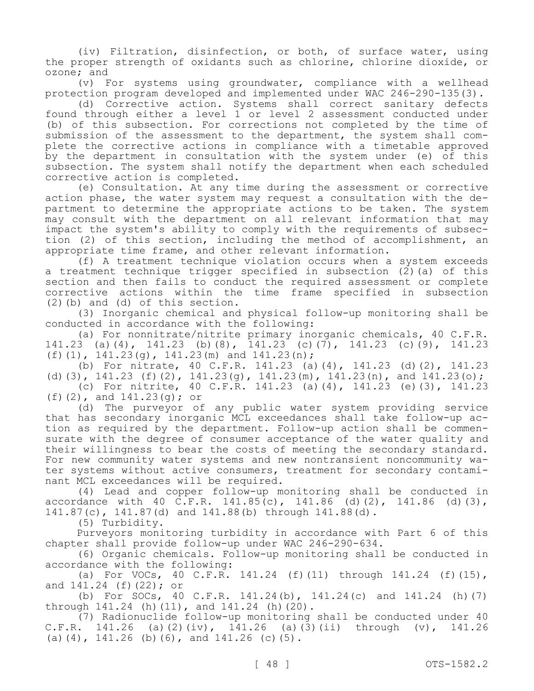(iv) Filtration, disinfection, or both, of surface water, using the proper strength of oxidants such as chlorine, chlorine dioxide, or ozone; and

(v) For systems using groundwater, compliance with a wellhead protection program developed and implemented under WAC 246-290-135(3).

(d) Corrective action. Systems shall correct sanitary defects found through either a level 1 or level 2 assessment conducted under (b) of this subsection. For corrections not completed by the time of submission of the assessment to the department, the system shall complete the corrective actions in compliance with a timetable approved by the department in consultation with the system under (e) of this subsection. The system shall notify the department when each scheduled corrective action is completed.

(e) Consultation. At any time during the assessment or corrective action phase, the water system may request a consultation with the department to determine the appropriate actions to be taken. The system may consult with the department on all relevant information that may impact the system's ability to comply with the requirements of subsection (2) of this section, including the method of accomplishment, an appropriate time frame, and other relevant information.

(f) A treatment technique violation occurs when a system exceeds a treatment technique trigger specified in subsection  $(\vec{2})$  (a) of this section and then fails to conduct the required assessment or complete corrective actions within the time frame specified in subsection (2)(b) and (d) of this section.

(3) Inorganic chemical and physical follow-up monitoring shall be conducted in accordance with the following:

(a) For nonnitrate/nitrite primary inorganic chemicals, 40 C.F.R. 141.23 (a)(4), 141.23 (b)(8), 141.23 (c)(7), 141.23 (c)(9), 141.23 (f)(1),  $141.23(q)$ ,  $141.23(m)$  and  $141.23(n)$ ;

(b) For nitrate, 40 C.F.R. 141.23 (a)(4), 141.23 (d)(2), 141.23 (d)(3), 141.23 (f)(2), 141.23(g), 141.23(m), 141.23(n), and 141.23(o); (c) For nitrite, 40 C.F.R. 141.23 (a)(4), 141.23 (e)(3), 141.23

(f)(2), and 141.23(g); or

(d) The purveyor of any public water system providing service that has secondary inorganic MCL exceedances shall take follow-up action as required by the department. Follow-up action shall be commensurate with the degree of consumer acceptance of the water quality and their willingness to bear the costs of meeting the secondary standard. For new community water systems and new nontransient noncommunity water systems without active consumers, treatment for secondary contaminant MCL exceedances will be required.

(4) Lead and copper follow-up monitoring shall be conducted in accordance with 40 C.F.R. 141.85(c), 141.86 (d)(2), 141.86 (d)(3), 141.87(c), 141.87(d) and 141.88(b) through 141.88(d).

(5) Turbidity.

Purveyors monitoring turbidity in accordance with Part 6 of this chapter shall provide follow-up under WAC 246-290-634.

(6) Organic chemicals. Follow-up monitoring shall be conducted in accordance with the following:

(a) For VOCs, 40 C.F.R. 141.24 (f)(11) through 141.24 (f)(15), and 141.24 (f)(22); or

(b) For SOCs, 40 C.F.R. 141.24(b), 141.24(c) and  $141.24$  (h)(7) through 141.24 (h)(11), and 141.24 (h)(20).

(7) Radionuclide follow-up monitoring shall be conducted under 40 C.F.R. 141.26 (a)(2)(iv), 141.26 (a)(3)(ii) through (v), 141.26 (a)(4), 141.26 (b)(6), and 141.26 (c)(5).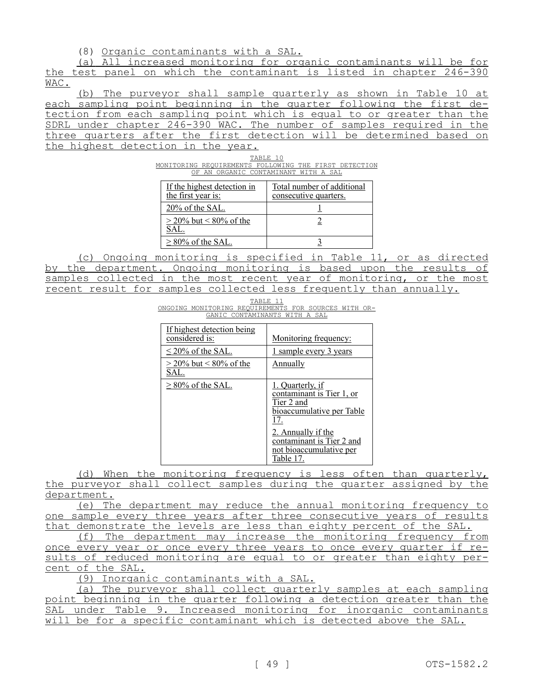(8) Organic contaminants with a SAL.

(a) All increased monitoring for organic contaminants will be for the test panel on which the contaminant is listed in chapter 246-390 WAC.

(b) The purveyor shall sample quarterly as shown in Table 10 at each sampling point beginning in the quarter following the first detection from each sampling point which is equal to or greater than the SDRL under chapter 246-390 WAC. The number of samples required in the three quarters after the first detection will be determined based on the highest detection in the year.

| TABLE 10 |  |  |                                                       |  |  |  |  |
|----------|--|--|-------------------------------------------------------|--|--|--|--|
|          |  |  | MONITORING REOUIREMENTS FOLLOWING THE FIRST DETECTION |  |  |  |  |
|          |  |  | OF AN ORGANIC CONTAMINANT WITH A SAL                  |  |  |  |  |

| If the highest detection in<br>the first year is: | Total number of additional<br>consecutive quarters. |
|---------------------------------------------------|-----------------------------------------------------|
| 20% of the SAL.                                   |                                                     |
| $>$ 20% but < 80% of the<br>SAL.                  |                                                     |
| $\geq$ 80% of the SAL.                            |                                                     |

(c) Ongoing monitoring is specified in Table 11, or as directed by the department. Ongoing monitoring is based upon the results of samples collected in the most recent year of monitoring, or the most recent result for samples collected less frequently than annually.

|  | TABLE 11                                             |  |  |
|--|------------------------------------------------------|--|--|
|  | ONGOING MONITORING REOUIREMENTS FOR SOURCES WITH OR- |  |  |
|  | GANIC CONTAMINANTS WITH A SAL                        |  |  |

| If highest detection being<br>considered is: | Monitoring frequency:                                                                                                                                                                             |
|----------------------------------------------|---------------------------------------------------------------------------------------------------------------------------------------------------------------------------------------------------|
| $\leq$ 20% of the SAL.                       | <u>1 sample every 3 years</u>                                                                                                                                                                     |
| $>$ 20% but < 80% of the<br>SAL.             | Annually                                                                                                                                                                                          |
| $> 80\%$ of the SAL.                         | 1. Quarterly, if<br>contaminant is Tier 1, or<br>Tier 2 and<br><u>bioaccumulative per Table</u><br>17.<br>2. Annually if the<br>contaminant is Tier 2 and<br>not bioaccumulative per<br>Table 17. |

(d) When the monitoring frequency is less often than quarterly, the purveyor shall collect samples during the quarter assigned by the department.

(e) The department may reduce the annual monitoring frequency to one sample every three years after three consecutive years of results that demonstrate the levels are less than eighty percent of the SAL.

(f) The department may increase the monitoring frequency from once every year or once every three years to once every quarter if results of reduced monitoring are equal to or greater than eighty percent of the SAL.

(9) Inorganic contaminants with a SAL.

(a) The purveyor shall collect quarterly samples at each sampling point beginning in the quarter following a detection greater than the SAL under Table 9. Increased monitoring for inorganic contaminants will be for a specific contaminant which is detected above the SAL.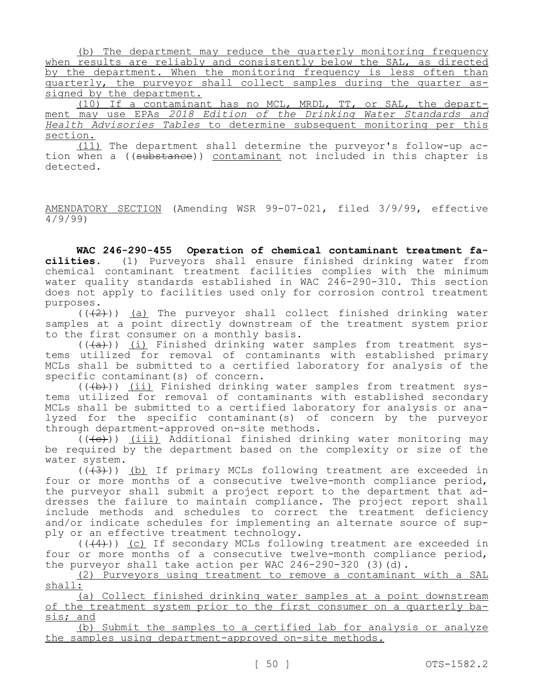(b) The department may reduce the quarterly monitoring frequency when results are reliably and consistently below the SAL, as directed by the department. When the monitoring frequency is less often than quarterly, the purveyor shall collect samples during the quarter assigned by the department.

(10) If a contaminant has no MCL, MRDL, TT, or SAL, the department may use EPAs *2018 Edition of the Drinking Water Standards and Health Advisories Tables* to determine subsequent monitoring per this section.

(11) The department shall determine the purveyor's follow-up action when a ((substance)) contaminant not included in this chapter is detected.

AMENDATORY SECTION (Amending WSR 99-07-021, filed 3/9/99, effective 4/9/99)

**WAC 246-290-455 Operation of chemical contaminant treatment facilities.** (1) Purveyors shall ensure finished drinking water from chemical contaminant treatment facilities complies with the minimum water quality standards established in WAC 246-290-310. This section does not apply to facilities used only for corrosion control treatment purposes.

 $((+2))$  (a) The purveyor shall collect finished drinking water samples at a point directly downstream of the treatment system prior to the first consumer on a monthly basis.

 $((+a))$  (i) Finished drinking water samples from treatment systems utilized for removal of contaminants with established primary MCLs shall be submitted to a certified laboratory for analysis of the specific contaminant(s) of concern.

 $((+b))$  (ii) Finished drinking water samples from treatment systems utilized for removal of contaminants with established secondary MCLs shall be submitted to a certified laboratory for analysis or analyzed for the specific contaminant(s) of concern by the purveyor through department-approved on-site methods.

 $((\langle e \rangle))$  (iii) Additional finished drinking water monitoring may be required by the department based on the complexity or size of the water system.

 $((+3))$  (b) If primary MCLs following treatment are exceeded in four or more months of a consecutive twelve-month compliance period, the purveyor shall submit a project report to the department that addresses the failure to maintain compliance. The project report shall include methods and schedules to correct the treatment deficiency and/or indicate schedules for implementing an alternate source of supply or an effective treatment technology.

 $((+4))$  (c) If secondary MCLs following treatment are exceeded in four or more months of a consecutive twelve-month compliance period, the purveyor shall take action per WAC 246-290-320 (3)( $\overline{d}$ ).

(2) Purveyors using treatment to remove a contaminant with a SAL shall:

(a) Collect finished drinking water samples at a point downstream of the treatment system prior to the first consumer on a quarterly basis; and

(b) Submit the samples to a certified lab for analysis or analyze the samples using department-approved on-site methods.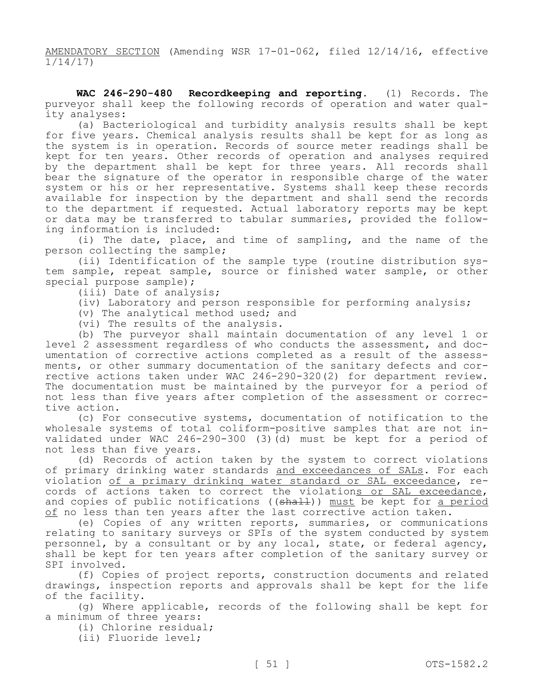AMENDATORY SECTION (Amending WSR 17-01-062, filed 12/14/16, effective 1/14/17)

**WAC 246-290-480 Recordkeeping and reporting.** (1) Records. The purveyor shall keep the following records of operation and water quality analyses:

(a) Bacteriological and turbidity analysis results shall be kept for five years. Chemical analysis results shall be kept for as long as the system is in operation. Records of source meter readings shall be kept for ten years. Other records of operation and analyses required by the department shall be kept for three years. All records shall bear the signature of the operator in responsible charge of the water system or his or her representative. Systems shall keep these records available for inspection by the department and shall send the records to the department if requested. Actual laboratory reports may be kept or data may be transferred to tabular summaries, provided the following information is included:

(i) The date, place, and time of sampling, and the name of the person collecting the sample;

(ii) Identification of the sample type (routine distribution system sample, repeat sample, source or finished water sample, or other special purpose sample);

(iii) Date of analysis;

(iv) Laboratory and person responsible for performing analysis;

(v) The analytical method used; and

(vi) The results of the analysis.

(b) The purveyor shall maintain documentation of any level 1 or level 2 assessment regardless of who conducts the assessment, and documentation of corrective actions completed as a result of the assessments, or other summary documentation of the sanitary defects and corrective actions taken under WAC 246-290-320(2) for department review. The documentation must be maintained by the purveyor for a period of not less than five years after completion of the assessment or corrective action.

(c) For consecutive systems, documentation of notification to the wholesale systems of total coliform-positive samples that are not invalidated under WAC 246-290-300 (3)(d) must be kept for a period of not less than five years.

(d) Records of action taken by the system to correct violations of primary drinking water standards and exceedances of SALs. For each violation of a primary drinking water standard or SAL exceedance, records of actions taken to correct the violations or SAL exceedance, and copies of public notifications ((shall)) must be kept for a period of no less than ten years after the last corrective action taken.

(e) Copies of any written reports, summaries, or communications relating to sanitary surveys or SPIs of the system conducted by system personnel, by a consultant or by any local, state, or federal agency, shall be kept for ten years after completion of the sanitary survey or SPI involved.

(f) Copies of project reports, construction documents and related drawings, inspection reports and approvals shall be kept for the life of the facility.

(g) Where applicable, records of the following shall be kept for a minimum of three years:

(i) Chlorine residual;

(ii) Fluoride level;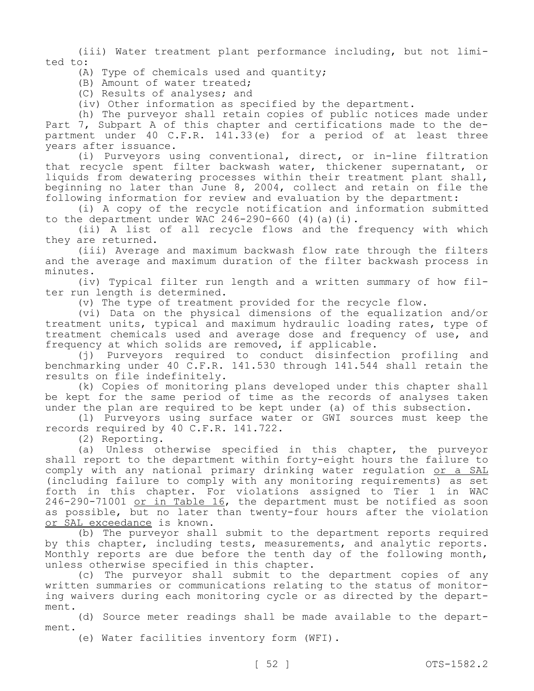(iii) Water treatment plant performance including, but not limited to:

(A) Type of chemicals used and quantity;

(B) Amount of water treated;

(C) Results of analyses; and

(iv) Other information as specified by the department.

(h) The purveyor shall retain copies of public notices made under Part 7, Subpart A of this chapter and certifications made to the department under 40 C.F.R. 141.33(e) for a period of at least three years after issuance.

(i) Purveyors using conventional, direct, or in-line filtration that recycle spent filter backwash water, thickener supernatant, or liquids from dewatering processes within their treatment plant shall, beginning no later than June 8, 2004, collect and retain on file the following information for review and evaluation by the department:

(i) A copy of the recycle notification and information submitted to the department under WAC  $246 - 290 - 660$  (4)(a)(i).

(ii) A list of all recycle flows and the frequency with which they are returned.

(iii) Average and maximum backwash flow rate through the filters and the average and maximum duration of the filter backwash process in minutes.

(iv) Typical filter run length and a written summary of how filter run length is determined.

(v) The type of treatment provided for the recycle flow.

(vi) Data on the physical dimensions of the equalization and/or treatment units, typical and maximum hydraulic loading rates, type of treatment chemicals used and average dose and frequency of use, and frequency at which solids are removed, if applicable.

(j) Purveyors required to conduct disinfection profiling and benchmarking under 40 C.F.R. 141.530 through 141.544 shall retain the results on file indefinitely.

(k) Copies of monitoring plans developed under this chapter shall be kept for the same period of time as the records of analyses taken under the plan are required to be kept under (a) of this subsection.

(l) Purveyors using surface water or GWI sources must keep the records required by 40 C.F.R. 141.722.

(2) Reporting.

(a) Unless otherwise specified in this chapter, the purveyor shall report to the department within forty-eight hours the failure to comply with any national primary drinking water regulation or a SAL (including failure to comply with any monitoring requirements) as set forth in this chapter. For violations assigned to Tier 1 in WAC 246-290-71001 or in Table 16, the department must be notified as soon as possible, but no later than twenty-four hours after the violation or SAL exceedance is known.

(b) The purveyor shall submit to the department reports required by this chapter, including tests, measurements, and analytic reports. Monthly reports are due before the tenth day of the following month, unless otherwise specified in this chapter.

(c) The purveyor shall submit to the department copies of any written summaries or communications relating to the status of monitoring waivers during each monitoring cycle or as directed by the department.

(d) Source meter readings shall be made available to the department.

(e) Water facilities inventory form (WFI).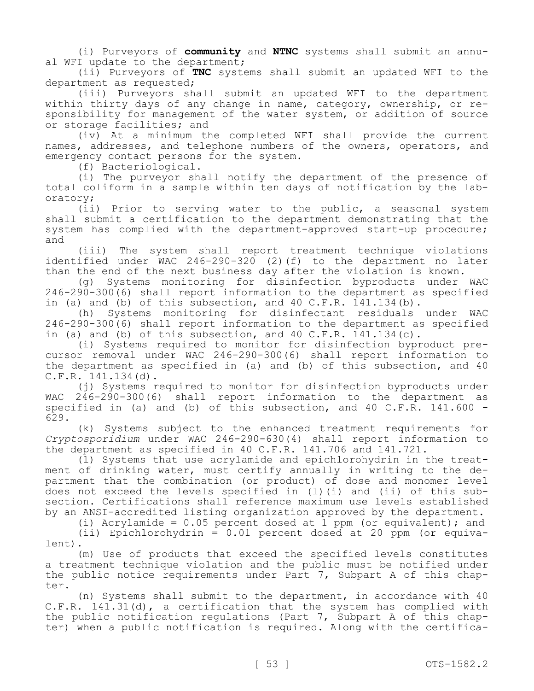(i) Purveyors of **community** and **NTNC** systems shall submit an annual WFI update to the department;

(ii) Purveyors of **TNC** systems shall submit an updated WFI to the department as requested;

(iii) Purveyors shall submit an updated WFI to the department within thirty days of any change in name, category, ownership, or responsibility for management of the water system, or addition of source or storage facilities; and

(iv) At a minimum the completed WFI shall provide the current names, addresses, and telephone numbers of the owners, operators, and emergency contact persons for the system.

(f) Bacteriological.

(i) The purveyor shall notify the department of the presence of total coliform in a sample within ten days of notification by the laboratory;

(ii) Prior to serving water to the public, a seasonal system shall submit a certification to the department demonstrating that the system has complied with the department-approved start-up procedure; and

(iii) The system shall report treatment technique violations identified under WAC 246-290-320 (2)(f) to the department no later than the end of the next business day after the violation is known.

(g) Systems monitoring for disinfection byproducts under WAC 246-290-300(6) shall report information to the department as specified in (a) and (b) of this subsection, and 40 C.F.R. 141.134(b).

(h) Systems monitoring for disinfectant residuals under WAC 246-290-300(6) shall report information to the department as specified in (a) and (b) of this subsection, and  $40 \, \text{C.F.R.}$  141.134(c).

(i) Systems required to monitor for disinfection byproduct precursor removal under WAC 246-290-300(6) shall report information to the department as specified in (a) and (b) of this subsection, and 40 C.F.R. 141.134(d).

(j) Systems required to monitor for disinfection byproducts under WAC 246-290-300(6) shall report information to the department as specified in (a) and (b) of this subsection, and  $40$  C.F.R. 141.600 -629.

(k) Systems subject to the enhanced treatment requirements for *Cryptosporidium* under WAC 246-290-630(4) shall report information to the department as specified in 40 C.F.R. 141.706 and 141.721.

(l) Systems that use acrylamide and epichlorohydrin in the treatment of drinking water, must certify annually in writing to the department that the combination (or product) of dose and monomer level does not exceed the levels specified in (l)(i) and (ii) of this subsection. Certifications shall reference maximum use levels established by an ANSI-accredited listing organization approved by the department.

(i) Acrylamide =  $0.05$  percent dosed at 1 ppm (or equivalent); and

(ii) Epichlorohydrin = 0.01 percent dosed at 20 ppm (or equivalent).

(m) Use of products that exceed the specified levels constitutes a treatment technique violation and the public must be notified under the public notice requirements under Part 7, Subpart A of this chapter.

(n) Systems shall submit to the department, in accordance with 40 C.F.R. 141.31(d), a certification that the system has complied with the public notification regulations (Part 7, Subpart A of this chapter) when a public notification is required. Along with the certifica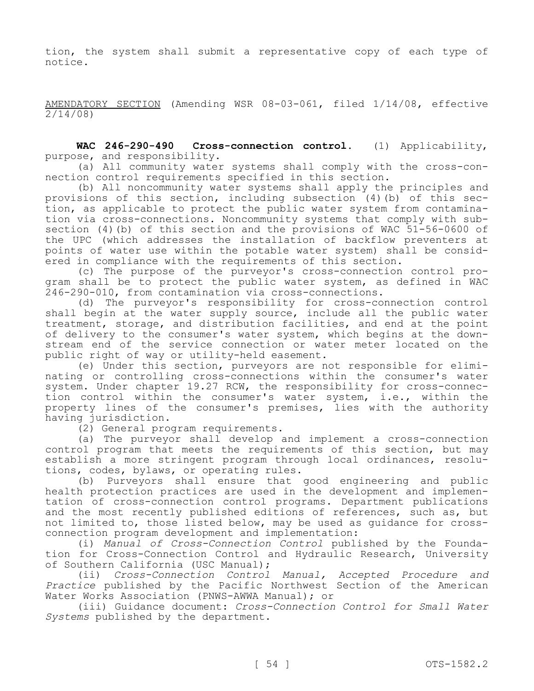tion, the system shall submit a representative copy of each type of notice.

AMENDATORY SECTION (Amending WSR 08-03-061, filed 1/14/08, effective 2/14/08)

**WAC 246-290-490 Cross-connection control.** (1) Applicability, purpose, and responsibility.

(a) All community water systems shall comply with the cross-connection control requirements specified in this section.

(b) All noncommunity water systems shall apply the principles and provisions of this section, including subsection (4)(b) of this section, as applicable to protect the public water system from contamination via cross-connections. Noncommunity systems that comply with subsection (4)(b) of this section and the provisions of WAC 51-56-0600 of the UPC (which addresses the installation of backflow preventers at points of water use within the potable water system) shall be considered in compliance with the requirements of this section.

(c) The purpose of the purveyor's cross-connection control program shall be to protect the public water system, as defined in WAC 246-290-010, from contamination via cross-connections.

(d) The purveyor's responsibility for cross-connection control shall begin at the water supply source, include all the public water treatment, storage, and distribution facilities, and end at the point of delivery to the consumer's water system, which begins at the downstream end of the service connection or water meter located on the public right of way or utility-held easement.

(e) Under this section, purveyors are not responsible for eliminating or controlling cross-connections within the consumer's water system. Under chapter 19.27 RCW, the responsibility for cross-connection control within the consumer's water system, i.e., within the property lines of the consumer's premises, lies with the authority having jurisdiction.

(2) General program requirements.

(a) The purveyor shall develop and implement a cross-connection control program that meets the requirements of this section, but may establish a more stringent program through local ordinances, resolutions, codes, bylaws, or operating rules.

(b) Purveyors shall ensure that good engineering and public health protection practices are used in the development and implementation of cross-connection control programs. Department publications and the most recently published editions of references, such as, but not limited to, those listed below, may be used as guidance for crossconnection program development and implementation:

(i) *Manual of Cross-Connection Control* published by the Foundation for Cross-Connection Control and Hydraulic Research, University of Southern California (USC Manual);

(ii) *Cross-Connection Control Manual, Accepted Procedure and Practice* published by the Pacific Northwest Section of the American Water Works Association (PNWS-AWWA Manual); or

(iii) Guidance document: *Cross-Connection Control for Small Water Systems* published by the department.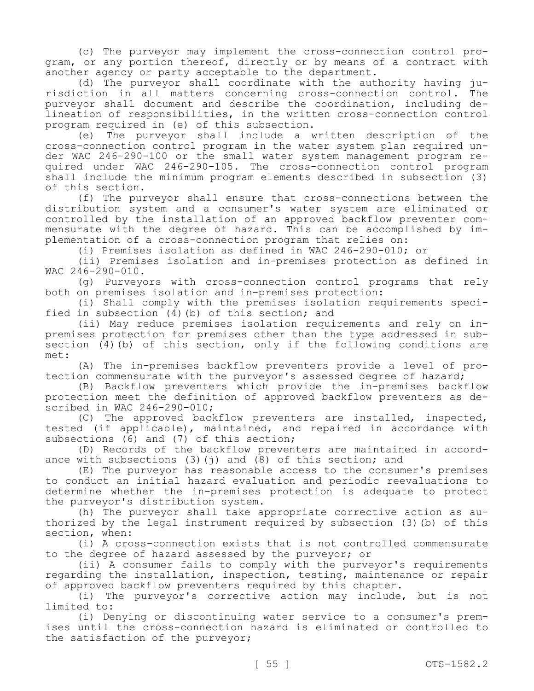(c) The purveyor may implement the cross-connection control program, or any portion thereof, directly or by means of a contract with another agency or party acceptable to the department.

(d) The purveyor shall coordinate with the authority having jurisdiction in all matters concerning cross-connection control. The purveyor shall document and describe the coordination, including delineation of responsibilities, in the written cross-connection control program required in (e) of this subsection.

(e) The purveyor shall include a written description of the cross-connection control program in the water system plan required under WAC 246-290-100 or the small water system management program required under WAC 246-290-105. The cross-connection control program shall include the minimum program elements described in subsection (3) of this section.

(f) The purveyor shall ensure that cross-connections between the distribution system and a consumer's water system are eliminated or controlled by the installation of an approved backflow preventer commensurate with the degree of hazard. This can be accomplished by implementation of a cross-connection program that relies on:

(i) Premises isolation as defined in WAC 246-290-010; or

(ii) Premises isolation and in-premises protection as defined in WAC 246-290-010.

(g) Purveyors with cross-connection control programs that rely both on premises isolation and in-premises protection:

(i) Shall comply with the premises isolation requirements specified in subsection  $(4)$  (b) of this section; and

(ii) May reduce premises isolation requirements and rely on inpremises protection for premises other than the type addressed in subsection (4)(b) of this section, only if the following conditions are met:

(A) The in-premises backflow preventers provide a level of protection commensurate with the purveyor's assessed degree of hazard;

(B) Backflow preventers which provide the in-premises backflow protection meet the definition of approved backflow preventers as described in WAC 246-290-010;

(C) The approved backflow preventers are installed, inspected, tested (if applicable), maintained, and repaired in accordance with subsections (6) and (7) of this section;

(D) Records of the backflow preventers are maintained in accordance with subsections  $(3)(i)$  and  $(8)$  of this section; and

(E) The purveyor has reasonable access to the consumer's premises to conduct an initial hazard evaluation and periodic reevaluations to determine whether the in-premises protection is adequate to protect the purveyor's distribution system.

(h) The purveyor shall take appropriate corrective action as authorized by the legal instrument required by subsection (3)(b) of this section, when:

(i) A cross-connection exists that is not controlled commensurate to the degree of hazard assessed by the purveyor; or

(ii) A consumer fails to comply with the purveyor's requirements regarding the installation, inspection, testing, maintenance or repair of approved backflow preventers required by this chapter.

(i) The purveyor's corrective action may include, but is not limited to:

(i) Denying or discontinuing water service to a consumer's premises until the cross-connection hazard is eliminated or controlled to the satisfaction of the purveyor;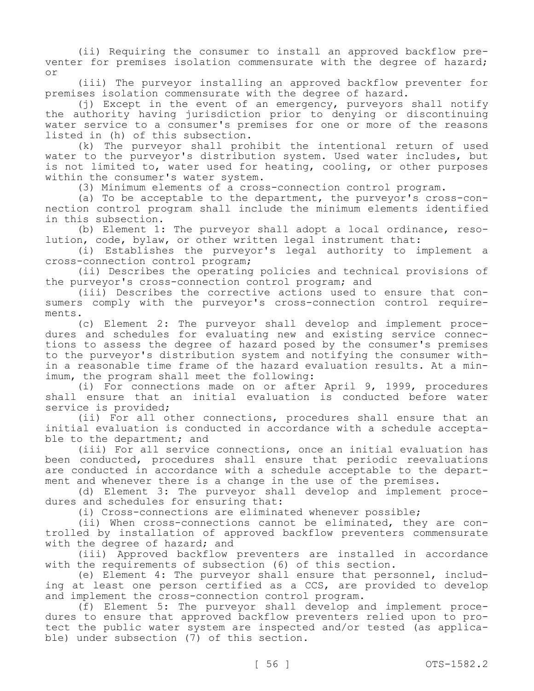(ii) Requiring the consumer to install an approved backflow preventer for premises isolation commensurate with the degree of hazard; or

(iii) The purveyor installing an approved backflow preventer for premises isolation commensurate with the degree of hazard.

(j) Except in the event of an emergency, purveyors shall notify the authority having jurisdiction prior to denying or discontinuing water service to a consumer's premises for one or more of the reasons listed in (h) of this subsection.

(k) The purveyor shall prohibit the intentional return of used water to the purveyor's distribution system. Used water includes, but is not limited to, water used for heating, cooling, or other purposes within the consumer's water system.

(3) Minimum elements of a cross-connection control program.

(a) To be acceptable to the department, the purveyor's cross-connection control program shall include the minimum elements identified in this subsection.

(b) Element 1: The purveyor shall adopt a local ordinance, resolution, code, bylaw, or other written legal instrument that:

(i) Establishes the purveyor's legal authority to implement a cross-connection control program;

(ii) Describes the operating policies and technical provisions of the purveyor's cross-connection control program; and

(iii) Describes the corrective actions used to ensure that consumers comply with the purveyor's cross-connection control requirements.

(c) Element 2: The purveyor shall develop and implement procedures and schedules for evaluating new and existing service connections to assess the degree of hazard posed by the consumer's premises to the purveyor's distribution system and notifying the consumer within a reasonable time frame of the hazard evaluation results. At a minimum, the program shall meet the following:

(i) For connections made on or after April 9, 1999, procedures shall ensure that an initial evaluation is conducted before water service is provided;

(ii) For all other connections, procedures shall ensure that an initial evaluation is conducted in accordance with a schedule acceptable to the department; and

(iii) For all service connections, once an initial evaluation has been conducted, procedures shall ensure that periodic reevaluations are conducted in accordance with a schedule acceptable to the department and whenever there is a change in the use of the premises.

(d) Element 3: The purveyor shall develop and implement procedures and schedules for ensuring that:

(i) Cross-connections are eliminated whenever possible;

(ii) When cross-connections cannot be eliminated, they are controlled by installation of approved backflow preventers commensurate with the degree of hazard; and

(iii) Approved backflow preventers are installed in accordance with the requirements of subsection (6) of this section.

(e) Element 4: The purveyor shall ensure that personnel, including at least one person certified as a CCS, are provided to develop and implement the cross-connection control program.

(f) Element 5: The purveyor shall develop and implement procedures to ensure that approved backflow preventers relied upon to protect the public water system are inspected and/or tested (as applicable) under subsection (7) of this section.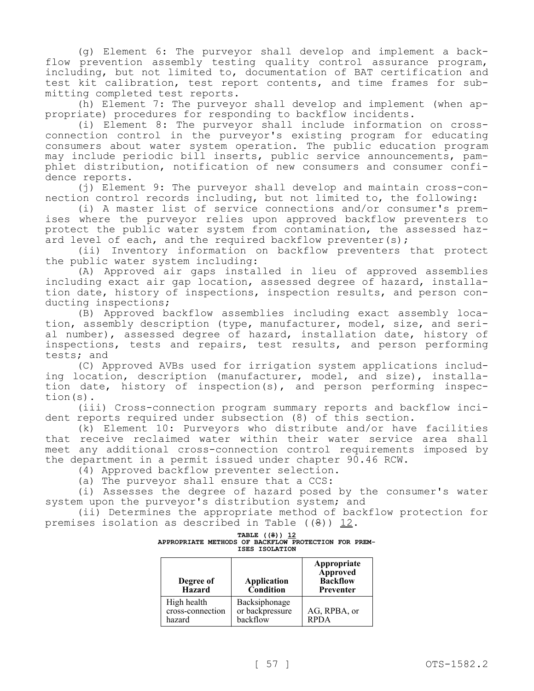(g) Element 6: The purveyor shall develop and implement a backflow prevention assembly testing quality control assurance program, including, but not limited to, documentation of BAT certification and test kit calibration, test report contents, and time frames for submitting completed test reports.

(h) Element 7: The purveyor shall develop and implement (when appropriate) procedures for responding to backflow incidents.

(i) Element 8: The purveyor shall include information on crossconnection control in the purveyor's existing program for educating consumers about water system operation. The public education program may include periodic bill inserts, public service announcements, pamphlet distribution, notification of new consumers and consumer confidence reports.

(j) Element 9: The purveyor shall develop and maintain cross-connection control records including, but not limited to, the following:

(i) A master list of service connections and/or consumer's premises where the purveyor relies upon approved backflow preventers to protect the public water system from contamination, the assessed hazard level of each, and the required backflow preventer(s);

(ii) Inventory information on backflow preventers that protect the public water system including:

(A) Approved air gaps installed in lieu of approved assemblies including exact air gap location, assessed degree of hazard, installation date, history of inspections, inspection results, and person conducting inspections;

(B) Approved backflow assemblies including exact assembly location, assembly description (type, manufacturer, model, size, and serial number), assessed degree of hazard, installation date, history of inspections, tests and repairs, test results, and person performing tests; and

(C) Approved AVBs used for irrigation system applications including location, description (manufacturer, model, and size), installation date, history of inspection(s), and person performing inspection(s).

(iii) Cross-connection program summary reports and backflow incident reports required under subsection (8) of this section.

(k) Element 10: Purveyors who distribute and/or have facilities that receive reclaimed water within their water service area shall meet any additional cross-connection control requirements imposed by the department in a permit issued under chapter 90.46 RCW.

(4) Approved backflow preventer selection.

(a) The purveyor shall ensure that a CCS:

(i) Assesses the degree of hazard posed by the consumer's water system upon the purveyor's distribution system; and

(ii) Determines the appropriate method of backflow protection for premises isolation as described in Table  $((9))$  12.

| APPROPRIATE METHODS OF BACKFLOW PROTECTION FOR PREM- | <b>TABLE</b> ((8)) 12<br>ISES ISOLATION |  |  |  |
|------------------------------------------------------|-----------------------------------------|--|--|--|
|                                                      |                                         |  |  |  |

| Degree of<br><b>Hazard</b>                | <b>Application</b><br>Condition              | Appropriate<br><b>Approved</b><br><b>Backflow</b><br>Preventer |
|-------------------------------------------|----------------------------------------------|----------------------------------------------------------------|
| High health<br>cross-connection<br>hazard | Backsiphonage<br>or backpressure<br>backflow | AG, RPBA, or<br><b>RPDA</b>                                    |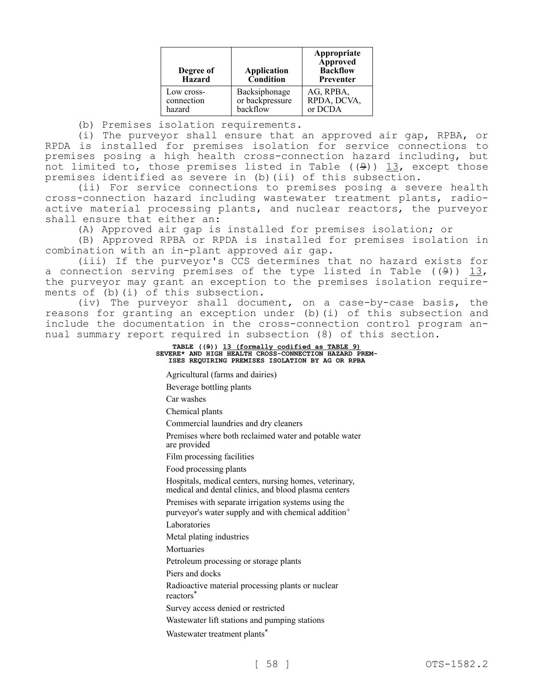| Degree of<br><b>Hazard</b> | <b>Application</b><br>Condition | Appropriate<br><b>Approved</b><br><b>Backflow</b><br>Preventer |
|----------------------------|---------------------------------|----------------------------------------------------------------|
| Low cross-                 | Backsiphonage                   | AG, RPBA,                                                      |
| connection                 | or backpressure                 | RPDA, DCVA,                                                    |
| hazard                     | backflow                        | or DCDA                                                        |

(b) Premises isolation requirements.

(i) The purveyor shall ensure that an approved air gap, RPBA, or RPDA is installed for premises isolation for service connections to premises posing a high health cross-connection hazard including, but not limited to, those premises listed in Table  $(9)$ ) 13, except those premises identified as severe in (b)(ii) of this subsection.

(ii) For service connections to premises posing a severe health cross-connection hazard including wastewater treatment plants, radioactive material processing plants, and nuclear reactors, the purveyor shall ensure that either an:

(A) Approved air gap is installed for premises isolation; or

(B) Approved RPBA or RPDA is installed for premises isolation in combination with an in-plant approved air gap.

(iii) If the purveyor's CCS determines that no hazard exists for a connection serving premises of the type listed in Table ( $(9)$ ) 13, the purveyor may grant an exception to the premises isolation requirements of (b)(i) of this subsection.

(iv) The purveyor shall document, on a case-by-case basis, the reasons for granting an exception under (b)(i) of this subsection and include the documentation in the cross-connection control program annual summary report required in subsection (8) of this section.

> **TABLE ((9)) 13 (formally codified as TABLE 9) SEVERE\* AND HIGH HEALTH CROSS-CONNECTION HAZARD PREM-ISES REQUIRING PREMISES ISOLATION BY AG OR RPBA**

Agricultural (farms and dairies)

Beverage bottling plants

Car washes

Chemical plants

Commercial laundries and dry cleaners

Premises where both reclaimed water and potable water are provided

Film processing facilities

Food processing plants

Hospitals, medical centers, nursing homes, veterinary, medical and dental clinics, and blood plasma centers

Premises with separate irrigation systems using the purveyor's water supply and with chemical addition<sup>+</sup>

Laboratories

Metal plating industries

Mortuaries

Petroleum processing or storage plants

Piers and docks

Radioactive material processing plants or nuclear

reactors\*

Survey access denied or restricted

Wastewater lift stations and pumping stations

Wastewater treatment plants<sup>\*</sup>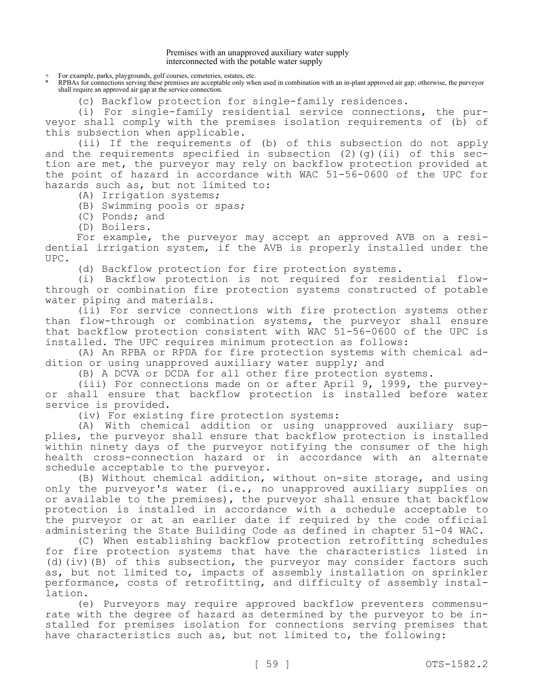## Premises with an unapproved auxiliary water supply interconnected with the potable water supply

For example, parks, playgrounds, golf courses, cemeteries, estates, etc.

\* RPBAs for connections serving these premises are acceptable only when used in combination with an in-plant approved air gap; otherwise, the purveyor shall require an approved air gap at the service connection.

(c) Backflow protection for single-family residences.

(i) For single-family residential service connections, the purveyor shall comply with the premises isolation requirements of (b) of this subsection when applicable.

(ii) If the requirements of (b) of this subsection do not apply and the requirements specified in subsection  $(2)$   $(q)$   $(ii)$  of this section are met, the purveyor may rely on backflow protection provided at the point of hazard in accordance with WAC 51-56-0600 of the UPC for hazards such as, but not limited to:

- (A) Irrigation systems;
- (B) Swimming pools or spas;
- (C) Ponds; and
- (D) Boilers.

For example, the purveyor may accept an approved AVB on a residential irrigation system, if the AVB is properly installed under the UPC.

(d) Backflow protection for fire protection systems.

(i) Backflow protection is not required for residential flowthrough or combination fire protection systems constructed of potable water piping and materials.

(ii) For service connections with fire protection systems other than flow-through or combination systems, the purveyor shall ensure that backflow protection consistent with WAC 51-56-0600 of the UPC is installed. The UPC requires minimum protection as follows:

(A) An RPBA or RPDA for fire protection systems with chemical addition or using unapproved auxiliary water supply; and

(B) A DCVA or DCDA for all other fire protection systems.

(iii) For connections made on or after April 9, 1999, the purveyor shall ensure that backflow protection is installed before water service is provided.

(iv) For existing fire protection systems:

(A) With chemical addition or using unapproved auxiliary supplies, the purveyor shall ensure that backflow protection is installed within ninety days of the purveyor notifying the consumer of the high health cross-connection hazard or in accordance with an alternate schedule acceptable to the purveyor.

(B) Without chemical addition, without on-site storage, and using only the purveyor's water (i.e., no unapproved auxiliary supplies on or available to the premises), the purveyor shall ensure that backflow protection is installed in accordance with a schedule acceptable to the purveyor or at an earlier date if required by the code official administering the State Building Code as defined in chapter 51-04 WAC.

(C) When establishing backflow protection retrofitting schedules for fire protection systems that have the characteristics listed in (d)(iv)(B) of this subsection, the purveyor may consider factors such as, but not limited to, impacts of assembly installation on sprinkler performance, costs of retrofitting, and difficulty of assembly installation.

(e) Purveyors may require approved backflow preventers commensurate with the degree of hazard as determined by the purveyor to be installed for premises isolation for connections serving premises that have characteristics such as, but not limited to, the following: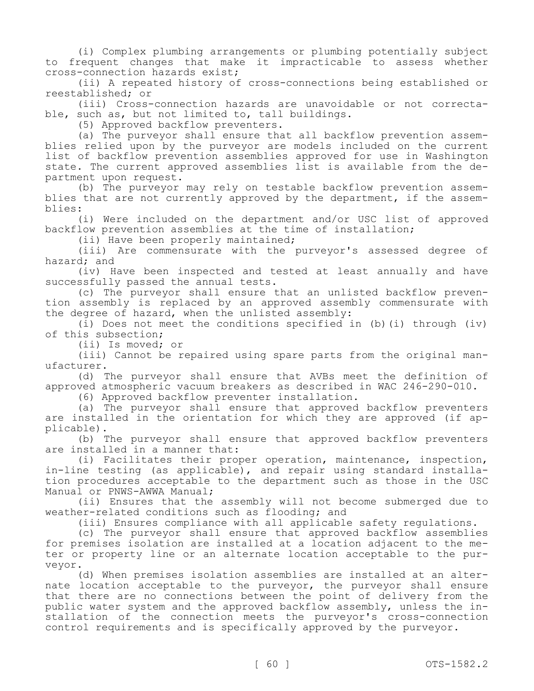(i) Complex plumbing arrangements or plumbing potentially subject to frequent changes that make it impracticable to assess whether cross-connection hazards exist;

(ii) A repeated history of cross-connections being established or reestablished; or

(iii) Cross-connection hazards are unavoidable or not correctable, such as, but not limited to, tall buildings.

(5) Approved backflow preventers.

(a) The purveyor shall ensure that all backflow prevention assemblies relied upon by the purveyor are models included on the current list of backflow prevention assemblies approved for use in Washington state. The current approved assemblies list is available from the department upon request.

(b) The purveyor may rely on testable backflow prevention assemblies that are not currently approved by the department, if the assemblies:

(i) Were included on the department and/or USC list of approved backflow prevention assemblies at the time of installation;

(ii) Have been properly maintained;

(iii) Are commensurate with the purveyor's assessed degree of hazard; and

(iv) Have been inspected and tested at least annually and have successfully passed the annual tests.

(c) The purveyor shall ensure that an unlisted backflow prevention assembly is replaced by an approved assembly commensurate with the degree of hazard, when the unlisted assembly:

(i) Does not meet the conditions specified in (b)(i) through (iv) of this subsection;

(ii) Is moved; or

(iii) Cannot be repaired using spare parts from the original manufacturer.

(d) The purveyor shall ensure that AVBs meet the definition of approved atmospheric vacuum breakers as described in WAC 246-290-010.

(6) Approved backflow preventer installation.

(a) The purveyor shall ensure that approved backflow preventers are installed in the orientation for which they are approved (if applicable).

(b) The purveyor shall ensure that approved backflow preventers are installed in a manner that:

(i) Facilitates their proper operation, maintenance, inspection, in-line testing (as applicable), and repair using standard installation procedures acceptable to the department such as those in the USC Manual or PNWS-AWWA Manual;

(ii) Ensures that the assembly will not become submerged due to weather-related conditions such as flooding; and

(iii) Ensures compliance with all applicable safety regulations.

(c) The purveyor shall ensure that approved backflow assemblies for premises isolation are installed at a location adjacent to the meter or property line or an alternate location acceptable to the purveyor.

(d) When premises isolation assemblies are installed at an alternate location acceptable to the purveyor, the purveyor shall ensure that there are no connections between the point of delivery from the public water system and the approved backflow assembly, unless the installation of the connection meets the purveyor's cross-connection control requirements and is specifically approved by the purveyor.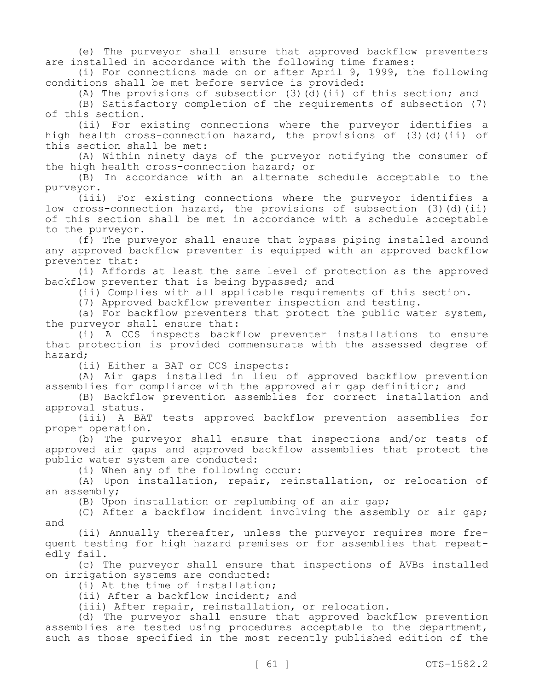(e) The purveyor shall ensure that approved backflow preventers are installed in accordance with the following time frames:

(i) For connections made on or after April 9, 1999, the following conditions shall be met before service is provided:

(A) The provisions of subsection  $(3)$  (d)(ii) of this section; and

(B) Satisfactory completion of the requirements of subsection (7) of this section.

(ii) For existing connections where the purveyor identifies a high health cross-connection hazard, the provisions of (3)(d)(ii) of this section shall be met:

(A) Within ninety days of the purveyor notifying the consumer of the high health cross-connection hazard; or

(B) In accordance with an alternate schedule acceptable to the purveyor.

(iii) For existing connections where the purveyor identifies a low cross-connection hazard, the provisions of subsection (3)(d)(ii) of this section shall be met in accordance with a schedule acceptable to the purveyor.

(f) The purveyor shall ensure that bypass piping installed around any approved backflow preventer is equipped with an approved backflow preventer that:

(i) Affords at least the same level of protection as the approved backflow preventer that is being bypassed; and

(ii) Complies with all applicable requirements of this section.

(7) Approved backflow preventer inspection and testing.

(a) For backflow preventers that protect the public water system, the purveyor shall ensure that:

(i) A CCS inspects backflow preventer installations to ensure that protection is provided commensurate with the assessed degree of hazard;

(ii) Either a BAT or CCS inspects:

(A) Air gaps installed in lieu of approved backflow prevention assemblies for compliance with the approved air gap definition; and

(B) Backflow prevention assemblies for correct installation and approval status.

(iii) A BAT tests approved backflow prevention assemblies for proper operation.

(b) The purveyor shall ensure that inspections and/or tests of approved air gaps and approved backflow assemblies that protect the public water system are conducted:

(i) When any of the following occur:

(A) Upon installation, repair, reinstallation, or relocation of an assembly;

(B) Upon installation or replumbing of an air gap;

(C) After a backflow incident involving the assembly or air gap; and

(ii) Annually thereafter, unless the purveyor requires more frequent testing for high hazard premises or for assemblies that repeatedly fail.

(c) The purveyor shall ensure that inspections of AVBs installed on irrigation systems are conducted:

(i) At the time of installation;

(ii) After a backflow incident; and

(iii) After repair, reinstallation, or relocation.

(d) The purveyor shall ensure that approved backflow prevention assemblies are tested using procedures acceptable to the department, such as those specified in the most recently published edition of the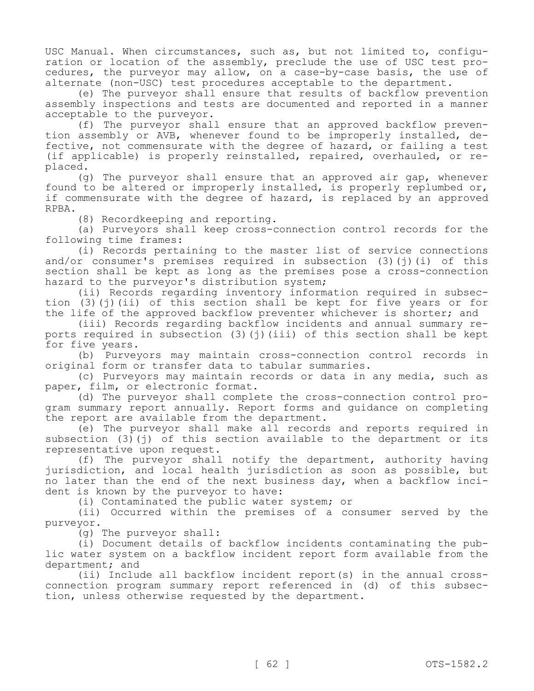USC Manual. When circumstances, such as, but not limited to, configuration or location of the assembly, preclude the use of USC test procedures, the purveyor may allow, on a case-by-case basis, the use of alternate (non-USC) test procedures acceptable to the department.

(e) The purveyor shall ensure that results of backflow prevention assembly inspections and tests are documented and reported in a manner acceptable to the purveyor.

(f) The purveyor shall ensure that an approved backflow prevention assembly or AVB, whenever found to be improperly installed, defective, not commensurate with the degree of hazard, or failing a test (if applicable) is properly reinstalled, repaired, overhauled, or replaced.

(g) The purveyor shall ensure that an approved air gap, whenever found to be altered or improperly installed, is properly replumbed or, if commensurate with the degree of hazard, is replaced by an approved RPBA.

(8) Recordkeeping and reporting.

(a) Purveyors shall keep cross-connection control records for the following time frames:

(i) Records pertaining to the master list of service connections and/or consumer's premises required in subsection  $(3)(i)(i)$  of this section shall be kept as long as the premises pose a cross-connection hazard to the purveyor's distribution system;

(ii) Records regarding inventory information required in subsection (3)(j)(ii) of this section shall be kept for five years or for the life of the approved backflow preventer whichever is shorter; and

(iii) Records regarding backflow incidents and annual summary reports required in subsection  $(3)(i)(iii)$  of this section shall be kept for five years.

(b) Purveyors may maintain cross-connection control records in original form or transfer data to tabular summaries.

(c) Purveyors may maintain records or data in any media, such as paper, film, or electronic format.

(d) The purveyor shall complete the cross-connection control program summary report annually. Report forms and guidance on completing the report are available from the department.

(e) The purveyor shall make all records and reports required in subsection  $(3)(i)$  of this section available to the department or its representative upon request.

(f) The purveyor shall notify the department, authority having jurisdiction, and local health jurisdiction as soon as possible, but no later than the end of the next business day, when a backflow incident is known by the purveyor to have:

(i) Contaminated the public water system; or

(ii) Occurred within the premises of a consumer served by the purveyor.

(g) The purveyor shall:

(i) Document details of backflow incidents contaminating the public water system on a backflow incident report form available from the department; and

(ii) Include all backflow incident report(s) in the annual crossconnection program summary report referenced in (d) of this subsection, unless otherwise requested by the department.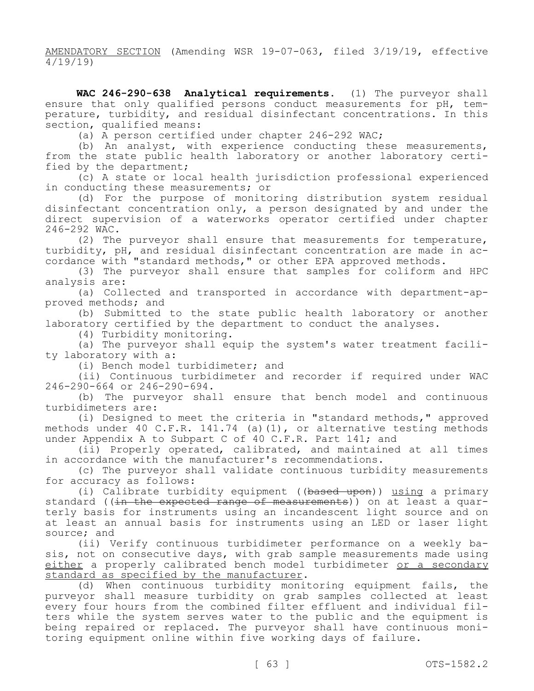AMENDATORY SECTION (Amending WSR 19-07-063, filed 3/19/19, effective 4/19/19)

**WAC 246-290-638 Analytical requirements.** (1) The purveyor shall ensure that only qualified persons conduct measurements for pH, temperature, turbidity, and residual disinfectant concentrations. In this section, qualified means:

(a) A person certified under chapter 246-292 WAC;

(b) An analyst, with experience conducting these measurements, from the state public health laboratory or another laboratory certified by the department;

(c) A state or local health jurisdiction professional experienced in conducting these measurements; or

(d) For the purpose of monitoring distribution system residual disinfectant concentration only, a person designated by and under the direct supervision of a waterworks operator certified under chapter 246-292 WAC.

(2) The purveyor shall ensure that measurements for temperature, turbidity, pH, and residual disinfectant concentration are made in accordance with "standard methods," or other EPA approved methods.

(3) The purveyor shall ensure that samples for coliform and HPC analysis are:

(a) Collected and transported in accordance with department-approved methods; and

(b) Submitted to the state public health laboratory or another laboratory certified by the department to conduct the analyses.

(4) Turbidity monitoring.

(a) The purveyor shall equip the system's water treatment facility laboratory with a:

(i) Bench model turbidimeter; and

(ii) Continuous turbidimeter and recorder if required under WAC 246-290-664 or 246-290-694.

(b) The purveyor shall ensure that bench model and continuous turbidimeters are:

(i) Designed to meet the criteria in "standard methods," approved methods under 40 C.F.R. 141.74 (a)(1), or alternative testing methods under Appendix A to Subpart C of 40 C.F.R. Part 141; and

(ii) Properly operated, calibrated, and maintained at all times in accordance with the manufacturer's recommendations.

(c) The purveyor shall validate continuous turbidity measurements for accuracy as follows:

(i) Calibrate turbidity equipment ((based upon)) using a primary standard ((in the expected range of measurements)) on at least a quarterly basis for instruments using an incandescent light source and on at least an annual basis for instruments using an LED or laser light source; and

(ii) Verify continuous turbidimeter performance on a weekly basis, not on consecutive days, with grab sample measurements made using either a properly calibrated bench model turbidimeter or a secondary standard as specified by the manufacturer.

(d) When continuous turbidity monitoring equipment fails, the purveyor shall measure turbidity on grab samples collected at least every four hours from the combined filter effluent and individual filters while the system serves water to the public and the equipment is being repaired or replaced. The purveyor shall have continuous monitoring equipment online within five working days of failure.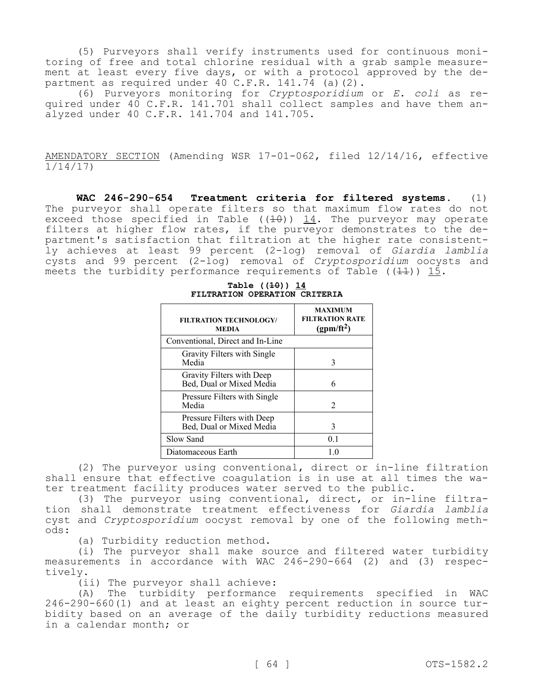(5) Purveyors shall verify instruments used for continuous monitoring of free and total chlorine residual with a grab sample measurement at least every five days, or with a protocol approved by the department as required under  $40$  C.F.R. 141.74 (a)(2).

(6) Purveyors monitoring for *Cryptosporidium* or *E. coli* as required under 40 C.F.R. 141.701 shall collect samples and have them analyzed under 40 C.F.R. 141.704 and 141.705.

AMENDATORY SECTION (Amending WSR 17-01-062, filed 12/14/16, effective 1/14/17)

**WAC 246-290-654 Treatment criteria for filtered systems.** (1) The purveyor shall operate filters so that maximum flow rates do not exceed those specified in Table  $((10))$  14. The purveyor may operate filters at higher flow rates, if the purveyor demonstrates to the department's satisfaction that filtration at the higher rate consistently achieves at least 99 percent (2-log) removal of *Giardia lamblia*  cysts and 99 percent (2-log) removal of *Cryptosporidium* oocysts and meets the turbidity performance requirements of Table ( $(11)$ ) 15.

| <b>FILTRATION TECHNOLOGY/</b><br><b>MEDIA</b>          | <b>MAXIMUM</b><br><b>FILTRATION RATE</b><br>(gpm/ft <sup>2</sup> ) |
|--------------------------------------------------------|--------------------------------------------------------------------|
| Conventional, Direct and In-Line                       |                                                                    |
| Gravity Filters with Single<br>Media                   | 3                                                                  |
| Gravity Filters with Deep<br>Bed, Dual or Mixed Media  | 6                                                                  |
| Pressure Filters with Single<br>Media                  | 2                                                                  |
| Pressure Filters with Deep<br>Bed, Dual or Mixed Media | 3                                                                  |
| Slow Sand                                              | 0.1                                                                |
| Diatomaceous Earth                                     |                                                                    |

**Table ((10)) 14 FILTRATION OPERATION CRITERIA**

(2) The purveyor using conventional, direct or in-line filtration shall ensure that effective coagulation is in use at all times the water treatment facility produces water served to the public.

(3) The purveyor using conventional, direct, or in-line filtration shall demonstrate treatment effectiveness for *Giardia lamblia*  cyst and *Cryptosporidium* oocyst removal by one of the following methods:

(a) Turbidity reduction method.

(i) The purveyor shall make source and filtered water turbidity measurements in accordance with WAC 246-290-664 (2) and (3) respectively.

(ii) The purveyor shall achieve:

(A) The turbidity performance requirements specified in WAC 246-290-660(1) and at least an eighty percent reduction in source turbidity based on an average of the daily turbidity reductions measured in a calendar month; or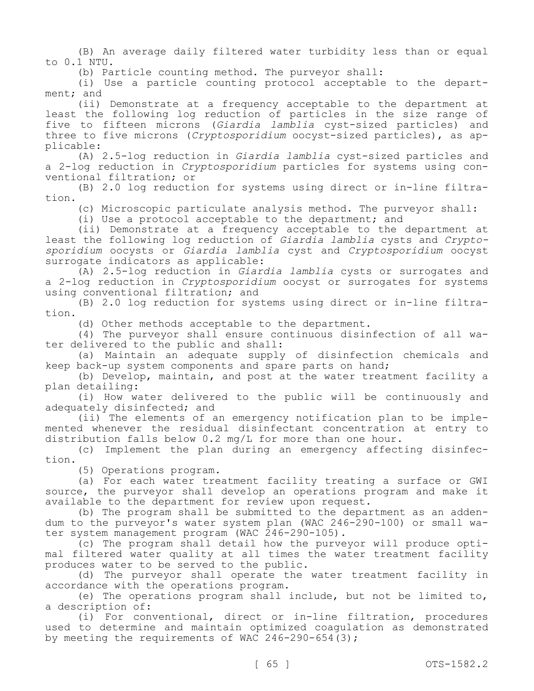(B) An average daily filtered water turbidity less than or equal to 0.1 NTU.

(b) Particle counting method. The purveyor shall:

(i) Use a particle counting protocol acceptable to the department; and

(ii) Demonstrate at a frequency acceptable to the department at least the following log reduction of particles in the size range of five to fifteen microns (*Giardia lamblia* cyst-sized particles) and three to five microns (*Cryptosporidium* oocyst-sized particles), as applicable:

(A) 2.5-log reduction in *Giardia lamblia* cyst-sized particles and a 2-log reduction in *Cryptosporidium* particles for systems using conventional filtration; or

(B) 2.0 log reduction for systems using direct or in-line filtration.

(c) Microscopic particulate analysis method. The purveyor shall:

(i) Use a protocol acceptable to the department; and

(ii) Demonstrate at a frequency acceptable to the department at least the following log reduction of *Giardia lamblia* cysts and *Cryptosporidium* oocysts or *Giardia lamblia* cyst and *Cryptosporidium* oocyst surrogate indicators as applicable:

(A) 2.5-log reduction in *Giardia lamblia* cysts or surrogates and a 2-log reduction in *Cryptosporidium* oocyst or surrogates for systems using conventional filtration; and

(B) 2.0 log reduction for systems using direct or in-line filtration.

(d) Other methods acceptable to the department.

(4) The purveyor shall ensure continuous disinfection of all water delivered to the public and shall:

(a) Maintain an adequate supply of disinfection chemicals and keep back-up system components and spare parts on hand;

(b) Develop, maintain, and post at the water treatment facility a plan detailing:

(i) How water delivered to the public will be continuously and adequately disinfected; and

(ii) The elements of an emergency notification plan to be implemented whenever the residual disinfectant concentration at entry to distribution falls below 0.2 mg/L for more than one hour.

(c) Implement the plan during an emergency affecting disinfection.

(5) Operations program.

(a) For each water treatment facility treating a surface or GWI source, the purveyor shall develop an operations program and make it available to the department for review upon request.

(b) The program shall be submitted to the department as an addendum to the purveyor's water system plan (WAC 246-290-100) or small water system management program (WAC 246-290-105).

(c) The program shall detail how the purveyor will produce optimal filtered water quality at all times the water treatment facility produces water to be served to the public.

(d) The purveyor shall operate the water treatment facility in accordance with the operations program.

(e) The operations program shall include, but not be limited to, a description of:

(i) For conventional, direct or in-line filtration, procedures used to determine and maintain optimized coagulation as demonstrated by meeting the requirements of WAC  $246-290-654(3)$ ;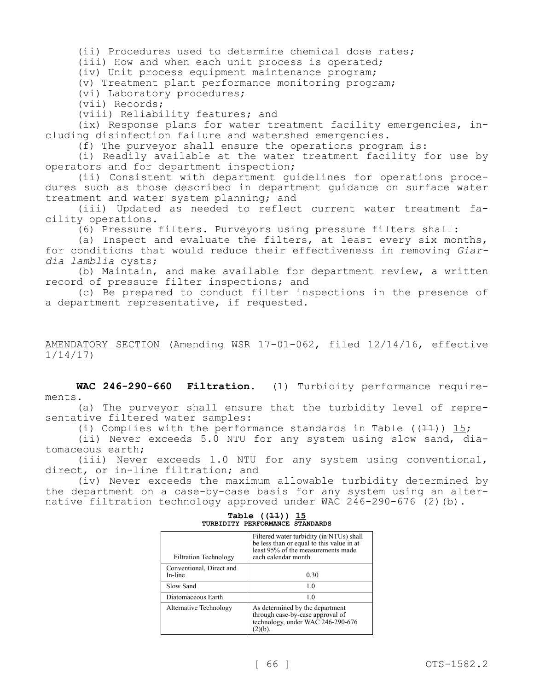(ii) Procedures used to determine chemical dose rates;

(iii) How and when each unit process is operated;

(iv) Unit process equipment maintenance program;

(v) Treatment plant performance monitoring program;

(vi) Laboratory procedures;

(vii) Records;

(viii) Reliability features; and

(ix) Response plans for water treatment facility emergencies, including disinfection failure and watershed emergencies.

(f) The purveyor shall ensure the operations program is:

(i) Readily available at the water treatment facility for use by operators and for department inspection;

(ii) Consistent with department guidelines for operations procedures such as those described in department guidance on surface water treatment and water system planning; and

(iii) Updated as needed to reflect current water treatment facility operations.

(6) Pressure filters. Purveyors using pressure filters shall:

(a) Inspect and evaluate the filters, at least every six months, for conditions that would reduce their effectiveness in removing *Giardia lamblia* cysts;

(b) Maintain, and make available for department review, a written record of pressure filter inspections; and

(c) Be prepared to conduct filter inspections in the presence of a department representative, if requested.

# AMENDATORY SECTION (Amending WSR 17-01-062, filed 12/14/16, effective 1/14/17)

**WAC 246-290-660 Filtration.** (1) Turbidity performance requirements.

(a) The purveyor shall ensure that the turbidity level of representative filtered water samples:

(i) Complies with the performance standards in Table ( $(1+1)$ ) 15;

(ii) Never exceeds 5.0 NTU for any system using slow sand, diatomaceous earth;

(iii) Never exceeds 1.0 NTU for any system using conventional, direct, or in-line filtration; and

(iv) Never exceeds the maximum allowable turbidity determined by the department on a case-by-case basis for any system using an alternative filtration technology approved under WAC  $246-290-676$  (2)(b).

| <b>Filtration Technology</b>        | Filtered water turbidity (in NTUs) shall<br>be less than or equal to this value in at<br>least 95% of the measurements made<br>each calendar month |
|-------------------------------------|----------------------------------------------------------------------------------------------------------------------------------------------------|
| Conventional, Direct and<br>In-line | 0.30                                                                                                                                               |
| Slow Sand                           | 1.0                                                                                                                                                |
| Diatomaceous Earth                  | 1.0                                                                                                                                                |
| Alternative Technology              | As determined by the department<br>through case-by-case approval of<br>technology, under WAC 246-290-676<br>2(b)                                   |

## **Table ((11)) 15 TURBIDITY PERFORMANCE STANDARDS**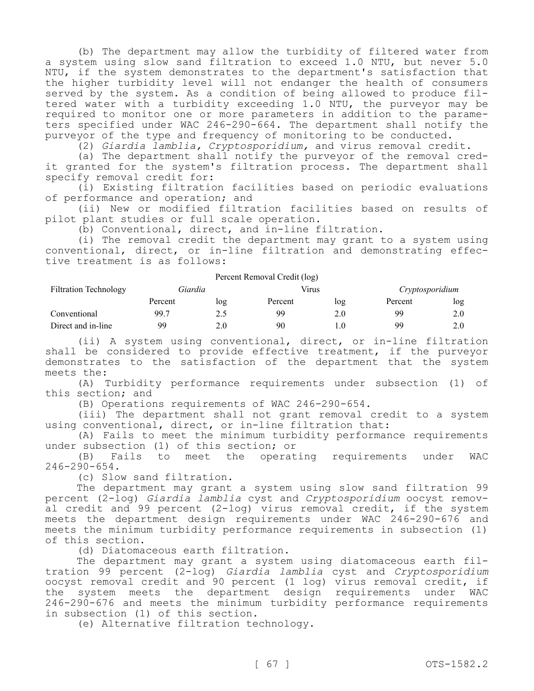(b) The department may allow the turbidity of filtered water from a system using slow sand filtration to exceed 1.0 NTU, but never 5.0 NTU, if the system demonstrates to the department's satisfaction that the higher turbidity level will not endanger the health of consumers served by the system. As a condition of being allowed to produce filtered water with a turbidity exceeding 1.0 NTU, the purveyor may be required to monitor one or more parameters in addition to the parameters specified under WAC 246-290-664. The department shall notify the purveyor of the type and frequency of monitoring to be conducted.

(2) *Giardia lamblia, Cryptosporidium,* and virus removal credit.

(a) The department shall notify the purveyor of the removal credit granted for the system's filtration process. The department shall specify removal credit for:

(i) Existing filtration facilities based on periodic evaluations of performance and operation; and

(ii) New or modified filtration facilities based on results of pilot plant studies or full scale operation.

(b) Conventional, direct, and in-line filtration.

(i) The removal credit the department may grant to a system using conventional, direct, or in-line filtration and demonstrating effective treatment is as follows:

| Percent Removal Credit (log) |         |     |         |     |                 |     |
|------------------------------|---------|-----|---------|-----|-----------------|-----|
| <b>Filtration Technology</b> | Giardia |     | Virus   |     | Cryptosporidium |     |
|                              | Percent | log | Percent | log | Percent         | log |
| Conventional                 | 99.7    | 2.5 | gg      | 2.0 | 99              | 2.0 |
| Direct and in-line           | 99      | 2.0 | 90      |     | 99              | 2.0 |

(ii) A system using conventional, direct, or in-line filtration shall be considered to provide effective treatment, if the purveyor demonstrates to the satisfaction of the department that the system meets the:

(A) Turbidity performance requirements under subsection (1) of this section; and

(B) Operations requirements of WAC 246-290-654.

(iii) The department shall not grant removal credit to a system using conventional, direct, or in-line filtration that:

(A) Fails to meet the minimum turbidity performance requirements under subsection (1) of this section; or

(B) Fails to meet the operating requirements under WAC 246-290-654.

(c) Slow sand filtration.

The department may grant a system using slow sand filtration 99 percent (2-log) *Giardia lamblia* cyst and *Cryptosporidium* oocyst removal credit and 99 percent (2-log) virus removal credit, if the system meets the department design requirements under WAC 246-290-676 and meets the minimum turbidity performance requirements in subsection (1) of this section.

(d) Diatomaceous earth filtration.

The department may grant a system using diatomaceous earth filtration 99 percent (2-log) *Giardia lamblia* cyst and *Cryptosporidium*  oocyst removal credit and 90 percent (1 log) virus removal credit, if the system meets the department design requirements under WAC 246-290-676 and meets the minimum turbidity performance requirements in subsection (1) of this section.

(e) Alternative filtration technology.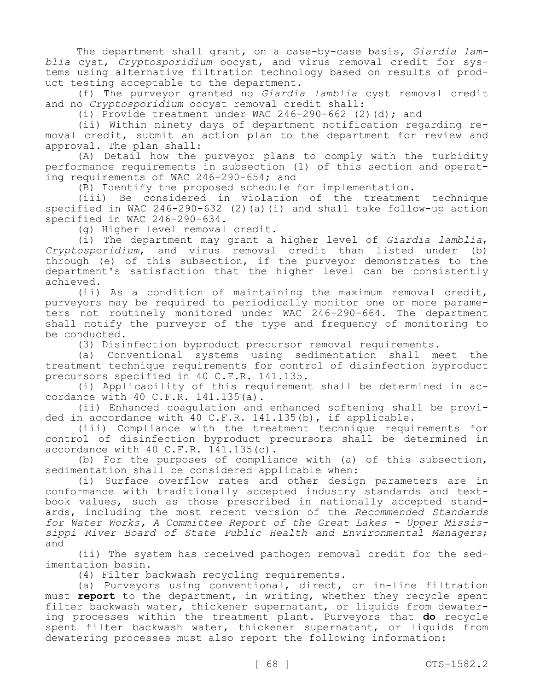The department shall grant, on a case-by-case basis, *Giardia lamblia* cyst, *Cryptosporidium* oocyst, and virus removal credit for systems using alternative filtration technology based on results of product testing acceptable to the department.

(f) The purveyor granted no *Giardia lamblia* cyst removal credit and no *Cryptosporidium* oocyst removal credit shall:

(i) Provide treatment under WAC  $246 - 290 - 662$  (2)(d); and

(ii) Within ninety days of department notification regarding removal credit, submit an action plan to the department for review and approval. The plan shall:

(A) Detail how the purveyor plans to comply with the turbidity performance requirements in subsection (1) of this section and operating requirements of WAC 246-290-654; and

(B) Identify the proposed schedule for implementation.

(iii) Be considered in violation of the treatment technique specified in WAC 246-290-632 (2)(a)(i) and shall take follow-up action specified in WAC 246-290-634.

(g) Higher level removal credit.

(i) The department may grant a higher level of *Giardia lamblia*, *Cryptosporidium*, and virus removal credit than listed under (b) through (e) of this subsection, if the purveyor demonstrates to the department's satisfaction that the higher level can be consistently achieved.

(ii) As a condition of maintaining the maximum removal credit, purveyors may be required to periodically monitor one or more parameters not routinely monitored under WAC 246-290-664. The department shall notify the purveyor of the type and frequency of monitoring to be conducted.

(3) Disinfection byproduct precursor removal requirements.

(a) Conventional systems using sedimentation shall meet the treatment technique requirements for control of disinfection byproduct precursors specified in 40 C.F.R. 141.135.

(i) Applicability of this requirement shall be determined in accordance with 40 C.F.R. 141.135(a).

(ii) Enhanced coagulation and enhanced softening shall be provided in accordance with 40 C.F.R. 141.135(b), if applicable.

(iii) Compliance with the treatment technique requirements for control of disinfection byproduct precursors shall be determined in accordance with 40 C.F.R. 141.135(c).

(b) For the purposes of compliance with (a) of this subsection, sedimentation shall be considered applicable when:

(i) Surface overflow rates and other design parameters are in conformance with traditionally accepted industry standards and textbook values, such as those prescribed in nationally accepted standards, including the most recent version of the *Recommended Standards for Water Works, A Committee Report of the Great Lakes - Upper Mississippi River Board of State Public Health and Environmental Managers*; and

(ii) The system has received pathogen removal credit for the sedimentation basin.

(4) Filter backwash recycling requirements.

(a) Purveyors using conventional, direct, or in-line filtration must **report** to the department, in writing, whether they recycle spent filter backwash water, thickener supernatant, or liquids from dewatering processes within the treatment plant. Purveyors that **do** recycle spent filter backwash water, thickener supernatant, or liquids from dewatering processes must also report the following information: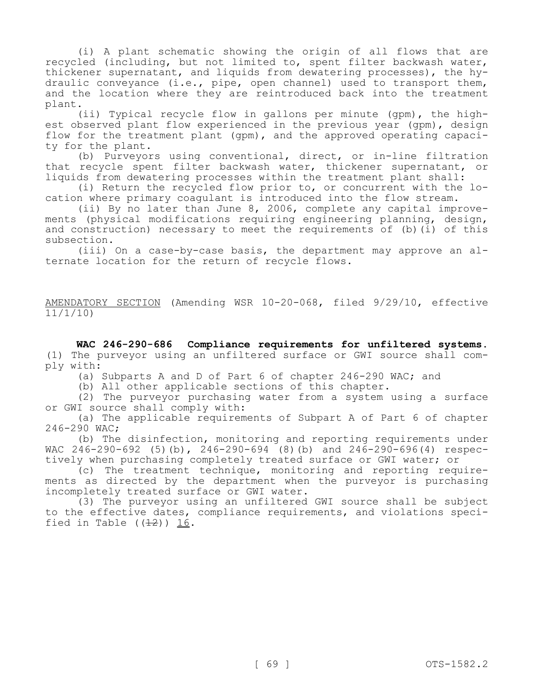(i) A plant schematic showing the origin of all flows that are recycled (including, but not limited to, spent filter backwash water, thickener supernatant, and liquids from dewatering processes), the hydraulic conveyance (i.e., pipe, open channel) used to transport them, and the location where they are reintroduced back into the treatment plant.

(ii) Typical recycle flow in gallons per minute (gpm), the highest observed plant flow experienced in the previous year (gpm), design flow for the treatment plant (gpm), and the approved operating capacity for the plant.

(b) Purveyors using conventional, direct, or in-line filtration that recycle spent filter backwash water, thickener supernatant, or liquids from dewatering processes within the treatment plant shall:

(i) Return the recycled flow prior to, or concurrent with the location where primary coagulant is introduced into the flow stream.

(ii) By no later than June 8, 2006, complete any capital improvements (physical modifications requiring engineering planning, design, and construction) necessary to meet the requirements of (b)(i) of this subsection.

(iii) On a case-by-case basis, the department may approve an alternate location for the return of recycle flows.

AMENDATORY SECTION (Amending WSR 10-20-068, filed 9/29/10, effective 11/1/10)

**WAC 246-290-686 Compliance requirements for unfiltered systems.**  (1) The purveyor using an unfiltered surface or GWI source shall comply with:

(a) Subparts A and D of Part 6 of chapter 246-290 WAC; and

(b) All other applicable sections of this chapter.

(2) The purveyor purchasing water from a system using a surface or GWI source shall comply with:

(a) The applicable requirements of Subpart A of Part 6 of chapter 246-290 WAC;

(b) The disinfection, monitoring and reporting requirements under WAC 246-290-692 (5)(b), 246-290-694 (8)(b) and 246-290-696(4) respectively when purchasing completely treated surface or GWI water; or

(c) The treatment technique, monitoring and reporting requirements as directed by the department when the purveyor is purchasing incompletely treated surface or GWI water.

(3) The purveyor using an unfiltered GWI source shall be subject to the effective dates, compliance requirements, and violations specified in Table  $((12))$  16.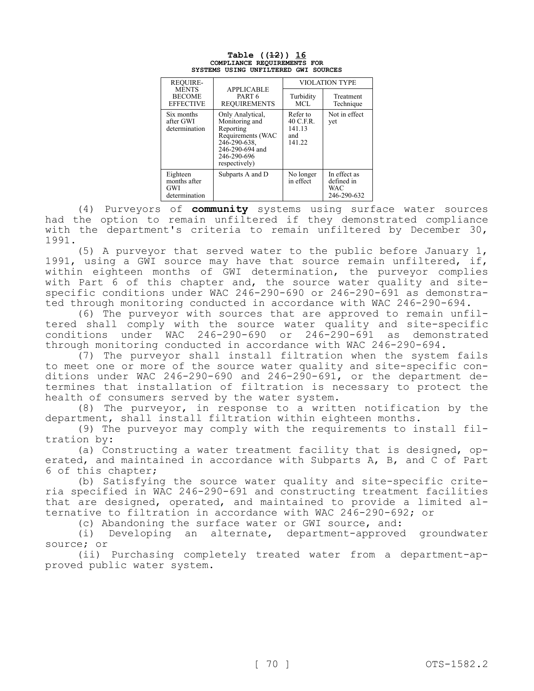|            | <b>REOUIRE-</b>                                   |                                                                                                                                         | <b>VIOLATION TYPE</b>                              |                                                         |  |
|------------|---------------------------------------------------|-----------------------------------------------------------------------------------------------------------------------------------------|----------------------------------------------------|---------------------------------------------------------|--|
|            | <b>MENTS</b><br><b>BECOME</b><br><b>EFFECTIVE</b> | <b>APPLICABLE</b><br>PART <sub>6</sub><br><b>REQUIREMENTS</b>                                                                           | Turbidity<br>MCL.                                  | Treatment<br>Technique                                  |  |
|            | Six months<br>after GWI<br>determination          | Only Analytical,<br>Monitoring and<br>Reporting<br>Requirements (WAC<br>246-290-638.<br>246-290-694 and<br>246-290-696<br>respectively) | Refer to<br>$40$ C.F.R.<br>141.13<br>and<br>141.22 | Not in effect<br>yet                                    |  |
| <b>GWI</b> | Eighteen<br>months after<br>determination         | Subparts A and D                                                                                                                        | No longer<br>in effect                             | In effect as<br>defined in<br><b>WAC</b><br>246-290-632 |  |

### **Table ((12)) 16 COMPLIANCE REQUIREMENTS FOR SYSTEMS USING UNFILTERED GWI SOURCES**

(4) Purveyors of **community** systems using surface water sources had the option to remain unfiltered if they demonstrated compliance with the department's criteria to remain unfiltered by December 30, 1991.

(5) A purveyor that served water to the public before January 1, 1991, using a GWI source may have that source remain unfiltered, if, within eighteen months of GWI determination, the purveyor complies with Part 6 of this chapter and, the source water quality and sitespecific conditions under WAC 246-290-690 or 246-290-691 as demonstrated through monitoring conducted in accordance with WAC 246-290-694.

(6) The purveyor with sources that are approved to remain unfiltered shall comply with the source water quality and site-specific conditions under WAC  $246-290-690$  or  $246-290-691$  as through monitoring conducted in accordance with WAC 246-290-694.

(7) The purveyor shall install filtration when the system fails to meet one or more of the source water quality and site-specific conditions under WAC 246-290-690 and 246-290-691, or the department determines that installation of filtration is necessary to protect the health of consumers served by the water system.

(8) The purveyor, in response to a written notification by the department, shall install filtration within eighteen months.

(9) The purveyor may comply with the requirements to install filtration by:

(a) Constructing a water treatment facility that is designed, operated, and maintained in accordance with Subparts A, B, and C of Part 6 of this chapter;

(b) Satisfying the source water quality and site-specific criteria specified in WAC 246-290-691 and constructing treatment facilities that are designed, operated, and maintained to provide a limited alternative to filtration in accordance with WAC 246-290-692; or

(c) Abandoning the surface water or GWI source, and:

(i) Developing an alternate, department-approved groundwater source; or

(ii) Purchasing completely treated water from a department-approved public water system.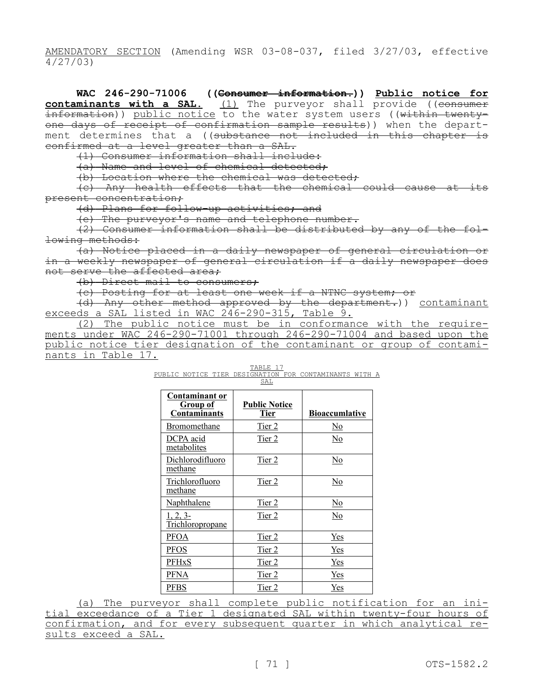AMENDATORY SECTION (Amending WSR 03-08-037, filed 3/27/03, effective 4/27/03)

**WAC 246-290-71006 ((Consumer information.)) Public notice for contaminants with a SAL.** (1) The purveyor shall provide ((consumer information)) <u>public notice</u> to the water system users ((<del>within twenty-</del> one days of receipt of confirmation sample results)) when the department determines that a ((substance not included in this chapter is confirmed at a level greater than a SAL.

(1) Consumer information shall include:

(a) Name and level of chemical detected;

(b) Location where the chemical was detected;

(c) Any health effects that the chemical could cause at its present concentration;

(d) Plans for follow-up activities; and

(e) The purveyor's name and telephone number.

(2) Consumer information shall be distributed by any of the following methods:

(a) Notice placed in a daily newspaper of general circulation or in a weekly newspaper of general circulation if a daily newspaper does not serve the affected area;

(b) Direct mail to consumers;

(c) Posting for at least one week if a NTNC system; or

(d) Any other method approved by the department.)) contaminant exceeds a SAL listed in WAC 246-290-315, Table 9.

(2) The public notice must be in conformance with the requirements under WAC 246-290-71001 through 246-290-71004 and based upon the public notice tier designation of the contaminant or group of contaminants in Table 17.

PUBLIC NOTICE TIER DESIGNATION FOR CONTAMINANTS WITH A SAL

| <b>Contaminant or</b><br><b>Group of</b><br><b>Contaminants</b> | <b>Public Notice</b><br><b>Tier</b> | <b>Bioaccumlative</b>     |
|-----------------------------------------------------------------|-------------------------------------|---------------------------|
| Bromomethane                                                    | Tier 2                              | <u>No</u>                 |
| DCPA acid<br>metabolites                                        | Tier 2                              | $\underline{\mathrm{No}}$ |
| Dichlorodifluoro<br>methane                                     | Tier 2                              | <u>No</u>                 |
| Trichlorofluoro<br>methane                                      | Tier 2                              | No                        |
| Naphthalene                                                     | Tier 2                              | <u>No</u>                 |
| 1, 2, 3<br>Trichloropropane                                     | Tier 2                              | No                        |
| <u>PFOA</u>                                                     | Tier 2                              | Yes                       |
| PFOS                                                            | Tier 2                              | <b>Yes</b>                |
| PFHxS                                                           | Tier 2                              | Yes                       |
| PFNA                                                            | Tier 2                              | Yes                       |
| <b>PFBS</b>                                                     | Tier 2                              | Yes                       |

(a) The purveyor shall complete public notification for an initial exceedance of a Tier 1 designated SAL within twenty-four hours of confirmation, and for every subsequent quarter in which analytical results exceed a SAL.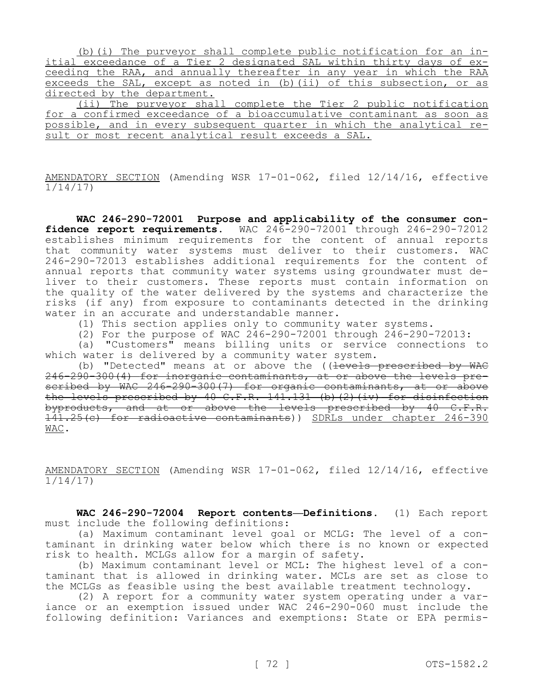(b)(i) The purveyor shall complete public notification for an initial exceedance of a Tier 2 designated SAL within thirty days of exceeding the RAA, and annually thereafter in any year in which the RAA exceeds the SAL, except as noted in (b)(ii) of this subsection, or as directed by the department.

(ii) The purveyor shall complete the Tier 2 public notification for a confirmed exceedance of a bioaccumulative contaminant as soon as possible, and in every subsequent quarter in which the analytical result or most recent analytical result exceeds a SAL.

AMENDATORY SECTION (Amending WSR 17-01-062, filed 12/14/16, effective 1/14/17)

**WAC 246-290-72001 Purpose and applicability of the consumer confidence report requirements.** WAC 246-290-72001 through 246-290-72012 establishes minimum requirements for the content of annual reports that community water systems must deliver to their customers. WAC 246-290-72013 establishes additional requirements for the content of annual reports that community water systems using groundwater must deliver to their customers. These reports must contain information on the quality of the water delivered by the systems and characterize the risks (if any) from exposure to contaminants detected in the drinking water in an accurate and understandable manner.

(1) This section applies only to community water systems.

(2) For the purpose of WAC 246-290-72001 through 246-290-72013:

(a) "Customers" means billing units or service connections to which water is delivered by a community water system.

(b) "Detected" means at or above the ((levels prescribed by WAC 246-290-300(4) for inorganic contaminants, at or above the levels prescribed by WAC 246-290-300(7) for organic contaminants, at or above the levels prescribed by 40 C.F.R. 141.131 (b)(2)(iv) for disinfection byproducts, and at or above the levels prescribed by 40 C.F.R. 141.25(c) for radioactive contaminants)) SDRLs under chapter 246-390 WAC.

AMENDATORY SECTION (Amending WSR 17-01-062, filed 12/14/16, effective  $1/14/17$ 

**WAC 246-290-72004 Report contents—Definitions.** (1) Each report must include the following definitions:

(a) Maximum contaminant level goal or MCLG: The level of a contaminant in drinking water below which there is no known or expected risk to health. MCLGs allow for a margin of safety.

(b) Maximum contaminant level or MCL: The highest level of a contaminant that is allowed in drinking water. MCLs are set as close to the MCLGs as feasible using the best available treatment technology.

(2) A report for a community water system operating under a variance or an exemption issued under WAC 246-290-060 must include the following definition: Variances and exemptions: State or EPA permis-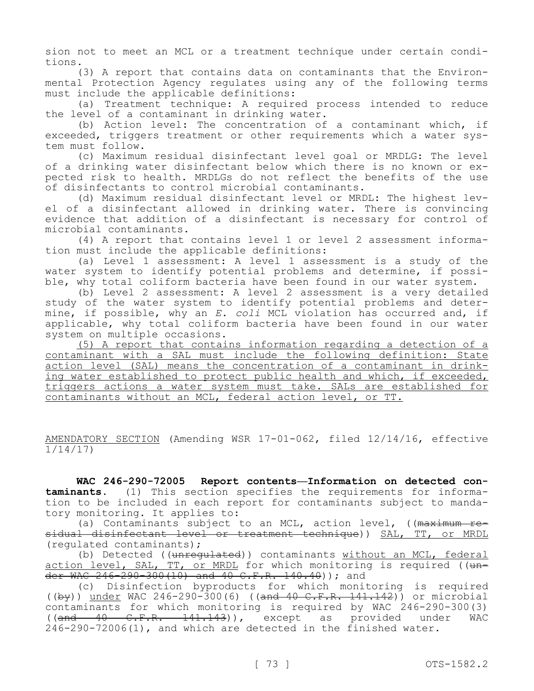sion not to meet an MCL or a treatment technique under certain conditions.

(3) A report that contains data on contaminants that the Environmental Protection Agency regulates using any of the following terms must include the applicable definitions:

(a) Treatment technique: A required process intended to reduce the level of a contaminant in drinking water.

(b) Action level: The concentration of a contaminant which, if exceeded, triggers treatment or other requirements which a water system must follow.

(c) Maximum residual disinfectant level goal or MRDLG: The level of a drinking water disinfectant below which there is no known or expected risk to health. MRDLGs do not reflect the benefits of the use of disinfectants to control microbial contaminants.

(d) Maximum residual disinfectant level or MRDL: The highest level of a disinfectant allowed in drinking water. There is convincing evidence that addition of a disinfectant is necessary for control of microbial contaminants.

(4) A report that contains level 1 or level 2 assessment information must include the applicable definitions:

(a) Level 1 assessment: A level 1 assessment is a study of the water system to identify potential problems and determine, if possible, why total coliform bacteria have been found in our water system.

(b) Level 2 assessment: A level 2 assessment is a very detailed study of the water system to identify potential problems and determine, if possible, why an *E. coli* MCL violation has occurred and, if applicable, why total coliform bacteria have been found in our water system on multiple occasions.

(5) A report that contains information regarding a detection of a contaminant with a SAL must include the following definition: State action level (SAL) means the concentration of a contaminant in drinking water established to protect public health and which, if exceeded, triggers actions a water system must take. SALs are established for contaminants without an MCL, federal action level, or TT.

AMENDATORY SECTION (Amending WSR 17-01-062, filed 12/14/16, effective 1/14/17)

**WAC 246-290-72005 Report contents—Information on detected contaminants.** (1) This section specifies the requirements for information to be included in each report for contaminants subject to mandatory monitoring. It applies to:

(a) Contaminants subject to an MCL, action level,  $((\text{maximum }+\text{e}$ sidual disinfectant level or treatment technique)) SAL, TT, or MRDL (regulated contaminants);

(b) Detected ((unregulated)) contaminants without an MCL, federal action level, SAL, TT, or MRDL for which monitoring is required ((under WAC 246-290-300(10) and 40 C.F.R. 140.40)); and

(c) Disinfection byproducts for which monitoring is required  $((by))$  under WAC 246-290-300(6) ((and 40 C.F.R. 141.142)) or microbial contaminants for which monitoring is required by WAC 246-290-300(3) ((and 40 C.F.R. 141.143)), except as provided under WAC 246-290-72006(1), and which are detected in the finished water.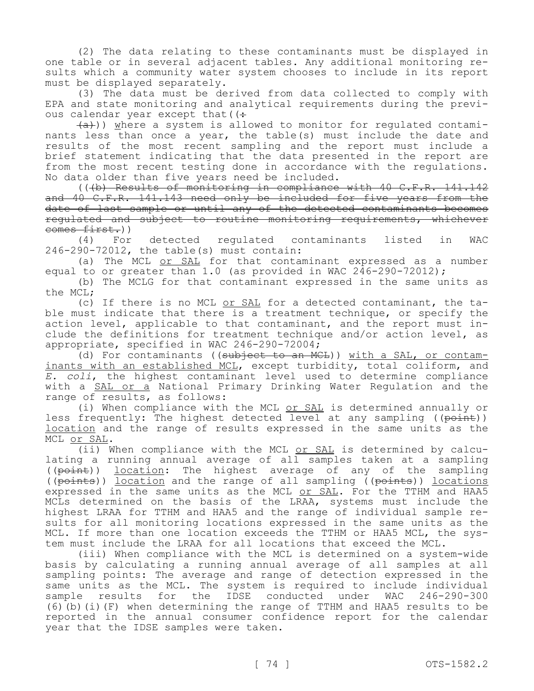(2) The data relating to these contaminants must be displayed in one table or in several adjacent tables. Any additional monitoring results which a community water system chooses to include in its report must be displayed separately.

(3) The data must be derived from data collected to comply with EPA and state monitoring and analytical requirements during the previous calendar year except that  $($ :

 $(a+)$ ) where a system is allowed to monitor for regulated contaminants less than once a year, the table(s) must include the date and results of the most recent sampling and the report must include a brief statement indicating that the data presented in the report are from the most recent testing done in accordance with the regulations. No data older than five years need be included.

(((b) Results of monitoring in compliance with 40 C.F.R. 141.142 and 40 C.F.R. 141.143 need only be included for five years from the date of last sample or until any of the detected contaminants becomes regulated and subject to routine monitoring requirements, whichever comes first.))

(4) For detected regulated contaminants listed in WAC 246-290-72012, the table(s) must contain:

(a) The MCL or SAL for that contaminant expressed as a number equal to or greater than  $1.0$  (as provided in WAC 246-290-72012);

(b) The MCLG for that contaminant expressed in the same units as the MCL;

(c) If there is no MCL or SAL for a detected contaminant, the table must indicate that there is a treatment technique, or specify the action level, applicable to that contaminant, and the report must include the definitions for treatment technique and/or action level, as appropriate, specified in WAC 246-290-72004;

(d) For contaminants ((subject to an MCL)) with a SAL, or contaminants with an established MCL, except turbidity, total coliform, and *E. coli*, the highest contaminant level used to determine compliance with a SAL or a National Primary Drinking Water Regulation and the range of results, as follows:

(i) When compliance with the MCL or SAL is determined annually or less frequently: The highest detected level at any sampling ((point)) location and the range of results expressed in the same units as the MCL or SAL.

(ii) When compliance with the MCL or SAL is determined by calculating a running annual average of all samples taken at a sampling ((point)) location: The highest average of any of the sampling ((points)) location and the range of all sampling ((points)) locations expressed in the same units as the MCL or SAL. For the TTHM and HAA5 MCLs determined on the basis of the LRAA, systems must include the highest LRAA for TTHM and HAA5 and the range of individual sample results for all monitoring locations expressed in the same units as the MCL. If more than one location exceeds the TTHM or HAA5 MCL, the system must include the LRAA for all locations that exceed the MCL.

(iii) When compliance with the MCL is determined on a system-wide basis by calculating a running annual average of all samples at all sampling points: The average and range of detection expressed in the same units as the MCL. The system is required to include individual sample results for the IDSE conducted under WAC 246-290-300 (6)(b)(i)(F) when determining the range of TTHM and HAA5 results to be reported in the annual consumer confidence report for the calendar year that the IDSE samples were taken.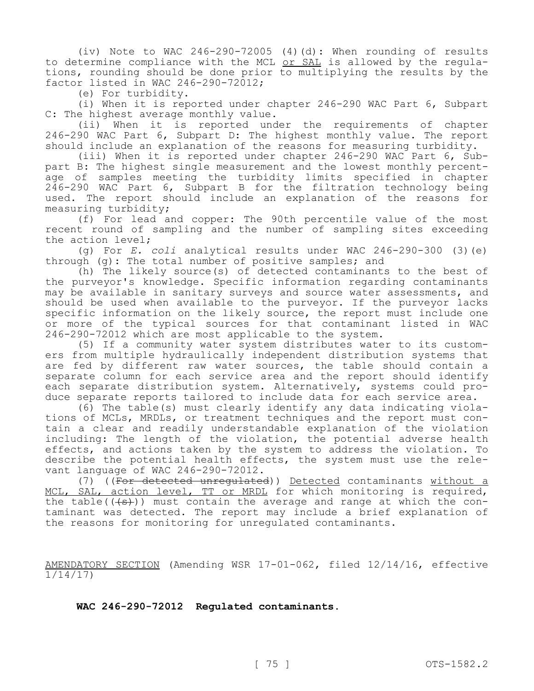(iv) Note to WAC 246-290-72005 (4)(d): When rounding of results to determine compliance with the MCL or SAL is allowed by the regulations, rounding should be done prior to multiplying the results by the factor listed in WAC 246-290-72012;

(e) For turbidity.

(i) When it is reported under chapter 246-290 WAC Part 6, Subpart C: The highest average monthly value.

(ii) When it is reported under the requirements of chapter 246-290 WAC Part 6, Subpart D: The highest monthly value. The report should include an explanation of the reasons for measuring turbidity.

(iii) When it is reported under chapter 246-290 WAC Part 6, Subpart B: The highest single measurement and the lowest monthly percentage of samples meeting the turbidity limits specified in chapter 246-290 WAC Part 6, Subpart B for the filtration technology being used. The report should include an explanation of the reasons for measuring turbidity;

(f) For lead and copper: The 90th percentile value of the most recent round of sampling and the number of sampling sites exceeding the action level;

(g) For *E. coli* analytical results under WAC 246-290-300 (3)(e) through (g): The total number of positive samples; and

(h) The likely source(s) of detected contaminants to the best of the purveyor's knowledge. Specific information regarding contaminants may be available in sanitary surveys and source water assessments, and should be used when available to the purveyor. If the purveyor lacks specific information on the likely source, the report must include one or more of the typical sources for that contaminant listed in WAC 246-290-72012 which are most applicable to the system.

(5) If a community water system distributes water to its customers from multiple hydraulically independent distribution systems that are fed by different raw water sources, the table should contain a separate column for each service area and the report should identify each separate distribution system. Alternatively, systems could produce separate reports tailored to include data for each service area.

(6) The table(s) must clearly identify any data indicating violations of MCLs, MRDLs, or treatment techniques and the report must contain a clear and readily understandable explanation of the violation including: The length of the violation, the potential adverse health effects, and actions taken by the system to address the violation. To describe the potential health effects, the system must use the relevant language of WAC 246-290-72012.

(7) ((For detected unregulated)) Detected contaminants without a MCL, SAL, action level, TT or MRDL for which monitoring is required, the table( $(\{s\})$ ) must contain the average and range at which the contaminant was detected. The report may include a brief explanation of the reasons for monitoring for unregulated contaminants.

AMENDATORY SECTION (Amending WSR 17-01-062, filed 12/14/16, effective 1/14/17)

**WAC 246-290-72012 Regulated contaminants.**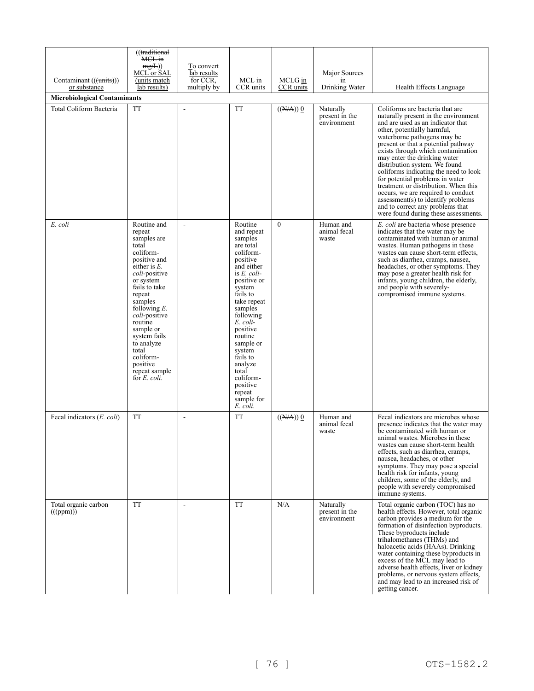|                                            | ((traditional<br>M <del>CL in</del><br>mg/L)<br>MCL or SAL                                                                                                                                                                                                                                                                               | To convert<br>lab results |                                                                                                                                                                                                                                                                                                                                           |                        | Major Sources                              |                                                                                                                                                                                                                                                                                                                                                                                                                                                                                                                                                                                                      |
|--------------------------------------------|------------------------------------------------------------------------------------------------------------------------------------------------------------------------------------------------------------------------------------------------------------------------------------------------------------------------------------------|---------------------------|-------------------------------------------------------------------------------------------------------------------------------------------------------------------------------------------------------------------------------------------------------------------------------------------------------------------------------------------|------------------------|--------------------------------------------|------------------------------------------------------------------------------------------------------------------------------------------------------------------------------------------------------------------------------------------------------------------------------------------------------------------------------------------------------------------------------------------------------------------------------------------------------------------------------------------------------------------------------------------------------------------------------------------------------|
| Contaminant (((units)))<br>or substance    | (units match)<br>lab results)                                                                                                                                                                                                                                                                                                            | for CCR,<br>multiply by   | MCL in<br>CCR units                                                                                                                                                                                                                                                                                                                       | MCLG in<br>CCR units   | in<br>Drinking Water                       | Health Effects Language                                                                                                                                                                                                                                                                                                                                                                                                                                                                                                                                                                              |
| <b>Microbiological Contaminants</b>        |                                                                                                                                                                                                                                                                                                                                          |                           |                                                                                                                                                                                                                                                                                                                                           |                        |                                            |                                                                                                                                                                                                                                                                                                                                                                                                                                                                                                                                                                                                      |
| Total Coliform Bacteria                    | <b>TT</b>                                                                                                                                                                                                                                                                                                                                | $\overline{a}$            | <b>TT</b>                                                                                                                                                                                                                                                                                                                                 | $((\overline{N/A}))$ 0 | Naturally<br>present in the<br>environment | Coliforms are bacteria that are<br>naturally present in the environment<br>and are used as an indicator that<br>other, potentially harmful,<br>waterborne pathogens may be<br>present or that a potential pathway<br>exists through which contamination<br>may enter the drinking water<br>distribution system. We found<br>coliforms indicating the need to look<br>for potential problems in water<br>treatment or distribution. When this<br>occurs, we are required to conduct<br>assessment(s) to identify problems<br>and to correct any problems that<br>were found during these assessments. |
| E. coli                                    | Routine and<br>repeat<br>samples are<br>total<br>coliform-<br>positive and<br>either is $E$ .<br><i>coli-positive</i><br>or system<br>fails to take<br>repeat<br>samples<br>following $E$ .<br>coli-positive<br>routine<br>sample or<br>system fails<br>to analyze<br>total<br>coliform-<br>positive<br>repeat sample<br>for $E$ , coli. | $\Box$                    | Routine<br>and repeat<br>samples<br>are total<br>coliform-<br>positive<br>and either<br>is $E$ . coli-<br>positive or<br>system<br>fails to<br>take repeat<br>samples<br>following<br>E. coli-<br>positive<br>routine<br>sample or<br>system<br>fails to<br>analyze<br>total<br>coliform-<br>positive<br>repeat<br>sample for<br>E. coli. | $\mathbf{0}$           | Human and<br>animal fecal<br>waste         | E. coli are bacteria whose presence<br>indicates that the water may be<br>contaminated with human or animal<br>wastes. Human pathogens in these<br>wastes can cause short-term effects.<br>such as diarrhea, cramps, nausea,<br>headaches, or other symptoms. They<br>may pose a greater health risk for<br>infants, young children, the elderly,<br>and people with severely-<br>compromised immune systems.                                                                                                                                                                                        |
| Fecal indicators (E. coli)                 | <b>TT</b>                                                                                                                                                                                                                                                                                                                                | $\overline{\phantom{a}}$  | <b>TT</b>                                                                                                                                                                                                                                                                                                                                 | $((\overline{N/A}))$ 0 | Human and<br>animal fecal<br>waste         | Fecal indicators are microbes whose<br>presence indicates that the water may<br>be contaminated with human or<br>animal wastes. Microbes in these<br>wastes can cause short-term health<br>effects, such as diarrhea, cramps,<br>nausea, headaches, or other<br>symptoms. They may pose a special<br>health risk for infants, young<br>children, some of the elderly, and<br>people with severely compromised<br>immune systems.                                                                                                                                                                     |
| Total organic carbon<br>$((\text{(ppm)}))$ | <b>TT</b>                                                                                                                                                                                                                                                                                                                                | $\overline{\phantom{a}}$  | <b>TT</b>                                                                                                                                                                                                                                                                                                                                 | N/A                    | Naturally<br>present in the<br>environment | Total organic carbon (TOC) has no<br>health effects. However, total organic<br>carbon provides a medium for the<br>formation of disinfection byproducts.<br>These byproducts include<br>trihalomethanes (THMs) and<br>haloacetic acids (HAAs). Drinking<br>water containing these byproducts in<br>excess of the MCL may lead to<br>adverse health effects, liver or kidney<br>problems, or nervous system effects,<br>and may lead to an increased risk of<br>getting cancer.                                                                                                                       |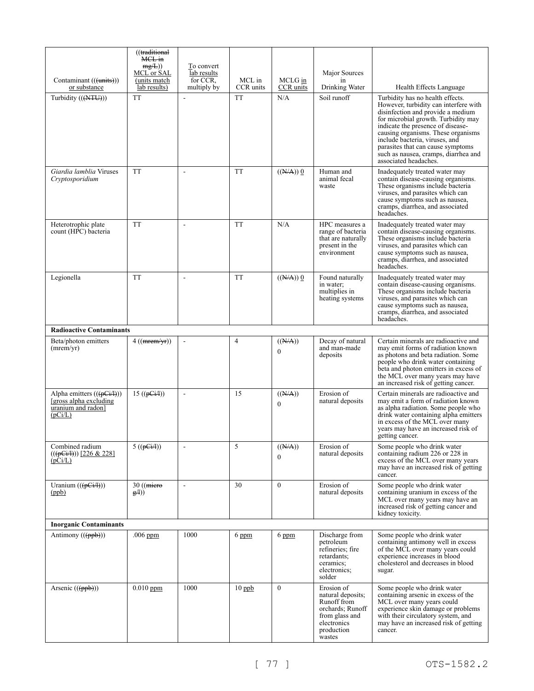|                                                                                                  | ((traditional<br>MCL in<br>mg/L)<br>MCL or SAL | To convert<br>lab results |                     |                                      | Major Sources                                                                                                               |                                                                                                                                                                                                                                                                                                                                                                          |  |  |
|--------------------------------------------------------------------------------------------------|------------------------------------------------|---------------------------|---------------------|--------------------------------------|-----------------------------------------------------------------------------------------------------------------------------|--------------------------------------------------------------------------------------------------------------------------------------------------------------------------------------------------------------------------------------------------------------------------------------------------------------------------------------------------------------------------|--|--|
| Contaminant (((units)))<br>or substance                                                          | (units match<br>lab results)                   | for CCR,<br>multiply by   | MCL in<br>CCR units | MCLG in<br>CCR units                 | in<br>Drinking Water                                                                                                        | Health Effects Language                                                                                                                                                                                                                                                                                                                                                  |  |  |
| Turbidity (((NTU)))                                                                              | <b>TT</b>                                      |                           | <b>TT</b>           | N/A                                  | Soil runoff                                                                                                                 | Turbidity has no health effects.<br>However, turbidity can interfere with<br>disinfection and provide a medium<br>for microbial growth. Turbidity may<br>indicate the presence of disease-<br>causing organisms. These organisms<br>include bacteria, viruses, and<br>parasites that can cause symptoms<br>such as nausea, cramps, diarrhea and<br>associated headaches. |  |  |
| Giardia lamblia Viruses<br>Cryptosporidium                                                       | <b>TT</b>                                      |                           | <b>TT</b>           | $((N/A))$ 0                          | Human and<br>animal fecal<br>waste                                                                                          | Inadequately treated water may<br>contain disease-causing organisms.<br>These organisms include bacteria<br>viruses, and parasites which can<br>cause symptoms such as nausea,<br>cramps, diarrhea, and associated<br>headaches.                                                                                                                                         |  |  |
| Heterotrophic plate<br>count (HPC) bacteria                                                      | <b>TT</b>                                      |                           | <b>TT</b>           | N/A                                  | HPC measures a<br>range of bacteria<br>that are naturally<br>present in the<br>environment                                  | Inadequately treated water may<br>contain disease-causing organisms.<br>These organisms include bacteria<br>viruses, and parasites which can<br>cause symptoms such as nausea,<br>cramps, diarrhea, and associated<br>headaches.                                                                                                                                         |  |  |
| Legionella                                                                                       | <b>TT</b>                                      | $\overline{\phantom{a}}$  | <b>TT</b>           | $((N/A))$ 0                          | Found naturally<br>in water;<br>multiplies in<br>heating systems                                                            | Inadequately treated water may<br>contain disease-causing organisms.<br>These organisms include bacteria<br>viruses, and parasites which can<br>cause symptoms such as nausea,<br>cramps, diarrhea, and associated<br>headaches.                                                                                                                                         |  |  |
| <b>Radioactive Contaminants</b>                                                                  |                                                |                           |                     |                                      |                                                                                                                             |                                                                                                                                                                                                                                                                                                                                                                          |  |  |
| Beta/photon emitters<br>(mrem/yr)                                                                | $4((\text{merm/yr}))$                          | $\Box$                    | 4                   | $((\overline{N/A}))$<br>$\mathbf{0}$ | Decay of natural<br>and man-made<br>deposits                                                                                | Certain minerals are radioactive and<br>may emit forms of radiation known<br>as photons and beta radiation. Some<br>people who drink water containing<br>beta and photon emitters in excess of<br>the MCL over many years may have<br>an increased risk of getting cancer.                                                                                               |  |  |
| Alpha emitters $((\overline{pG/H}))$<br>[gross alpha excluding]<br>uranium and radon]<br>(pCi/L) | 15 $((pLi)$                                    | $\overline{\phantom{a}}$  | 15                  | ((N/A))<br>$\theta$                  | Erosion of<br>natural deposits                                                                                              | Certain minerals are radioactive and<br>may emit a form of radiation known<br>as alpha radiation. Some people who<br>drink water containing alpha emitters<br>in excess of the MCL over many<br>years may have an increased risk of<br>getting cancer.                                                                                                                   |  |  |
| Combined radium<br>$((\neq$ Gi/I)) [226 & 228]<br>(pCi/L)                                        | $5$ ((pGiA))                                   |                           | 5                   | ((N/A))<br>$\theta$                  | Erosion of<br>natural deposits                                                                                              | Some people who drink water<br>containing radium 226 or 228 in<br>excess of the MCL over many years<br>may have an increased risk of getting<br>cancer.                                                                                                                                                                                                                  |  |  |
| Uranium $((\phi \rightarrow \psi))$<br>(ppb)                                                     | $30$ ((micro)<br>g(A)                          | ÷,                        | 30                  | $\theta$                             | Erosion of<br>natural deposits                                                                                              | Some people who drink water<br>containing uranium in excess of the<br>MCL over many years may have an<br>increased risk of getting cancer and<br>kidney toxicity.                                                                                                                                                                                                        |  |  |
| <b>Inorganic Contaminants</b>                                                                    |                                                |                           |                     |                                      |                                                                                                                             |                                                                                                                                                                                                                                                                                                                                                                          |  |  |
| Antimony $((ppb))$                                                                               | $.006$ ppm                                     | 1000                      | 6 ppm               | $6$ ppm                              | Discharge from<br>petroleum<br>refineries: fire<br>retardants;<br>ceramics;<br>electronics;<br>solder                       | Some people who drink water<br>containing antimony well in excess<br>of the MCL over many years could<br>experience increases in blood<br>cholesterol and decreases in blood<br>sugar.                                                                                                                                                                                   |  |  |
| Arsenic $((\{ppb\}))$                                                                            | $0.010$ ppm                                    | 1000                      | $10$ ppb            | $\mathbf{0}$                         | Erosion of<br>natural deposits;<br>Runoff from<br>orchards; Runoff<br>from glass and<br>electronics<br>production<br>wastes | Some people who drink water<br>containing arsenic in excess of the<br>MCL over many years could<br>experience skin damage or problems<br>with their circulatory system, and<br>may have an increased risk of getting<br>cancer.                                                                                                                                          |  |  |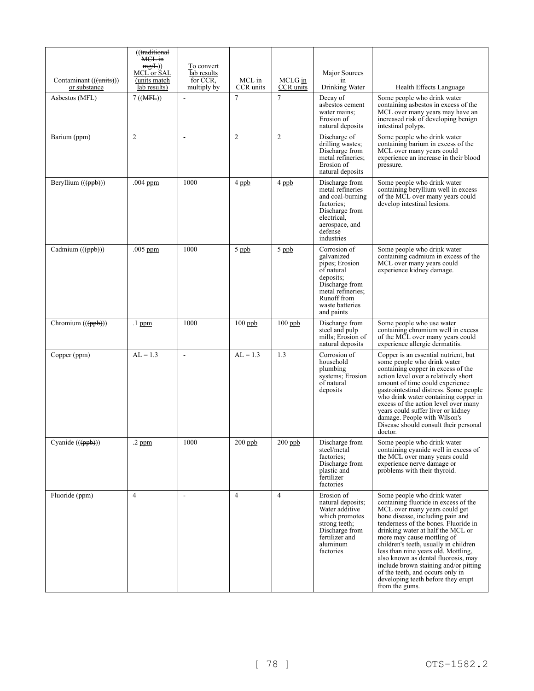| Contaminant (((units)))        | ((traditional<br>MCL in<br>mg/L)<br>MCL or SAL<br>(units match)<br>lab results) | To convert<br>lab results<br>for CCR.<br>multiply by | MCL in<br>CCR units | MCLG in<br>CCR units | Major Sources<br>in<br>Drinking Water                                                                                                                          |                                                                                                                                                                                                                                                                                                                                                                                                                                                                                                                 |
|--------------------------------|---------------------------------------------------------------------------------|------------------------------------------------------|---------------------|----------------------|----------------------------------------------------------------------------------------------------------------------------------------------------------------|-----------------------------------------------------------------------------------------------------------------------------------------------------------------------------------------------------------------------------------------------------------------------------------------------------------------------------------------------------------------------------------------------------------------------------------------------------------------------------------------------------------------|
| or substance<br>Asbestos (MFL) | $7 ((\text{MFE}))$                                                              | Ĭ.                                                   | $\overline{7}$      | $\tau$               | Decay of<br>asbestos cement<br>water mains:<br>Erosion of<br>natural deposits                                                                                  | Health Effects Language<br>Some people who drink water<br>containing asbestos in excess of the<br>MCL over many years may have an<br>increased risk of developing benign<br>intestinal polyps.                                                                                                                                                                                                                                                                                                                  |
| Barium (ppm)                   | $\overline{2}$                                                                  | $\sim$                                               | $\overline{c}$      | 2                    | Discharge of<br>drilling wastes;<br>Discharge from<br>metal refineries:<br>Erosion of<br>natural deposits                                                      | Some people who drink water<br>containing barium in excess of the<br>MCL over many years could<br>experience an increase in their blood<br>pressure.                                                                                                                                                                                                                                                                                                                                                            |
| Beryllium $((ppb))$            | $.004$ ppm.                                                                     | 1000                                                 | 4 ppb               | 4 ppb                | Discharge from<br>metal refineries<br>and coal-burning<br>factories:<br>Discharge from<br>electrical,<br>aerospace, and<br>defense<br>industries               | Some people who drink water<br>containing beryllium well in excess<br>of the MCL over many years could<br>develop intestinal lesions.                                                                                                                                                                                                                                                                                                                                                                           |
| Cadmium $((\{ppb\}))$          | $.005$ ppm                                                                      | 1000                                                 | $5$ ppb             | $5$ ppb              | Corrosion of<br>galvanized<br>pipes; Erosion<br>of natural<br>deposits:<br>Discharge from<br>metal refineries;<br>Runoff from<br>waste batteries<br>and paints | Some people who drink water<br>containing cadmium in excess of the<br>MCL over many years could<br>experience kidney damage.                                                                                                                                                                                                                                                                                                                                                                                    |
| Chromium $((ppb))$             | .1 ppm                                                                          | 1000                                                 | $100$ ppb           | $100$ ppb            | Discharge from<br>steel and pulp<br>mills; Erosion of<br>natural deposits                                                                                      | Some people who use water<br>containing chromium well in excess<br>of the MCL over many years could<br>experience allergic dermatitis.                                                                                                                                                                                                                                                                                                                                                                          |
| Copper (ppm)                   | $AL = 1.3$                                                                      | $\overline{\phantom{a}}$                             | $AL = 1.3$          | 1.3                  | Corrosion of<br>household<br>plumbing<br>systems; Erosion<br>of natural<br>deposits                                                                            | Copper is an essential nutrient, but<br>some people who drink water<br>containing copper in excess of the<br>action level over a relatively short<br>amount of time could experience<br>gastrointestinal distress. Some people<br>who drink water containing copper in<br>excess of the action level over many<br>years could suffer liver or kidney<br>damage. People with Wilson's<br>Disease should consult their personal<br>doctor.                                                                        |
| Cyanide (((ppb)))              | $.2~\mathrm{ppm}$                                                               | 1000                                                 | $200$ ppb           | $200$ ppb            | Discharge from<br>steel/metal<br>factories:<br>Discharge from<br>plastic and<br>fertilizer<br>factories                                                        | Some people who drink water<br>containing cyanide well in excess of<br>the MCL over many years could<br>experience nerve damage or<br>problems with their thyroid.                                                                                                                                                                                                                                                                                                                                              |
| Fluoride (ppm)                 | $\overline{4}$                                                                  | $\sim$                                               | $\overline{4}$      | $\overline{4}$       | Erosion of<br>natural deposits;<br>Water additive<br>which promotes<br>strong teeth;<br>Discharge from<br>fertilizer and<br>aluminum<br>factories              | Some people who drink water<br>containing fluoride in excess of the<br>MCL over many years could get<br>bone disease, including pain and<br>tenderness of the bones. Fluoride in<br>drinking water at half the MCL or<br>more may cause mottling of<br>children's teeth, usually in children<br>less than nine years old. Mottling,<br>also known as dental fluorosis, may<br>include brown staining and/or pitting<br>of the teeth, and occurs only in<br>developing teeth before they erupt<br>from the gums. |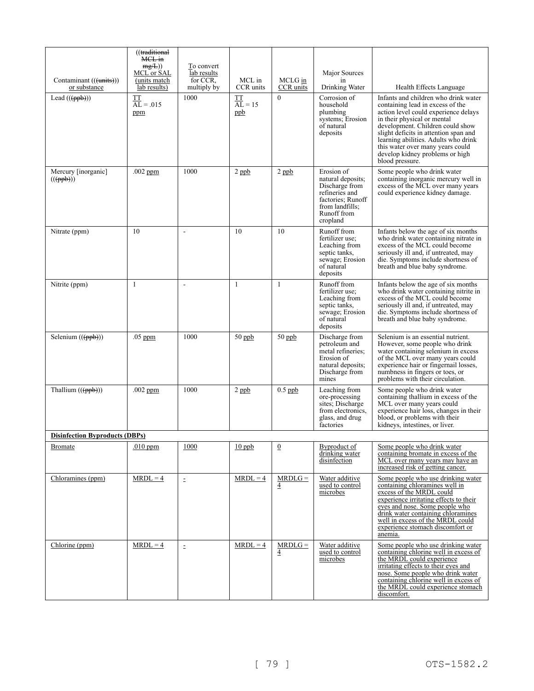| Contaminant (((units)))                     | ((traditional<br>MCL in<br>mg/L)<br>MCL or SAL<br>(units match | To convert<br>lab results<br>for CCR, | MCL in                 | MCLG in                     | Major Sources<br>1n                                                                                                                    |                                                                                                                                                                                                                                                                                                                                                                |
|---------------------------------------------|----------------------------------------------------------------|---------------------------------------|------------------------|-----------------------------|----------------------------------------------------------------------------------------------------------------------------------------|----------------------------------------------------------------------------------------------------------------------------------------------------------------------------------------------------------------------------------------------------------------------------------------------------------------------------------------------------------------|
| or substance                                | lab results)                                                   | multiply by                           | CCR units              | CCR units                   | Drinking Water                                                                                                                         | Health Effects Language                                                                                                                                                                                                                                                                                                                                        |
| Lead $((ppb))$                              | TT<br>$AL = .015$<br>ppm                                       | 1000                                  | TT<br>$AL = 15$<br>ppb | $\theta$                    | Corrosion of<br>household<br>plumbing<br>systems; Erosion<br>of natural<br>deposits                                                    | Infants and children who drink water<br>containing lead in excess of the<br>action level could experience delays<br>in their physical or mental<br>development. Children could show<br>slight deficits in attention span and<br>learning abilities. Adults who drink<br>this water over many years could<br>develop kidney problems or high<br>blood pressure. |
| Mercury [inorganic]<br>$((\theta, \theta))$ | $.002$ ppm                                                     | 1000                                  | $2$ ppb                | $2$ ppb                     | Erosion of<br>natural deposits;<br>Discharge from<br>refineries and<br>factories; Runoff<br>from landfills;<br>Runoff from<br>cropland | Some people who drink water<br>containing inorganic mercury well in<br>excess of the MCL over many years<br>could experience kidney damage.                                                                                                                                                                                                                    |
| Nitrate (ppm)                               | 10                                                             | $\overline{\phantom{a}}$              | 10                     | 10                          | Runoff from<br>fertilizer use;<br>Leaching from<br>septic tanks,<br>sewage; Erosion<br>of natural<br>deposits                          | Infants below the age of six months<br>who drink water containing nitrate in<br>excess of the MCL could become<br>seriously ill and, if untreated, may<br>die. Symptoms include shortness of<br>breath and blue baby syndrome.                                                                                                                                 |
| Nitrite (ppm)                               | 1                                                              | $\blacksquare$                        | 1                      | $\mathbf{1}$                | Runoff from<br>fertilizer use;<br>Leaching from<br>septic tanks,<br>sewage; Erosion<br>of natural<br>deposits                          | Infants below the age of six months<br>who drink water containing nitrite in<br>excess of the MCL could become<br>seriously ill and, if untreated, may<br>die. Symptoms include shortness of<br>breath and blue baby syndrome.                                                                                                                                 |
| Selenium $((ppb))$                          | $.05$ ppm                                                      | 1000                                  | $50$ ppb               | $50$ ppb                    | Discharge from<br>petroleum and<br>metal refineries;<br>Erosion of<br>natural deposits;<br>Discharge from<br>mines                     | Selenium is an essential nutrient.<br>However, some people who drink<br>water containing selenium in excess<br>of the MCL over many years could<br>experience hair or fingernail losses,<br>numbness in fingers or toes, or<br>problems with their circulation.                                                                                                |
| Thallium $((ppb))$                          | $.002$ ppm                                                     | 1000                                  | $2$ ppb                | $0.5$ ppb                   | Leaching from<br>ore-processing<br>sites; Discharge<br>from electronics,<br>glass, and drug<br>factories                               | Some people who drink water<br>containing thallium in excess of the<br>MCL over many years could<br>experience hair loss, changes in their<br>blood, or problems with their<br>kidneys, intestines, or liver.                                                                                                                                                  |
| <b>Disinfection Byproducts (DBPs)</b>       |                                                                |                                       |                        |                             |                                                                                                                                        |                                                                                                                                                                                                                                                                                                                                                                |
| <b>Bromate</b>                              | $.010$ ppm                                                     | 1000                                  | $10$ ppb               | $\boldsymbol{0}$            | Byproduct of<br>drinking water<br>disinfection                                                                                         | Some people who drink water<br>containing bromate in excess of the<br>MCL over many years may have an<br>increased risk of getting cancer.                                                                                                                                                                                                                     |
| Chloramines (ppm)                           | $MRDL = 4$                                                     | $\bar{\Xi}$                           | $MRDL = 4$             | $MRDLG =$<br>$\overline{4}$ | Water additive<br>used to control<br>microbes                                                                                          | Some people who use drinking water<br>containing chloramines well in<br>excess of the MRDL could<br>experience irritating effects to their<br>eyes and nose. Some people who<br>drink water containing chloramines<br>well in excess of the MRDL could<br>experience stomach discomfort or<br>anemia.                                                          |
| Chlorine (ppm)                              | $MRDL = 4$                                                     | $\bar{\Xi}$                           | $MRDL = 4$             | $MRDLG =$<br>4              | Water additive<br>used to control<br>microbes                                                                                          | Some people who use drinking water<br>containing chlorine well in excess of<br>the MRDL could experience<br>irritating effects to their eyes and<br>nose. Some people who drink water<br>containing chlorine well in excess of<br>the MRDL could experience stomach<br>discomfort.                                                                             |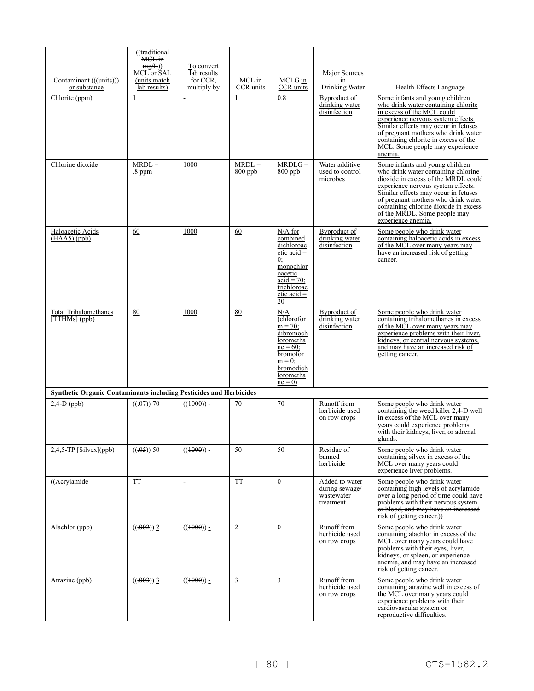| Contaminant (((units)))                                                   | ((traditional<br>MCL in<br>mg/L)<br>MCL or SAL<br>(units match | To convert<br>lab results<br>for CCR. | MCL in                | MCLG in                                                                                                                                                      | Major Sources<br>in                                         |                                                                                                                                                                                                                                                                                                                                   |
|---------------------------------------------------------------------------|----------------------------------------------------------------|---------------------------------------|-----------------------|--------------------------------------------------------------------------------------------------------------------------------------------------------------|-------------------------------------------------------------|-----------------------------------------------------------------------------------------------------------------------------------------------------------------------------------------------------------------------------------------------------------------------------------------------------------------------------------|
| or substance                                                              | lab results)                                                   | multiply by                           | CCR units             | CCR units                                                                                                                                                    | Drinking Water                                              | Health Effects Language                                                                                                                                                                                                                                                                                                           |
| Chlorite (ppm)                                                            | $\overline{1}$                                                 | $\bar{\Xi}$                           | $\underline{1}$       | 0.8                                                                                                                                                          | Byproduct of<br>drinking water<br>disinfection              | Some infants and young children<br>who drink water containing chlorite<br>in excess of the MCL could<br>experience nervous system effects.<br>Similar effects may occur in fetuses<br>of pregnant mothers who drink water<br>containing chlorite in excess of the<br>MCL. Some people may experience<br>anemia.                   |
| Chlorine dioxide                                                          | $MRDL =$<br>$.8$ ppm                                           | 1000                                  | $MRDL =$<br>$800$ ppb | $MRDLG =$<br>$800$ ppb                                                                                                                                       | Water additive<br>used to control<br>microbes               | Some infants and young children<br>who drink water containing chlorine<br>dioxide in excess of the MRDL could<br>experience nervous system effects.<br>Similar effects may occur in fetuses<br>of pregnant mothers who drink water<br>containing chlorine dioxide in excess<br>of the MRDL. Some people may<br>experience anemia. |
| Haloacetic Acids<br>$(HAA5)$ (ppb)                                        | 60                                                             | 1000                                  | 60                    | $N/A$ for<br>combined<br>dichloroac<br>$etic acid =$<br>0:<br>monochlor<br>oacetic<br>$\alpha$ acid = 70;<br>trichloroac<br>etic $acid =$<br>$\overline{20}$ | Byproduct of<br>drinking water<br>disinfection              | Some people who drink water<br>containing haloacetic acids in excess<br>of the MCL over many years may<br>have an increased risk of getting<br>cancer.                                                                                                                                                                            |
| <b>Total Trihalomethanes</b><br>$[THMs]$ (ppb)                            | 80                                                             | 1000                                  | 80                    | N/A<br>(chlorofor<br>$m = 70$ ;<br>dibromoch<br>lorometha<br>$ne = 60$ ;<br>bromofor<br>$m = 0$ ;<br>bromodich<br>lorometha<br>$ne = 0$                      | Byproduct of<br>drinking water<br>disinfection              | Some people who drink water<br>containing trihalomethanes in excess<br>of the MCL over many years may<br>experience problems with their liver,<br>kidneys, or central nervous systems,<br>and may have an increased risk of<br>getting cancer.                                                                                    |
| <b>Synthetic Organic Contaminants including Pesticides and Herbicides</b> |                                                                |                                       |                       |                                                                                                                                                              |                                                             |                                                                                                                                                                                                                                                                                                                                   |
| $2,4-D$ (ppb)                                                             | $((.07))$ 70                                                   | $((1000)) -$                          | 70                    | 70                                                                                                                                                           | Runoff from<br>herbicide used<br>on row crops               | Some people who drink water<br>containing the weed killer 2,4-D well<br>in excess of the MCL over many<br>years could experience problems<br>with their kidneys, liver, or adrenal<br>glands.                                                                                                                                     |
| $2,4,5$ -TP [Silvex](ppb)                                                 | $((.05))$ 50                                                   | $((1000))_2$                          | 50                    | 50                                                                                                                                                           | Residue of<br>banned<br>herbicide                           | Some people who drink water<br>containing silvex in excess of the<br>MCL over many years could<br>experience liver problems.                                                                                                                                                                                                      |
| ((Aerylamide)                                                             | <b>TT</b>                                                      | $\overline{\phantom{a}}$              | ŦŦ                    | $\theta$                                                                                                                                                     | Added to water<br>during sewage/<br>wastewater<br>treatment | Some people who drink water<br>containing high levels of acrylamide<br>over a long period of time could have<br>problems with their nervous system<br>or blood, and may have an increased<br>risk of getting cancer.)                                                                                                             |
| Alachlor (ppb)                                                            | ((.002))2                                                      | $((1000))_2$                          | $\mathfrak{2}$        | $\theta$                                                                                                                                                     | Runoff from<br>herbicide used<br>on row crops               | Some people who drink water<br>containing alachlor in excess of the<br>MCL over many years could have<br>problems with their eyes, liver,<br>kidneys, or spleen, or experience<br>anemia, and may have an increased<br>risk of getting cancer.                                                                                    |
| Atrazine (ppb)                                                            | $((.003))$ 3                                                   | $((1000))_2$                          | 3                     | 3                                                                                                                                                            | Runoff from<br>herbicide used<br>on row crops               | Some people who drink water<br>containing atrazine well in excess of<br>the MCL over many years could<br>experience problems with their<br>cardiovascular system or<br>reproductive difficulties.                                                                                                                                 |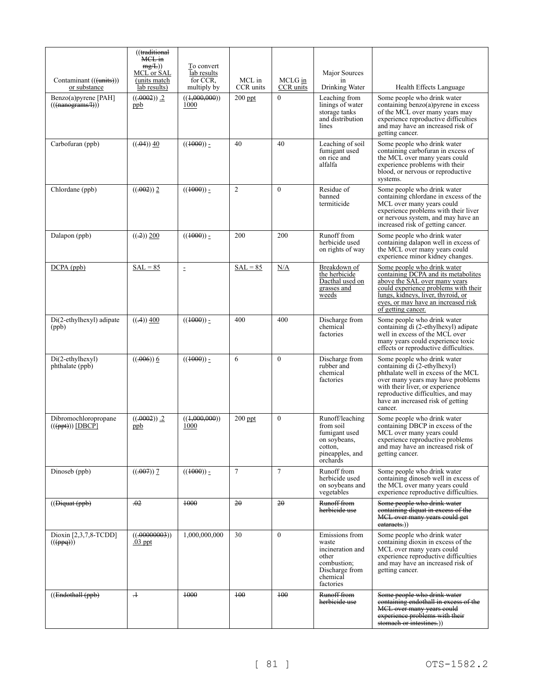|                                                                                              | ((traditional<br>MCL in<br>mg/L)<br>MCL or SAL | To convert<br>lab results |                     |                      | Major Sources                                                                                                  |                                                                                                                                                                                                                                                                  |
|----------------------------------------------------------------------------------------------|------------------------------------------------|---------------------------|---------------------|----------------------|----------------------------------------------------------------------------------------------------------------|------------------------------------------------------------------------------------------------------------------------------------------------------------------------------------------------------------------------------------------------------------------|
| Contaminant (((units)))<br>or substance                                                      | (units match)<br>lab results)                  | for CCR.<br>multiply by   | MCL in<br>CCR units | MCLG in<br>CCR units | in<br>Drinking Water                                                                                           | Health Effects Language                                                                                                                                                                                                                                          |
| Benzo(a)pyrene [PAH]<br>$(($ ( $(\text{nanograms/H}))$ )                                     | $((.0002))$ .2<br>ppb                          | ((1,000,000))<br>1000     | $200$ ppt           | $\theta$             | Leaching from<br>linings of water<br>storage tanks<br>and distribution<br>lines                                | Some people who drink water<br>containing benzo(a)pyrene in excess<br>of the MCL over many years may<br>experience reproductive difficulties<br>and may have an increased risk of<br>getting cancer.                                                             |
| Carbofuran (ppb)                                                                             | $((.04))$ 40                                   | $((1000))$ -              | 40                  | 40                   | Leaching of soil<br>fumigant used<br>on rice and<br>alfalfa                                                    | Some people who drink water<br>containing carbofuran in excess of<br>the MCL over many years could<br>experience problems with their<br>blood, or nervous or reproductive<br>systems.                                                                            |
| Chlordane (ppb)                                                                              | $((.002))$ 2                                   | $((1000))_2$              | $\mathfrak{2}$      | $\theta$             | Residue of<br>banned<br>termiticide                                                                            | Some people who drink water<br>containing chlordane in excess of the<br>MCL over many years could<br>experience problems with their liver<br>or nervous system, and may have an<br>increased risk of getting cancer.                                             |
| Dalapon (ppb)                                                                                | $((.2))$ 200                                   | $((1000))_2$              | 200                 | 200                  | Runoff from<br>herbicide used<br>on rights of way                                                              | Some people who drink water<br>containing dalapon well in excess of<br>the MCL over many years could<br>experience minor kidney changes.                                                                                                                         |
| $DCPA$ (ppb)                                                                                 | $SAL = 85$                                     | $\bar{\Xi}$               | $SAL = 85$          | N/A                  | Breakdown of<br>the herbicide<br>Dacthal used on<br>grasses and<br>weeds                                       | Some people who drink water<br>containing DCPA and its metabolites<br>above the SAL over many years<br>could experience problems with their<br>lungs, kidneys, liver, thyroid, or<br>eyes, or may have an increased risk<br>of getting cancer.                   |
| $Di(2-ethylhexyl)$ adipate<br>(ppb)                                                          | $((-4))$ 400                                   | $((1000)) -$              | 400                 | 400                  | Discharge from<br>chemical<br>factories                                                                        | Some people who drink water<br>containing di (2-ethylhexyl) adipate<br>well in excess of the MCL over<br>many years could experience toxic<br>effects or reproductive difficulties.                                                                              |
| $Di(2-ethylhexyl)$<br>phthalate (ppb)                                                        | $((.006))$ 6                                   | $((1000))$ -              | 6                   | $\theta$             | Discharge from<br>rubber and<br>chemical<br>factories                                                          | Some people who drink water<br>containing di (2-ethylhexyl)<br>phthalate well in excess of the MCL<br>over many years may have problems<br>with their liver, or experience<br>reproductive difficulties, and may<br>have an increased risk of getting<br>cancer. |
| Dibromochloropropane<br>$((\left(\frac{\mathsf{p}}{\mathsf{p}}\right))   \text{DBC}\hat{P}]$ | $((.0002))$ .2<br>ppb                          | ((1,000,000))<br>1000     | $200$ ppt           | $\mathbf{0}$         | Runoff/leaching<br>from soil<br>fumigant used<br>on soybeans,<br>cotton,<br>pineapples, and<br>orchards        | Some people who drink water<br>containing DBCP in excess of the<br>MCL over many years could<br>experience reproductive problems<br>and may have an increased risk of<br>getting cancer.                                                                         |
| Dinoseb (ppb)                                                                                | $((.007))$ 7                                   | $((1000))_2$              | $\tau$              | $\tau$               | Runoff from<br>herbicide used<br>on soybeans and<br>vegetables                                                 | Some people who drink water<br>containing dinoseb well in excess of<br>the MCL over many years could<br>experience reproductive difficulties.                                                                                                                    |
| (( <b>Digit</b> ( <b>ppb</b> ))                                                              | $+02$                                          | $+000$                    | 20                  | 20                   | Runoff from<br>herbieide use                                                                                   | Some people who drink water<br>containing diquat in excess of the<br>MCL over many years could get<br>eataracts.)                                                                                                                                                |
| Dioxin $[2,3,7,8$ -TCDD]<br>$((\theta_{\text{ppq}}))$                                        | ((.00000003))<br>$.03$ ppt                     | 1,000,000,000             | 30                  | $\mathbf{0}$         | Emissions from<br>waste<br>incineration and<br>other<br>combustion;<br>Discharge from<br>chemical<br>factories | Some people who drink water<br>containing dioxin in excess of the<br>MCL over many years could<br>experience reproductive difficulties<br>and may have an increased risk of<br>getting cancer.                                                                   |
| ((Endothall (ppb))                                                                           | $\pm$                                          | +000                      | $+00$               | $+00$                | Runoff from<br>herbieide use                                                                                   | Some people who drink water<br>containing endothall in excess of the<br>MCL over many years could<br>experience problems with their<br>stomach or intestines.))                                                                                                  |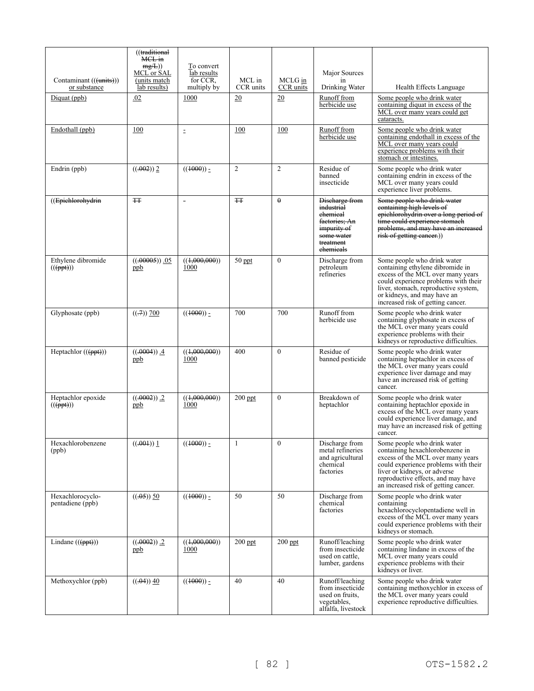|                                                     | ((traditional<br>MCL in<br>mg/L)<br>MCL or SAL | To convert<br>lab results |                     |                      | Major Sources                                                                                                    |                                                                                                                                                                                                                                                           |
|-----------------------------------------------------|------------------------------------------------|---------------------------|---------------------|----------------------|------------------------------------------------------------------------------------------------------------------|-----------------------------------------------------------------------------------------------------------------------------------------------------------------------------------------------------------------------------------------------------------|
| Contaminant (((units)))<br>or substance             | (units match)<br>lab results)                  | for CCR.<br>multiply by   | MCL in<br>CCR units | MCLG in<br>CCR units | in<br>Drinking Water                                                                                             | Health Effects Language                                                                                                                                                                                                                                   |
| Diquat (ppb)                                        | .02                                            | 1000                      | 20                  | 20                   | Runoff from<br>herbicide use                                                                                     | Some people who drink water<br>containing diquat in excess of the<br>MCL over many years could get<br>cataracts.                                                                                                                                          |
| Endothall (ppb)                                     | 100                                            | $\equiv$                  | 100                 | 100                  | Runoff from<br>herbicide use                                                                                     | Some people who drink water<br>containing endothall in excess of the<br>MCL over many years could<br>experience problems with their<br>stomach or intestines.                                                                                             |
| Endrin (ppb)                                        | $((-0.02))$ 2                                  | $((1000)) =$              | $\overline{2}$      | $\overline{2}$       | Residue of<br>banned<br>insecticide                                                                              | Some people who drink water<br>containing endrin in excess of the<br>MCL over many years could<br>experience liver problems.                                                                                                                              |
| ((Epichlorohydrin                                   | <b>TT</b>                                      | $\blacksquare$            | <b>TT</b>           | $\theta$             | Discharge from<br>industrial<br>ehemieal<br>factories; An<br>impurity of<br>some water<br>treatment<br>ehemicals | Some people who drink water<br>containing high levels of<br>epichlorohydrin over a long period of<br>time could experience stomach<br>problems, and may have an increased<br>risk of getting cancer.)                                                     |
| Ethylene dibromide<br>$((\overline{(\text{ppt})}))$ | $((.00005))$ .05<br>ppb                        | ((1,000,000))<br>1000     | $50$ ppt            | $\theta$             | Discharge from<br>petroleum<br>refineries                                                                        | Some people who drink water<br>containing ethylene dibromide in<br>excess of the MCL over many years<br>could experience problems with their<br>liver, stomach, reproductive system,<br>or kidneys, and may have an<br>increased risk of getting cancer.  |
| Glyphosate (ppb)                                    | $((\n 0.7) 700)$                               | $((1000))$ -              | 700                 | 700                  | Runoff from<br>herbicide use                                                                                     | Some people who drink water<br>containing glyphosate in excess of<br>the MCL over many years could<br>experience problems with their<br>kidneys or reproductive difficulties.                                                                             |
| Heptachlor $((ppt))$                                | $((.0004))$ .4<br>ppb                          | ((1,000,000))<br>1000     | 400                 | $\mathbf{0}$         | Residue of<br>banned pesticide                                                                                   | Some people who drink water<br>containing heptachlor in excess of<br>the MCL over many years could<br>experience liver damage and may<br>have an increased risk of getting<br>cancer.                                                                     |
| Heptachlor epoxide<br>$((\overline{(\text{ppt})}))$ | $((.0002))$ .2<br>ppb                          | ((0.000, 000))<br>1000    | $200$ ppt           | $\theta$             | Breakdown of<br>heptachlor                                                                                       | Some people who drink water<br>containing heptachlor epoxide in<br>excess of the MCL over many years<br>could experience liver damage, and<br>may have an increased risk of getting<br>cancer.                                                            |
| Hexachlorobenzene<br>(ppb)                          | $((.001))$ 1                                   | $((1000))_2$              | 1                   | $\mathbf{0}$         | Discharge from<br>metal refineries<br>and agricultural<br>chemical<br>factories                                  | Some people who drink water<br>containing hexachlorobenzene in<br>excess of the MCL over many years<br>could experience problems with their<br>liver or kidneys, or adverse<br>reproductive effects, and may have<br>an increased risk of getting cancer. |
| Hexachlorocyclo-<br>pentadiene (ppb)                | $((.05))$ 50                                   | $((1000))_2$              | 50                  | 50                   | Discharge from<br>chemical<br>factories                                                                          | Some people who drink water<br>containing<br>hexachlorocyclopentadiene well in<br>excess of the MCL over many years<br>could experience problems with their<br>kidneys or stomach.                                                                        |
| Lindane $((\text{fppt}))$                           | $((.0002))$ .2<br>ppb                          | ((1,000,000))<br>1000     | $200$ ppt           | $200$ ppt            | Runoff/leaching<br>from insecticide<br>used on cattle.<br>lumber, gardens                                        | Some people who drink water<br>containing lindane in excess of the<br>MCL over many years could<br>experience problems with their<br>kidneys or liver.                                                                                                    |
| Methoxychlor (ppb)                                  | $((.04))$ 40                                   | $((1000))_2$              | 40                  | 40                   | Runoff/leaching<br>from insecticide<br>used on fruits,<br>vegetables,<br>alfalfa, livestock                      | Some people who drink water<br>containing methoxychlor in excess of<br>the MCL over many years could<br>experience reproductive difficulties.                                                                                                             |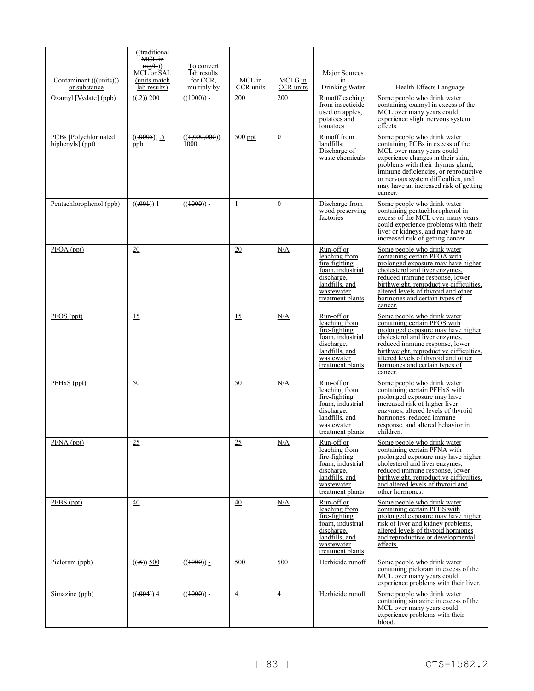|                                           | ((traditional<br>MCL in<br>mg/L)<br>MCL or SAL | To convert<br>lab results | MCL in         |                      | Major Sources                                                                                                                      |                                                                                                                                                                                                                                                                                                           |
|-------------------------------------------|------------------------------------------------|---------------------------|----------------|----------------------|------------------------------------------------------------------------------------------------------------------------------------|-----------------------------------------------------------------------------------------------------------------------------------------------------------------------------------------------------------------------------------------------------------------------------------------------------------|
| Contaminant (((units)))<br>or substance   | (units match)<br>lab results)                  | for CCR.<br>multiply by   | CCR units      | MCLG in<br>CCR units | in<br>Drinking Water                                                                                                               | Health Effects Language                                                                                                                                                                                                                                                                                   |
| Oxamyl [Vydate] (ppb)                     | ((.2)) 200                                     | $((1000))_2$              | 200            | 200                  | Runoff/leaching<br>from insecticide<br>used on apples,<br>potatoes and<br>tomatoes                                                 | Some people who drink water<br>containing oxamyl in excess of the<br>MCL over many years could<br>experience slight nervous system<br>effects.                                                                                                                                                            |
| PCBs [Polychlorinated<br>biphenyls] (ppt) | $((.0005))$ .<br>ppb                           | ((1,000,000))<br>1000     | $500$ ppt      | $\mathbf{0}$         | Runoff from<br>landfills:<br>Discharge of<br>waste chemicals                                                                       | Some people who drink water<br>containing PCBs in excess of the<br>MCL over many years could<br>experience changes in their skin,<br>problems with their thymus gland,<br>immune deficiencies, or reproductive<br>or nervous system difficulties, and<br>may have an increased risk of getting<br>cancer. |
| Pentachlorophenol (ppb)                   | ((.001)) 1                                     | $((1000))_2$              | 1              | $\theta$             | Discharge from<br>wood preserving<br>factories                                                                                     | Some people who drink water<br>containing pentachlorophenol in<br>excess of the MCL over many years<br>could experience problems with their<br>liver or kidneys, and may have an<br>increased risk of getting cancer.                                                                                     |
| PFOA (ppt)                                | 20                                             |                           | 20             | N/A                  | Run-off or<br>leaching from<br>fire-fighting<br>foam, industrial<br>discharge,<br>landfills, and<br>wastewater<br>treatment plants | Some people who drink water<br>containing certain PFOA with<br>prolonged exposure may have higher<br>cholesterol and liver enzymes,<br>reduced immune response, lower<br>birthweight, reproductive difficulties,<br>altered levels of thyroid and other<br>hormones and certain types of<br>cancer.       |
| PFOS (ppt)                                | 15                                             |                           | 15             | N/A                  | Run-off or<br>leaching from<br>fire-fighting<br>foam, industrial<br>discharge,<br>landfills, and<br>wastewater<br>treatment plants | Some people who drink water<br>containing certain PFOS with<br>prolonged exposure may have higher<br>cholesterol and liver enzymes,<br>reduced immune response, lower<br>birthweight, reproductive difficulties,<br>altered levels of thyroid and other<br>hormones and certain types of<br>cancer.       |
| PFH <sub>x</sub> S (ppt)                  | 50                                             |                           | 50             | N/A                  | Run-off or<br>leaching from<br>fire-fighting<br>foam, industrial<br>discharge,<br>landfills, and<br>wastewater<br>treatment plants | Some people who drink water<br>containing certain PFHxS with<br>prolonged exposure may have<br>increased risk of higher liver<br>enzymes, altered levels of thyroid<br>hormones, reduced immune<br>response, and altered behavior in<br>children.                                                         |
| PFNA (ppt)                                | 25                                             |                           | 25             | N/A                  | Run-off or<br>leaching from<br>fire-fighting<br>foam, industrial<br>discharge,<br>landfills, and<br>wastewater<br>treatment plants | Some people who drink water<br>containing certain PFNA with<br>prolonged exposure may have higher<br>cholesterol and liver enzymes,<br>reduced immune response, lower<br>birthweight, reproductive difficulties,<br>and altered levels of thyroid and<br>other hormones.                                  |
| $PFBS$ (ppt)                              | 40                                             |                           | 40             | N/A                  | Run-off or<br>leaching from<br>fire-fighting<br>foam, industrial<br>discharge,<br>landfills, and<br>wastewater<br>treatment plants | Some people who drink water<br>containing certain PFBS with<br>prolonged exposure may have higher<br>risk of liver and kidney problems,<br>altered levels of thyroid hormones<br>and reproductive or developmental<br>effects.                                                                            |
| Picloram (ppb)                            | $((.5))$ 500                                   | $((1000))_2$              | 500            | 500                  | Herbicide runoff                                                                                                                   | Some people who drink water<br>containing picloram in excess of the<br>MCL over many years could<br>experience problems with their liver.                                                                                                                                                                 |
| Simazine (ppb)                            | $((.004))$ 4                                   | $((1000))_7$              | $\overline{4}$ | 4                    | Herbicide runoff                                                                                                                   | Some people who drink water<br>containing simazine in excess of the<br>MCL over many years could<br>experience problems with their<br>blood.                                                                                                                                                              |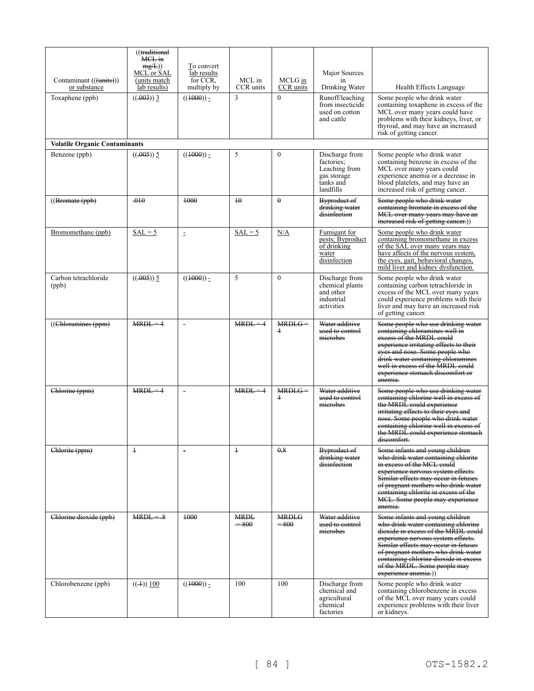| Contaminant (((units)))<br>or substance | ((traditional<br>MCL in<br>mg/L)<br>MCL or SAL<br>(units match)<br>lab results) | To convert<br>lab results<br>for CCR.<br>multiply by | MCL in<br>CCR units   | MCLG in<br>CCR units   | Major Sources<br>in<br>Drinking Water                                                  | Health Effects Language                                                                                                                                                                                                                                                                                                             |  |  |  |  |
|-----------------------------------------|---------------------------------------------------------------------------------|------------------------------------------------------|-----------------------|------------------------|----------------------------------------------------------------------------------------|-------------------------------------------------------------------------------------------------------------------------------------------------------------------------------------------------------------------------------------------------------------------------------------------------------------------------------------|--|--|--|--|
| Toxaphene (ppb)                         | $((.003))$ 3                                                                    | $((1000))_2$                                         | 3                     | $\mathbf{0}$           | Runoff/leaching<br>from insecticide<br>used on cotton<br>and cattle                    | Some people who drink water<br>containing toxaphene in excess of the<br>MCL over many years could have<br>problems with their kidneys, liver, or<br>thyroid, and may have an increased<br>risk of getting cancer.                                                                                                                   |  |  |  |  |
| <b>Volatile Organic Contaminants</b>    |                                                                                 |                                                      |                       |                        |                                                                                        |                                                                                                                                                                                                                                                                                                                                     |  |  |  |  |
| Benzene (ppb)                           | $((.005))$ 5                                                                    | $((1000))_2$                                         | 5                     | $\Omega$               | Discharge from<br>factories;<br>Leaching from<br>gas storage<br>tanks and<br>landfills | Some people who drink water<br>containing benzene in excess of the<br>MCL over many years could<br>experience anemia or a decrease in<br>blood platelets, and may have an<br>increased risk of getting cancer.                                                                                                                      |  |  |  |  |
| ((Bromate (ppb)                         | .010                                                                            | 4000                                                 | $\overline{10}$       | $\theta$               | Byproduct of<br>drinking water<br>disinfection                                         | Some people who drink water<br>containing bromate in excess of the<br>MCL over many years may have an<br>increased risk of getting cancer.))                                                                                                                                                                                        |  |  |  |  |
| Bromomethane (ppb)                      | $SAL = 5$                                                                       | $\bar{z}$                                            | $SAL = 5$             | N/A                    | Fumigant for<br>pests; Byproduct<br>of drinking<br>water<br>disinfection               | Some people who drink water<br>containing bromomethane in excess<br>of the SAL over many years may<br>have affects of the nervous system,<br>the eyes, gait, behavioral changes,<br>mild liver and kidney dysfunction.                                                                                                              |  |  |  |  |
| Carbon tetrachloride<br>(ppb)           | $((.005))$ 5                                                                    | $((1000)) -$                                         | 5                     | $\mathbf{0}$           | Discharge from<br>chemical plants<br>and other<br>industrial<br>activities             | Some people who drink water<br>containing carbon tetrachloride in<br>excess of the MCL over many years<br>could experience problems with their<br>liver and may have an increased risk<br>of getting cancer.                                                                                                                        |  |  |  |  |
| ((Chloramines (ppm)                     | $MRDL = 4$                                                                      | $\blacksquare$                                       | $MRDL = 4$            | $MRDEG =$<br>4         | Water additive<br>used to control<br>microbes                                          | Some people who use drinking water<br>containing chloramines well in<br>excess of the MRDL could<br>experience irritating effects to their<br>eyes and nose. Some people who<br>drink water containing chloramines<br>well in excess of the MRDL could<br>experience stomach discomfort or<br>anemia.                               |  |  |  |  |
| Chlorine (ppm)                          | $MRDL = 4$                                                                      | $\overline{a}$                                       | $MRDL = 4$            | $MRDLG =$<br>4         | Water additive<br>used to control<br>microbes                                          | Some people who use drinking water<br>containing chlorine well in excess of<br>the MRDL could experience<br>irritating effects to their eyes and<br>nose. Some people who drink water<br>containing chlorine well in excess of<br>the MRDL could experience stomach<br>discomfort.                                                  |  |  |  |  |
| Chlorite (ppm)                          | $\pm$                                                                           | $\overline{\phantom{a}}$                             | $\ddagger$            | 0.8                    | Byproduct of<br>drinking water<br>disinfection                                         | Some infants and young children<br>who drink water containing chlorite<br>in excess of the MCL could<br>experience nervous system effects.<br>Similar effects may occur in fetuses<br><del>of pregnant mothers who drink water</del><br>containing chlorite in excess of the<br>MCL. Some people may experience<br>anemia.          |  |  |  |  |
| Chlorine dioxide (ppb)                  | $MRDL=.8$                                                                       | $+000$                                               | <b>MRDL</b><br>$-800$ | <b>MRDLG</b><br>$-800$ | Water additive<br>used to control<br>microbes                                          | Some infants and young children<br>who drink water containing chlorine<br>dioxide in excess of the MRDL could<br>experience nervous system effects.<br>Similar effects may occur in fetuses<br>of pregnant mothers who drink water<br>containing chlorine dioxide in excess<br>of the MRDL. Some people may<br>experience anemia.)) |  |  |  |  |
| Chlorobenzene (ppb)                     | $((\pm)) 100$                                                                   | $((1000))_2$                                         | 100                   | 100                    | Discharge from<br>chemical and<br>agricultural<br>chemical<br>factories                | Some people who drink water<br>containing chlorobenzene in excess<br>of the MCL over many years could<br>experience problems with their liver<br>or kidneys.                                                                                                                                                                        |  |  |  |  |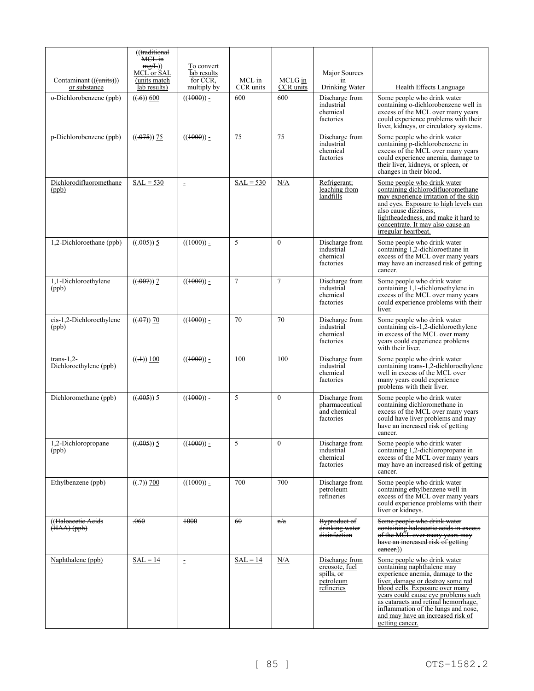| Contaminant (((units)))                | ((traditional<br>MCL in<br>mg/L)<br>MCL or SAL<br>(units match | To convert<br>lab results<br>for CCR. | MCL in         | MCLG in        | Major Sources<br>in                                                       |                                                                                                                                                                                                                                                                                                                                                     |
|----------------------------------------|----------------------------------------------------------------|---------------------------------------|----------------|----------------|---------------------------------------------------------------------------|-----------------------------------------------------------------------------------------------------------------------------------------------------------------------------------------------------------------------------------------------------------------------------------------------------------------------------------------------------|
| or substance                           | lab results)                                                   | multiply by                           | CCR units      | CCR units      | Drinking Water                                                            | Health Effects Language                                                                                                                                                                                                                                                                                                                             |
| o-Dichlorobenzene (ppb)                | $((-6))$ 600                                                   | $((1000)) -$                          | 600            | 600            | Discharge from<br>industrial<br>chemical<br>factories                     | Some people who drink water<br>containing o-dichlorobenzene well in<br>excess of the MCL over many years<br>could experience problems with their<br>liver, kidneys, or circulatory systems.                                                                                                                                                         |
| p-Dichlorobenzene (ppb)                | $((.075))$ 75                                                  | $((1000))_2$                          | 75             | 75             | Discharge from<br>industrial<br>chemical<br>factories                     | Some people who drink water<br>containing p-dichlorobenzene in<br>excess of the MCL over many years<br>could experience anemia, damage to<br>their liver, kidneys, or spleen, or<br>changes in their blood.                                                                                                                                         |
| Dichlorodifluoromethane<br>(ppb)       | $SAL = 530$                                                    | $\equiv$                              | $SAL = 530$    | N/A            | Refrigerant;<br>leaching from<br>landfills                                | Some people who drink water<br>containing dichlorodifluoromethane<br>may experience irritation of the skin<br>and eyes. Exposure to high levels can<br>also cause dizziness.<br>lightheadedness, and make it hard to<br>concentrate. It may also cause an<br>irregular heartbeat.                                                                   |
| 1,2-Dichloroethane (ppb)               | $((.005))$ 5                                                   | $((1000))_2$                          | 5              | $\theta$       | Discharge from<br>industrial<br>chemical<br>factories                     | Some people who drink water<br>containing 1,2-dichloroethane in<br>excess of the MCL over many years<br>may have an increased risk of getting<br>cancer.                                                                                                                                                                                            |
| 1,1-Dichloroethylene<br>(ppb)          | $((.007))$ 7                                                   | $((1000)) =$                          | $\overline{7}$ | $\overline{7}$ | Discharge from<br>industrial<br>chemical<br>factories                     | Some people who drink water<br>containing 1,1-dichloroethylene in<br>excess of the MCL over many years<br>could experience problems with their<br>liver.                                                                                                                                                                                            |
| cis-1,2-Dichloroethylene<br>(ppb)      | $((.07))$ 70                                                   | $((1000)) -$                          | 70             | 70             | Discharge from<br>industrial<br>chemical<br>factories                     | Some people who drink water<br>containing cis-1,2-dichloroethylene<br>in excess of the MCL over many<br>years could experience problems<br>with their liver.                                                                                                                                                                                        |
| $trans-1.2-$<br>Dichloroethylene (ppb) | $((\pm)) 100$                                                  | $((1000))$ -                          | 100            | 100            | Discharge from<br>industrial<br>chemical<br>factories                     | Some people who drink water<br>containing trans-1,2-dichloroethylene<br>well in excess of the MCL over<br>many years could experience<br>problems with their liver.                                                                                                                                                                                 |
| Dichloromethane (ppb)                  | $((.005))$ 5                                                   | $((1000)) =$                          | 5              | $\theta$       | Discharge from<br>pharmaceutical<br>and chemical<br>factories             | Some people who drink water<br>containing dichloromethane in<br>excess of the MCL over many years<br>could have liver problems and may<br>have an increased risk of getting<br>cancer.                                                                                                                                                              |
| 1,2-Dichloropropane<br>(ppb)           | $((.005))$ 5                                                   | $((1000))_2$                          | 5              | $\mathbf{0}$   | Discharge from<br>industrial<br>chemical<br>factories                     | Some people who drink water<br>containing 1,2-dichloropropane in<br>excess of the MCL over many years<br>may have an increased risk of getting<br>cancer.                                                                                                                                                                                           |
| Ethylbenzene (ppb)                     | $((.7))$ 700                                                   | $((1000)) -$                          | 700            | 700            | Discharge from<br>petroleum<br>refineries                                 | Some people who drink water<br>containing ethylbenzene well in<br>excess of the MCL over many years<br>could experience problems with their<br>liver or kidneys.                                                                                                                                                                                    |
| (Haloacetic Acids)<br>$(HAA)$ (ppb)    | .060                                                           | 1000                                  | 60             | n/a            | Byproduct of<br>drinking water<br>disinfection                            | Some people who drink water<br>containing haloacetic acids in excess<br>of the MCL over many years may<br>have an increased risk of getting<br>eancer.)                                                                                                                                                                                             |
| Naphthalene (ppb)                      | $SAL = 14$                                                     | $\bar{\Xi}$                           | $SAL = 14$     | N/A            | Discharge from<br>creosote, fuel<br>spills, or<br>petroleum<br>refineries | Some people who drink water<br>containing naphthalene may<br>experience anemia, damage to the<br>liver, damage or destroy some red<br>blood cells. Exposure over many<br>years could cause eye problems such<br>as cataracts and retinal hemorrhage,<br>inflammation of the lungs and nose,<br>and may have an increased risk of<br>getting cancer. |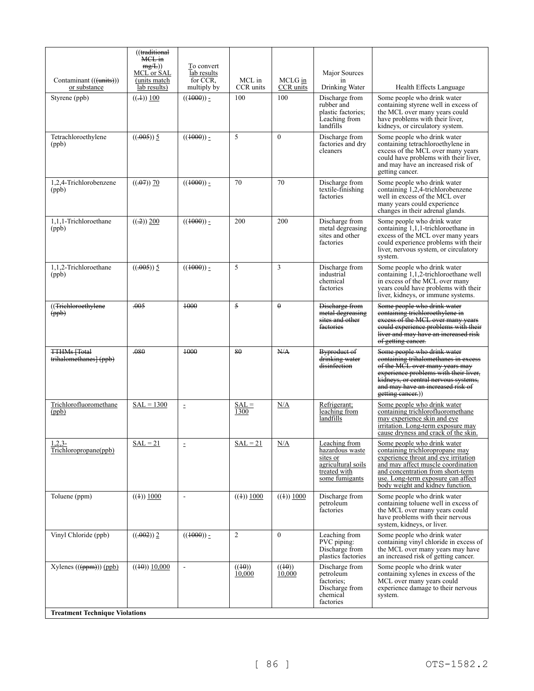|                                                | ((traditional<br>MCL in<br>mg/L)<br>MCL or SAL | To convert<br>lab results |                     |                      | Major Sources                                                                                        |                                                                                                                                                                                                                                                             |
|------------------------------------------------|------------------------------------------------|---------------------------|---------------------|----------------------|------------------------------------------------------------------------------------------------------|-------------------------------------------------------------------------------------------------------------------------------------------------------------------------------------------------------------------------------------------------------------|
| Contaminant (((units)))<br>or substance        | (units match<br>lab results)                   | for CCR.<br>multiply by   | MCL in<br>CCR units | MCLG in<br>CCR units | in<br>Drinking Water                                                                                 | Health Effects Language                                                                                                                                                                                                                                     |
| Styrene (ppb)                                  | $((\pm)) 100$                                  | $((1000))_2$              | 100                 | 100                  | Discharge from<br>rubber and<br>plastic factories;<br>Leaching from<br>landfills                     | Some people who drink water<br>containing styrene well in excess of<br>the MCL over many years could<br>have problems with their liver,<br>kidneys, or circulatory system.                                                                                  |
| Tetrachloroethylene<br>(ppb)                   | $((.005))$ 5                                   | $((1000))_2$              | 5                   | $\theta$             | Discharge from<br>factories and dry<br>cleaners                                                      | Some people who drink water<br>containing tetrachloroethylene in<br>excess of the MCL over many years<br>could have problems with their liver,<br>and may have an increased risk of<br>getting cancer.                                                      |
| 1,2,4-Trichlorobenzene<br>(ppb)                | ((.07) 70)                                     | $((1000))_2$              | 70                  | 70                   | Discharge from<br>textile-finishing<br>factories                                                     | Some people who drink water<br>containing 1,2,4-trichlorobenzene<br>well in excess of the MCL over<br>many years could experience<br>changes in their adrenal glands.                                                                                       |
| 1,1,1-Trichloroethane<br>(ppb)                 | $((-2)) 200$                                   | $((1000)) -$              | 200                 | 200                  | Discharge from<br>metal degreasing<br>sites and other<br>factories                                   | Some people who drink water<br>containing 1,1,1-trichloroethane in<br>excess of the MCL over many years<br>could experience problems with their<br>liver, nervous system, or circulatory<br>system.                                                         |
| 1,1,2-Trichloroethane<br>(ppb)                 | $((.005))$ 5                                   | $((1000))$ -              | 5                   | $\overline{3}$       | Discharge from<br>industrial<br>chemical<br>factories                                                | Some people who drink water<br>containing 1,1,2-trichloroethane well<br>in excess of the MCL over many<br>years could have problems with their<br>liver, kidneys, or immune systems.                                                                        |
| ((Trichloroethylene)<br>(ppb)                  | .005                                           | +000                      | 5                   | $\theta$             | Discharge from<br>metal degreasing<br>sites and other<br>factories                                   | Some people who drink water<br>containing trichloroethylene in<br>excess of the MCL over many years<br>could experience problems with their<br>liver and may have an increased risk<br>of getting cancer.                                                   |
| <b>TTHMs</b> [Total]<br>trihalomethanes] (ppb) | .080                                           | $+000$                    | 80                  | N/A                  | Byproduct of<br>drinking water<br>disinfection                                                       | Some people who drink water<br>containing trihalomethanes in excess<br>of the MCL over many years may<br>experience problems with their liver,<br>kidneys, or central nervous systems,<br>and may have an increased risk of<br>getting cancer.)             |
| Trichlorofluoromethane<br>(ppb)                | $SAL = 1300$                                   | $\bar{z}$                 | $SAL =$<br>1300     | N/A                  | Refrigerant;<br>leaching from<br>landfills                                                           | Some people who drink water<br>containing trichlorofluoromethane<br>may experience skin and eye<br>irritation. Long-term exposure may<br>cause dryness and crack of the skin.                                                                               |
| $1,2,3-$<br>Trichloropropane(ppb)              | $SAL = 21$                                     | $\equiv$                  | $SAL = 21$          | N/A                  | Leaching from<br>hazardous waste<br>sites or<br>agricultural soils<br>treated with<br>some fumigants | Some people who drink water<br>containing trichloropropane may<br>experience throat and eye irritation<br>and may affect muscle coordination<br>and concentration from short-term<br>use. Long-term exposure can affect<br>body weight and kidney function. |
| Toluene (ppm)                                  | $((4))$ 1000                                   | $\sim$                    | $((4))$ 1000        | $((4))$ 1000         | Discharge from<br>petroleum<br>factories                                                             | Some people who drink water<br>containing toluene well in excess of<br>the MCL over many years could<br>have problems with their nervous<br>system, kidneys, or liver.                                                                                      |
| Vinyl Chloride (ppb)                           | ((.002))2                                      | $((1000))_2$              | 2                   | $\mathbf{0}$         | Leaching from<br>PVC piping:<br>Discharge from<br>plastics factories                                 | Some people who drink water<br>containing vinyl chloride in excess of<br>the MCL over many years may have<br>an increased risk of getting cancer.                                                                                                           |
| $Xylenes ((\theta(p+m))) (ppb)$                | ((40) 10,000)                                  | $\overline{\phantom{a}}$  | ((40))<br>10,000    | ((40))<br>10,000     | Discharge from<br>petroleum<br>factories:<br>Discharge from<br>chemical<br>factories                 | Some people who drink water<br>containing xylenes in excess of the<br>MCL over many years could<br>experience damage to their nervous<br>system.                                                                                                            |
| <b>Treatment Technique Violations</b>          |                                                |                           |                     |                      |                                                                                                      |                                                                                                                                                                                                                                                             |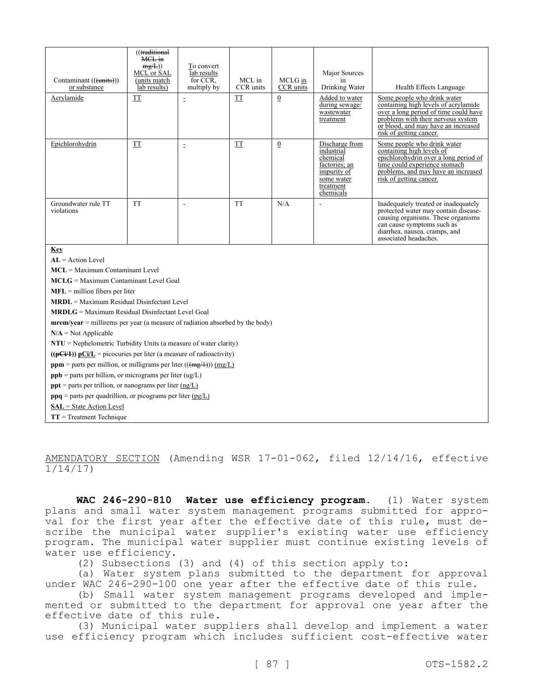| Contaminant (((units)))<br>or substance                                          | ((traditional<br>MCL in<br>mg/L)<br>MCL or SAL<br>(units match<br>lab results) | To convert<br>lab results<br>for CCR.<br>multiply by | MCL in<br>CCR units      | MCLG in<br>CCR units | Major Sources<br>in<br>Drinking Water                                                                            | Health Effects Language                                                                                                                                                                                              |  |  |
|----------------------------------------------------------------------------------|--------------------------------------------------------------------------------|------------------------------------------------------|--------------------------|----------------------|------------------------------------------------------------------------------------------------------------------|----------------------------------------------------------------------------------------------------------------------------------------------------------------------------------------------------------------------|--|--|
| Acrylamide                                                                       | TT                                                                             | $\bar{\Xi}$                                          | $\mathcal{T}\mathcal{T}$ | $\boldsymbol{0}$     | Added to water<br>during sewage/<br>wastewater<br>treatment                                                      | Some people who drink water<br>containing high levels of acrylamide<br>over a long period of time could have<br>problems with their nervous system<br>or blood, and may have an increased<br>risk of getting cancer. |  |  |
| Epichlorohydrin                                                                  | <b>TT</b>                                                                      | $\equiv$                                             | <b>TT</b>                | $\bf{0}$             | Discharge from<br>industrial<br>chemical<br>factories; an<br>impurity of<br>some water<br>treatment<br>chemicals | Some people who drink water<br>containing high levels of<br>epichlorohydrin over a long period of<br>time could experience stomach<br>problems, and may have an increased<br>risk of getting cancer.                 |  |  |
| Groundwater rule TT<br>violations                                                | <b>TT</b>                                                                      | $\overline{\phantom{a}}$                             | <b>TT</b>                | N/A                  |                                                                                                                  | Inadequately treated or inadequately<br>protected water may contain disease-<br>causing organisms. These organisms<br>can cause symptoms such as<br>diarrhea, nausea, cramps, and<br>associated headaches.           |  |  |
| Key                                                                              |                                                                                |                                                      |                          |                      |                                                                                                                  |                                                                                                                                                                                                                      |  |  |
| $AL = Action Level$                                                              |                                                                                |                                                      |                          |                      |                                                                                                                  |                                                                                                                                                                                                                      |  |  |
| $MCL =$ Maximum Contaminant Level                                                |                                                                                |                                                      |                          |                      |                                                                                                                  |                                                                                                                                                                                                                      |  |  |
| MCLG = Maximum Contaminant Level Goal                                            |                                                                                |                                                      |                          |                      |                                                                                                                  |                                                                                                                                                                                                                      |  |  |
| $MFL =$ million fibers per liter                                                 |                                                                                |                                                      |                          |                      |                                                                                                                  |                                                                                                                                                                                                                      |  |  |
| $MRDL = Maximum Residual Disinfectant Level$                                     |                                                                                |                                                      |                          |                      |                                                                                                                  |                                                                                                                                                                                                                      |  |  |
| $MRDLG = Maximum Residual Disinfectant Level Goal$                               |                                                                                |                                                      |                          |                      |                                                                                                                  |                                                                                                                                                                                                                      |  |  |
| $merm/year = millirems per year (a measure of radiation absorbed by the body)$   |                                                                                |                                                      |                          |                      |                                                                                                                  |                                                                                                                                                                                                                      |  |  |
| $N/A = Not Applicable$                                                           |                                                                                |                                                      |                          |                      |                                                                                                                  |                                                                                                                                                                                                                      |  |  |
| $NTU = Nephelometric Turbidity Units (a measure of water clarity)$               |                                                                                |                                                      |                          |                      |                                                                                                                  |                                                                                                                                                                                                                      |  |  |
| $((pCi/4))$ pCi/L = picocuries per liter (a measure of radioactivity)            |                                                                                |                                                      |                          |                      |                                                                                                                  |                                                                                                                                                                                                                      |  |  |
| <b>ppm</b> = parts per million, or milligrams per liter $((\text{mg}/1))$ (mg/L) |                                                                                |                                                      |                          |                      |                                                                                                                  |                                                                                                                                                                                                                      |  |  |
| $ppb$ = parts per billion, or micrograms per liter (ug/L)                        |                                                                                |                                                      |                          |                      |                                                                                                                  |                                                                                                                                                                                                                      |  |  |
| $ppt$ = parts per trillion, or nanograms per liter $(ng/L)$                      |                                                                                |                                                      |                          |                      |                                                                                                                  |                                                                                                                                                                                                                      |  |  |
| $ppq$ = parts per quadrillion, or picograms per liter ( $pg/L$ )                 |                                                                                |                                                      |                          |                      |                                                                                                                  |                                                                                                                                                                                                                      |  |  |
| SAL = State Action Level                                                         |                                                                                |                                                      |                          |                      |                                                                                                                  |                                                                                                                                                                                                                      |  |  |
| $TT = Treatment Technique$                                                       |                                                                                |                                                      |                          |                      |                                                                                                                  |                                                                                                                                                                                                                      |  |  |

AMENDATORY SECTION (Amending WSR 17-01-062, filed 12/14/16, effective 1/14/17)

**WAC 246-290-810 Water use efficiency program.** (1) Water system plans and small water system management programs submitted for approval for the first year after the effective date of this rule, must describe the municipal water supplier's existing water use efficiency program. The municipal water supplier must continue existing levels of water use efficiency.

(2) Subsections (3) and (4) of this section apply to:

(a) Water system plans submitted to the department for approval under WAC 246-290-100 one year after the effective date of this rule.

(b) Small water system management programs developed and implemented or submitted to the department for approval one year after the effective date of this rule.

(3) Municipal water suppliers shall develop and implement a water use efficiency program which includes sufficient cost-effective water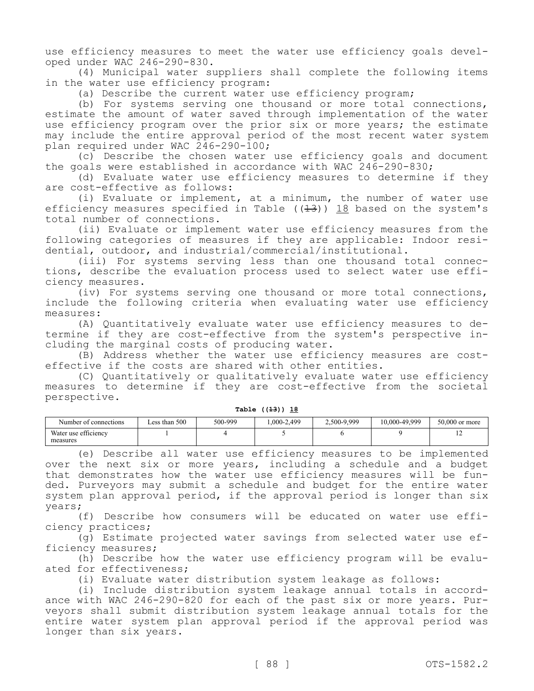use efficiency measures to meet the water use efficiency goals developed under WAC 246-290-830.

(4) Municipal water suppliers shall complete the following items in the water use efficiency program:

(a) Describe the current water use efficiency program;

(b) For systems serving one thousand or more total connections, estimate the amount of water saved through implementation of the water use efficiency program over the prior six or more years; the estimate may include the entire approval period of the most recent water system plan required under WAC 246-290-100;

(c) Describe the chosen water use efficiency goals and document the goals were established in accordance with WAC 246-290-830;

(d) Evaluate water use efficiency measures to determine if they are cost-effective as follows:

(i) Evaluate or implement, at a minimum, the number of water use efficiency measures specified in Table ( $(1-3)$ ) 18 based on the system's total number of connections.

(ii) Evaluate or implement water use efficiency measures from the following categories of measures if they are applicable: Indoor residential, outdoor, and industrial/commercial/institutional.

(iii) For systems serving less than one thousand total connections, describe the evaluation process used to select water use efficiency measures.

(iv) For systems serving one thousand or more total connections, include the following criteria when evaluating water use efficiency measures:

(A) Quantitatively evaluate water use efficiency measures to determine if they are cost-effective from the system's perspective including the marginal costs of producing water.

(B) Address whether the water use efficiency measures are costeffective if the costs are shared with other entities.

(C) Quantitatively or qualitatively evaluate water use efficiency measures to determine if they are cost-effective from the societal perspective.

| Number of connections            | Less than 500 | 500-999 | .000-2.499 | 2.500-9.999 | 10,000-49,999 | $50,000$ or more |
|----------------------------------|---------------|---------|------------|-------------|---------------|------------------|
| Water use efficiency<br>measures |               |         |            |             |               | $\overline{ }$   |

**Table ((13)) 18**

(e) Describe all water use efficiency measures to be implemented over the next six or more years, including a schedule and a budget that demonstrates how the water use efficiency measures will be funded. Purveyors may submit a schedule and budget for the entire water system plan approval period, if the approval period is longer than six years;

(f) Describe how consumers will be educated on water use efficiency practices;

(g) Estimate projected water savings from selected water use efficiency measures;

(h) Describe how the water use efficiency program will be evaluated for effectiveness;

(i) Evaluate water distribution system leakage as follows:

(i) Include distribution system leakage annual totals in accordance with WAC 246-290-820 for each of the past six or more years. Purveyors shall submit distribution system leakage annual totals for the entire water system plan approval period if the approval period was longer than six years.